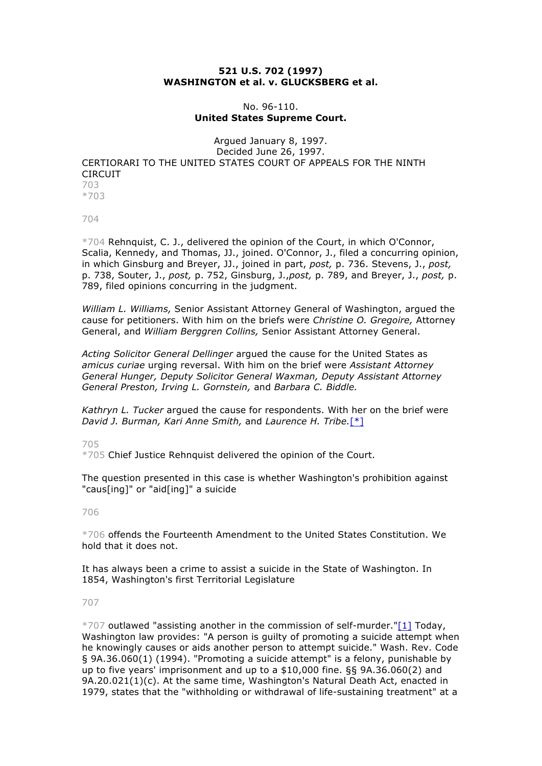## **521 U.S. 702 (1997) WASHINGTON et al. v. GLUCKSBERG et al.**

## No. 96-110. **United States Supreme Court.**

Argued January 8, 1997. Decided June 26, 1997. CERTIORARI TO THE UNITED STATES COURT OF APPEALS FOR THE NINTH CIRCUIT 703

\*703

704

\*704 Rehnquist, C. J., delivered the opinion of the Court, in which O'Connor, Scalia, Kennedy, and Thomas, JJ., joined. O'Connor, J., filed a concurring opinion, in which Ginsburg and Breyer, JJ., joined in part, *post,* p. 736. Stevens, J., *post,* p. 738, Souter, J., *post,* p. 752, Ginsburg, J.,*post,* p. 789, and Breyer, J., *post,* p. 789, filed opinions concurring in the judgment.

*William L. Williams,* Senior Assistant Attorney General of Washington, argued the cause for petitioners. With him on the briefs were *Christine O. Gregoire,* Attorney General, and *William Berggren Collins,* Senior Assistant Attorney General.

*Acting Solicitor General Dellinger* argued the cause for the United States as *amicus curiae* urging reversal. With him on the brief were *Assistant Attorney General Hunger, Deputy Solicitor General Waxman, Deputy Assistant Attorney General Preston, Irving L. Gornstein,* and *Barbara C. Biddle.*

*Kathryn L. Tucker* argued the cause for respondents. With her on the brief were *David J. Burman, Kari Anne Smith,* and *Laurence H. Tribe.*[\*]

705

\*705 Chief Justice Rehnquist delivered the opinion of the Court.

The question presented in this case is whether Washington's prohibition against "caus[ing]" or "aid[ing]" a suicide

706

\*706 offends the Fourteenth Amendment to the United States Constitution. We hold that it does not.

It has always been a crime to assist a suicide in the State of Washington. In 1854, Washington's first Territorial Legislature

707

 $*707$  outlawed "assisting another in the commission of self-murder."[1] Today, Washington law provides: "A person is guilty of promoting a suicide attempt when he knowingly causes or aids another person to attempt suicide." Wash. Rev. Code § 9A.36.060(1) (1994). "Promoting a suicide attempt" is a felony, punishable by up to five years' imprisonment and up to a \$10,000 fine. §§ 9A.36.060(2) and 9A.20.021(1)(c). At the same time, Washington's Natural Death Act, enacted in 1979, states that the "withholding or withdrawal of life-sustaining treatment" at a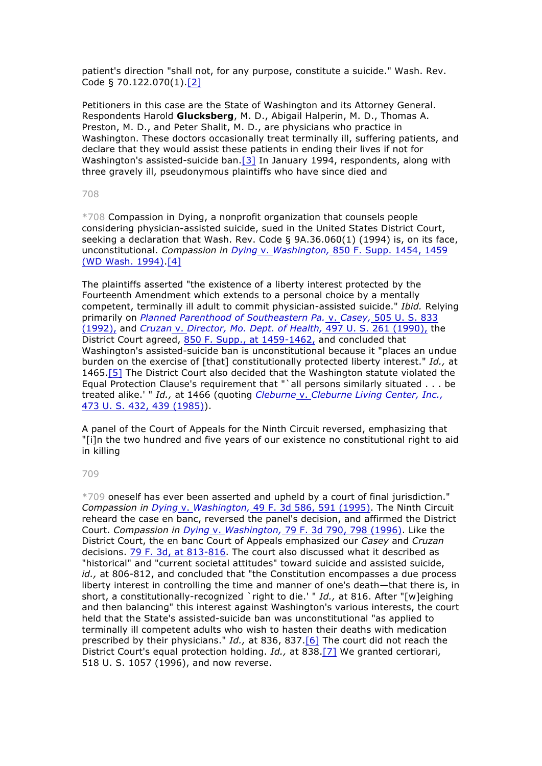patient's direction "shall not, for any purpose, constitute a suicide." Wash. Rev. Code § 70.122.070(1).[2]

Petitioners in this case are the State of Washington and its Attorney General. Respondents Harold **Glucksberg**, M. D., Abigail Halperin, M. D., Thomas A. Preston, M. D., and Peter Shalit, M. D., are physicians who practice in Washington. These doctors occasionally treat terminally ill, suffering patients, and declare that they would assist these patients in ending their lives if not for Washington's assisted-suicide ban.[3] In January 1994, respondents, along with three gravely ill, pseudonymous plaintiffs who have since died and

## 708

\*708 Compassion in Dying, a nonprofit organization that counsels people considering physician-assisted suicide, sued in the United States District Court, seeking a declaration that Wash. Rev. Code § 9A.36.060(1) (1994) is, on its face, unconstitutional. *Compassion in Dying* v. *Washington,* 850 F. Supp. 1454, 1459 (WD Wash. 1994).[4]

The plaintiffs asserted "the existence of a liberty interest protected by the Fourteenth Amendment which extends to a personal choice by a mentally competent, terminally ill adult to commit physician-assisted suicide." *Ibid.* Relying primarily on *Planned Parenthood of Southeastern Pa.* v. *Casey,* 505 U. S. 833 (1992), and *Cruzan* v. *Director, Mo. Dept. of Health,* 497 U. S. 261 (1990), the District Court agreed, 850 F. Supp., at 1459-1462, and concluded that Washington's assisted-suicide ban is unconstitutional because it "places an undue burden on the exercise of [that] constitutionally protected liberty interest." *Id.,* at 1465.[5] The District Court also decided that the Washington statute violated the Equal Protection Clause's requirement that "`all persons similarly situated . . . be treated alike.' " *Id.*, at 1466 (quoting *Cleburne v. Cleburne Living Center, Inc.*, 473 U. S. 432, 439 (1985)).

A panel of the Court of Appeals for the Ninth Circuit reversed, emphasizing that "[i]n the two hundred and five years of our existence no constitutional right to aid in killing

## 709

\*709 oneself has ever been asserted and upheld by a court of final jurisdiction." *Compassion in Dying* v. *Washington,* 49 F. 3d 586, 591 (1995). The Ninth Circuit reheard the case en banc, reversed the panel's decision, and affirmed the District Court. *Compassion in Dying* v. *Washington,* 79 F. 3d 790, 798 (1996). Like the District Court, the en banc Court of Appeals emphasized our *Casey* and *Cruzan* decisions. 79 F. 3d, at 813-816. The court also discussed what it described as "historical" and "current societal attitudes" toward suicide and assisted suicide, *id.,* at 806-812, and concluded that "the Constitution encompasses a due process liberty interest in controlling the time and manner of one's death—that there is, in short, a constitutionally-recognized `right to die.' " *Id.*, at 816. After "[w]eighing and then balancing" this interest against Washington's various interests, the court held that the State's assisted-suicide ban was unconstitutional "as applied to terminally ill competent adults who wish to hasten their deaths with medication prescribed by their physicians." *Id.,* at 836, 837.[6] The court did not reach the District Court's equal protection holding. *Id.,* at 838.[7] We granted certiorari, 518 U. S. 1057 (1996), and now reverse.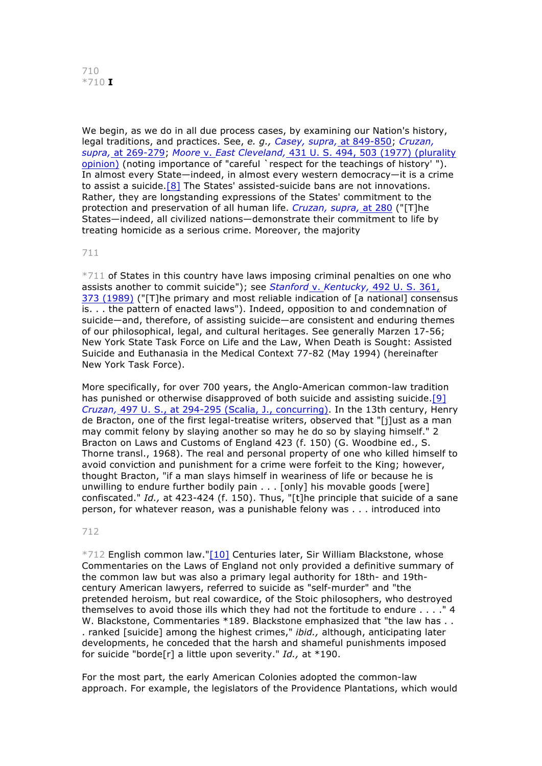# 710 \*710 **I**

We begin, as we do in all due process cases, by examining our Nation's history, legal traditions, and practices. See, *e. g., Casey, supra,* at 849-850; *Cruzan, supra,* at 269-279; *Moore* v. *East Cleveland,* 431 U. S. 494, 503 (1977) (plurality opinion) (noting importance of "careful `respect for the teachings of history' "). In almost every State—indeed, in almost every western democracy—it is a crime to assist a suicide.[8] The States' assisted-suicide bans are not innovations. Rather, they are longstanding expressions of the States' commitment to the protection and preservation of all human life. *Cruzan, supra,* at 280 ("[T]he States—indeed, all civilized nations—demonstrate their commitment to life by treating homicide as a serious crime. Moreover, the majority

## 711

 $*711$  of States in this country have laws imposing criminal penalties on one who assists another to commit suicide"); see *Stanford* v. *Kentucky,* 492 U. S. 361, 373 (1989) ("[T]he primary and most reliable indication of [a national] consensus is. . . the pattern of enacted laws"). Indeed, opposition to and condemnation of suicide—and, therefore, of assisting suicide—are consistent and enduring themes of our philosophical, legal, and cultural heritages. See generally Marzen 17-56; New York State Task Force on Life and the Law, When Death is Sought: Assisted Suicide and Euthanasia in the Medical Context 77-82 (May 1994) (hereinafter New York Task Force).

More specifically, for over 700 years, the Anglo-American common-law tradition has punished or otherwise disapproved of both suicide and assisting suicide.[9] *Cruzan,* 497 U. S., at 294-295 (Scalia, J., concurring). In the 13th century, Henry de Bracton, one of the first legal-treatise writers, observed that "[j]ust as a man may commit felony by slaying another so may he do so by slaying himself." 2 Bracton on Laws and Customs of England 423 (f. 150) (G. Woodbine ed., S. Thorne transl., 1968). The real and personal property of one who killed himself to avoid conviction and punishment for a crime were forfeit to the King; however, thought Bracton, "if a man slays himself in weariness of life or because he is unwilling to endure further bodily pain . . . [only] his movable goods [were] confiscated." *Id.,* at 423-424 (f. 150). Thus, "[t]he principle that suicide of a sane person, for whatever reason, was a punishable felony was . . . introduced into

## 712

\*712 English common law."[10] Centuries later, Sir William Blackstone, whose Commentaries on the Laws of England not only provided a definitive summary of the common law but was also a primary legal authority for 18th- and 19thcentury American lawyers, referred to suicide as "self-murder" and "the pretended heroism, but real cowardice, of the Stoic philosophers, who destroyed themselves to avoid those ills which they had not the fortitude to endure . . . ." 4 W. Blackstone, Commentaries \*189. Blackstone emphasized that "the law has . . . ranked [suicide] among the highest crimes," *ibid.,* although, anticipating later developments, he conceded that the harsh and shameful punishments imposed for suicide "borde[r] a little upon severity." *Id.,* at \*190.

For the most part, the early American Colonies adopted the common-law approach. For example, the legislators of the Providence Plantations, which would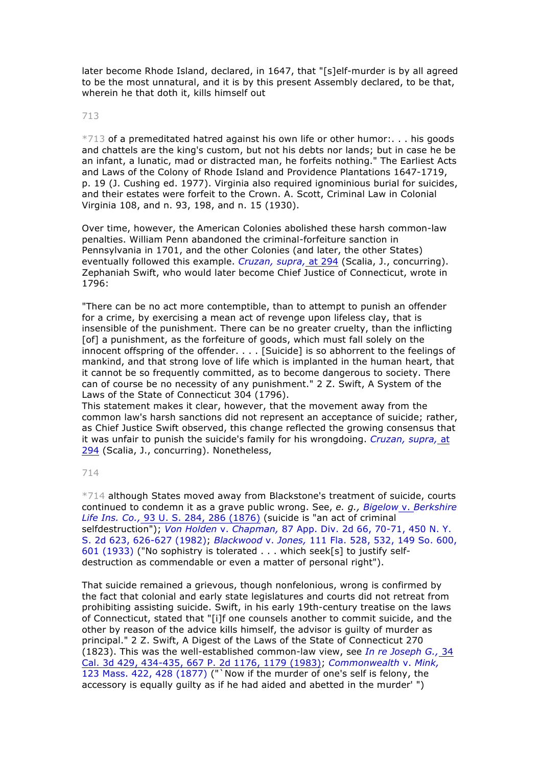later become Rhode Island, declared, in 1647, that "[s]elf-murder is by all agreed to be the most unnatural, and it is by this present Assembly declared, to be that, wherein he that doth it, kills himself out

## 713

 $*713$  of a premeditated hatred against his own life or other humor:... his goods and chattels are the king's custom, but not his debts nor lands; but in case he be an infant, a lunatic, mad or distracted man, he forfeits nothing." The Earliest Acts and Laws of the Colony of Rhode Island and Providence Plantations 1647-1719, p. 19 (J. Cushing ed. 1977). Virginia also required ignominious burial for suicides, and their estates were forfeit to the Crown. A. Scott, Criminal Law in Colonial Virginia 108, and n. 93, 198, and n. 15 (1930).

Over time, however, the American Colonies abolished these harsh common-law penalties. William Penn abandoned the criminal-forfeiture sanction in Pennsylvania in 1701, and the other Colonies (and later, the other States) eventually followed this example. *Cruzan, supra,* at 294 (Scalia, J., concurring). Zephaniah Swift, who would later become Chief Justice of Connecticut, wrote in 1796:

"There can be no act more contemptible, than to attempt to punish an offender for a crime, by exercising a mean act of revenge upon lifeless clay, that is insensible of the punishment. There can be no greater cruelty, than the inflicting [of] a punishment, as the forfeiture of goods, which must fall solely on the innocent offspring of the offender. . . . [Suicide] is so abhorrent to the feelings of mankind, and that strong love of life which is implanted in the human heart, that it cannot be so frequently committed, as to become dangerous to society. There can of course be no necessity of any punishment." 2 Z. Swift, A System of the Laws of the State of Connecticut 304 (1796).

This statement makes it clear, however, that the movement away from the common law's harsh sanctions did not represent an acceptance of suicide; rather, as Chief Justice Swift observed, this change reflected the growing consensus that it was unfair to punish the suicide's family for his wrongdoing. *Cruzan, supra,* at 294 (Scalia, J., concurring). Nonetheless,

## 714

 $*714$  although States moved away from Blackstone's treatment of suicide, courts continued to condemn it as a grave public wrong. See, *e. g., Bigelow* v. *Berkshire Life Ins. Co.,* 93 U. S. 284, 286 (1876) (suicide is "an act of criminal selfdestruction"); *Von Holden* v. *Chapman,* 87 App. Div. 2d 66, 70-71, 450 N. Y. S. 2d 623, 626-627 (1982); *Blackwood* v. *Jones,* 111 Fla. 528, 532, 149 So. 600, 601 (1933) ("No sophistry is tolerated . . . which seek[s] to justify selfdestruction as commendable or even a matter of personal right").

That suicide remained a grievous, though nonfelonious, wrong is confirmed by the fact that colonial and early state legislatures and courts did not retreat from prohibiting assisting suicide. Swift, in his early 19th-century treatise on the laws of Connecticut, stated that "[i]f one counsels another to commit suicide, and the other by reason of the advice kills himself, the advisor is guilty of murder as principal." 2 Z. Swift, A Digest of the Laws of the State of Connecticut 270 (1823). This was the well-established common-law view, see *In re Joseph G.,* 34 Cal. 3d 429, 434-435, 667 P. 2d 1176, 1179 (1983); *Commonwealth* v. *Mink,* 123 Mass. 422, 428 (1877) ("`Now if the murder of one's self is felony, the accessory is equally guilty as if he had aided and abetted in the murder' ")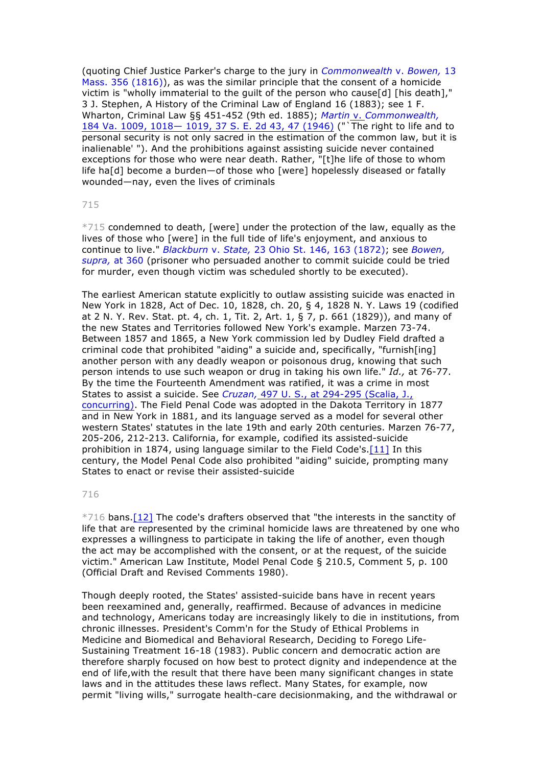(quoting Chief Justice Parker's charge to the jury in *Commonwealth* v. *Bowen,* 13 Mass. 356 (1816)), as was the similar principle that the consent of a homicide victim is "wholly immaterial to the guilt of the person who cause[d] [his death]," 3 J. Stephen, A History of the Criminal Law of England 16 (1883); see 1 F. Wharton, Criminal Law §§ 451-452 (9th ed. 1885); *Martin* v. *Commonwealth,* 184 Va. 1009, 1018— 1019, 37 S. E. 2d 43, 47 (1946) ("`The right to life and to personal security is not only sacred in the estimation of the common law, but it is inalienable' "). And the prohibitions against assisting suicide never contained exceptions for those who were near death. Rather, "[t]he life of those to whom life ha[d] become a burden—of those who [were] hopelessly diseased or fatally wounded—nay, even the lives of criminals

## 715

 $*715$  condemned to death, [were] under the protection of the law, equally as the lives of those who [were] in the full tide of life's enjoyment, and anxious to continue to live." *Blackburn* v. *State,* 23 Ohio St. 146, 163 (1872); see *Bowen, supra,* at 360 (prisoner who persuaded another to commit suicide could be tried for murder, even though victim was scheduled shortly to be executed).

The earliest American statute explicitly to outlaw assisting suicide was enacted in New York in 1828, Act of Dec. 10, 1828, ch. 20, § 4, 1828 N. Y. Laws 19 (codified at 2 N. Y. Rev. Stat. pt. 4, ch. 1, Tit. 2, Art. 1, § 7, p. 661 (1829)), and many of the new States and Territories followed New York's example. Marzen 73-74. Between 1857 and 1865, a New York commission led by Dudley Field drafted a criminal code that prohibited "aiding" a suicide and, specifically, "furnish[ing] another person with any deadly weapon or poisonous drug, knowing that such person intends to use such weapon or drug in taking his own life." *Id.,* at 76-77. By the time the Fourteenth Amendment was ratified, it was a crime in most States to assist a suicide. See *Cruzan,* 497 U. S., at 294-295 (Scalia, J., concurring). The Field Penal Code was adopted in the Dakota Territory in 1877 and in New York in 1881, and its language served as a model for several other western States' statutes in the late 19th and early 20th centuries. Marzen 76-77, 205-206, 212-213. California, for example, codified its assisted-suicide prohibition in 1874, using language similar to the Field Code's.[11] In this century, the Model Penal Code also prohibited "aiding" suicide, prompting many States to enact or revise their assisted-suicide

## 716

 $*716$  bans. [12] The code's drafters observed that "the interests in the sanctity of life that are represented by the criminal homicide laws are threatened by one who expresses a willingness to participate in taking the life of another, even though the act may be accomplished with the consent, or at the request, of the suicide victim." American Law Institute, Model Penal Code § 210.5, Comment 5, p. 100 (Official Draft and Revised Comments 1980).

Though deeply rooted, the States' assisted-suicide bans have in recent years been reexamined and, generally, reaffirmed. Because of advances in medicine and technology, Americans today are increasingly likely to die in institutions, from chronic illnesses. President's Comm'n for the Study of Ethical Problems in Medicine and Biomedical and Behavioral Research, Deciding to Forego Life-Sustaining Treatment 16-18 (1983). Public concern and democratic action are therefore sharply focused on how best to protect dignity and independence at the end of life,with the result that there have been many significant changes in state laws and in the attitudes these laws reflect. Many States, for example, now permit "living wills," surrogate health-care decisionmaking, and the withdrawal or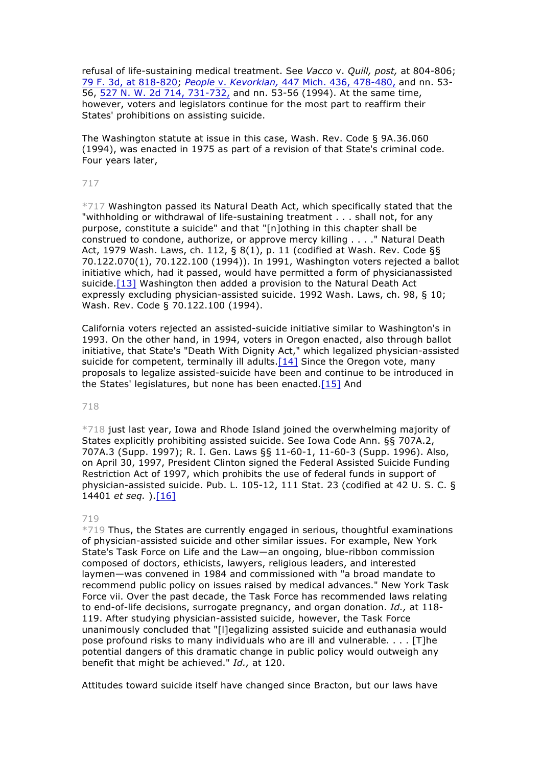refusal of life-sustaining medical treatment. See *Vacco* v. *Quill, post,* at 804-806; 79 F. 3d, at 818-820; *People* v. *Kevorkian,* 447 Mich. 436, 478-480, and nn. 53- 56, 527 N. W. 2d 714, 731-732, and nn. 53-56 (1994). At the same time, however, voters and legislators continue for the most part to reaffirm their States' prohibitions on assisting suicide.

The Washington statute at issue in this case, Wash. Rev. Code § 9A.36.060 (1994), was enacted in 1975 as part of a revision of that State's criminal code. Four years later,

## 717

 $*717$  Washington passed its Natural Death Act, which specifically stated that the "withholding or withdrawal of life-sustaining treatment . . . shall not, for any purpose, constitute a suicide" and that "[n]othing in this chapter shall be construed to condone, authorize, or approve mercy killing . . . ." Natural Death Act, 1979 Wash. Laws, ch. 112, § 8(1), p. 11 (codified at Wash. Rev. Code §§ 70.122.070(1), 70.122.100 (1994)). In 1991, Washington voters rejected a ballot initiative which, had it passed, would have permitted a form of physicianassisted suicide.<sup>[13]</sup> Washington then added a provision to the Natural Death Act expressly excluding physician-assisted suicide. 1992 Wash. Laws, ch. 98, § 10; Wash. Rev. Code § 70.122.100 (1994).

California voters rejected an assisted-suicide initiative similar to Washington's in 1993. On the other hand, in 1994, voters in Oregon enacted, also through ballot initiative, that State's "Death With Dignity Act," which legalized physician-assisted suicide for competent, terminally ill adults.<sup>[14]</sup> Since the Oregon vote, many proposals to legalize assisted-suicide have been and continue to be introduced in the States' legislatures, but none has been enacted.[15] And

## 718

 $*718$  just last year, Iowa and Rhode Island joined the overwhelming majority of States explicitly prohibiting assisted suicide. See Iowa Code Ann. §§ 707A.2, 707A.3 (Supp. 1997); R. I. Gen. Laws §§ 11-60-1, 11-60-3 (Supp. 1996). Also, on April 30, 1997, President Clinton signed the Federal Assisted Suicide Funding Restriction Act of 1997, which prohibits the use of federal funds in support of physician-assisted suicide. Pub. L. 105-12, 111 Stat. 23 (codified at 42 U. S. C. § 14401 *et seq.* ).[16]

#### 719

\*719 Thus, the States are currently engaged in serious, thoughtful examinations of physician-assisted suicide and other similar issues. For example, New York State's Task Force on Life and the Law—an ongoing, blue-ribbon commission composed of doctors, ethicists, lawyers, religious leaders, and interested laymen—was convened in 1984 and commissioned with "a broad mandate to recommend public policy on issues raised by medical advances." New York Task Force vii. Over the past decade, the Task Force has recommended laws relating to end-of-life decisions, surrogate pregnancy, and organ donation. *Id.,* at 118- 119. After studying physician-assisted suicide, however, the Task Force unanimously concluded that "[l]egalizing assisted suicide and euthanasia would pose profound risks to many individuals who are ill and vulnerable. . . . [T]he potential dangers of this dramatic change in public policy would outweigh any benefit that might be achieved." *Id.,* at 120.

Attitudes toward suicide itself have changed since Bracton, but our laws have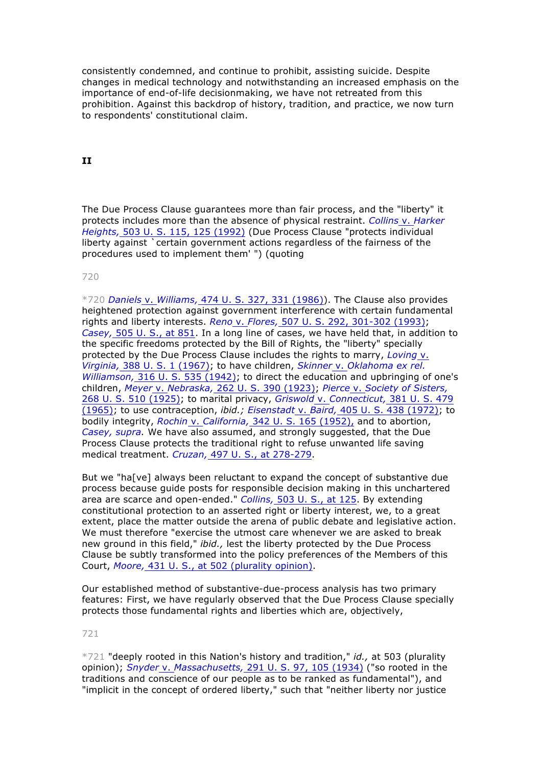consistently condemned, and continue to prohibit, assisting suicide. Despite changes in medical technology and notwithstanding an increased emphasis on the importance of end-of-life decisionmaking, we have not retreated from this prohibition. Against this backdrop of history, tradition, and practice, we now turn to respondents' constitutional claim.

# **II**

The Due Process Clause guarantees more than fair process, and the "liberty" it protects includes more than the absence of physical restraint. *Collins* v. *Harker Heights,* 503 U. S. 115, 125 (1992) (Due Process Clause "protects individual liberty against `certain government actions regardless of the fairness of the procedures used to implement them' ") (quoting

## 720

\*720 *Daniels* v. *Williams,* 474 U. S. 327, 331 (1986)). The Clause also provides heightened protection against government interference with certain fundamental rights and liberty interests. *Reno* v. *Flores,* 507 U. S. 292, 301-302 (1993); *Casey,* 505 U. S., at 851. In a long line of cases, we have held that, in addition to the specific freedoms protected by the Bill of Rights, the "liberty" specially protected by the Due Process Clause includes the rights to marry, *Loving* v. *Virginia,* 388 U. S. 1 (1967); to have children, *Skinner* v. *Oklahoma ex rel. Williamson,* 316 U. S. 535 (1942); to direct the education and upbringing of one's children, *Meyer* v. *Nebraska,* 262 U. S. 390 (1923); *Pierce* v. *Society of Sisters,* 268 U. S. 510 (1925); to marital privacy, *Griswold* v. *Connecticut,* 381 U. S. 479 (1965); to use contraception, *ibid.; Eisenstadt* v. *Baird,* 405 U. S. 438 (1972); to bodily integrity, *Rochin* v. *California,* 342 U. S. 165 (1952), and to abortion, *Casey, supra.* We have also assumed, and strongly suggested, that the Due Process Clause protects the traditional right to refuse unwanted life saving medical treatment. *Cruzan,* 497 U. S., at 278-279.

But we "ha[ve] always been reluctant to expand the concept of substantive due process because guide posts for responsible decision making in this unchartered area are scarce and open-ended." *Collins,* 503 U. S., at 125. By extending constitutional protection to an asserted right or liberty interest, we, to a great extent, place the matter outside the arena of public debate and legislative action. We must therefore "exercise the utmost care whenever we are asked to break new ground in this field," *ibid.,* lest the liberty protected by the Due Process Clause be subtly transformed into the policy preferences of the Members of this Court, *Moore,* 431 U. S., at 502 (plurality opinion).

Our established method of substantive-due-process analysis has two primary features: First, we have regularly observed that the Due Process Clause specially protects those fundamental rights and liberties which are, objectively,

## 721

\*721 "deeply rooted in this Nation's history and tradition," *id.,* at 503 (plurality opinion); *Snyder* v. *Massachusetts,* 291 U. S. 97, 105 (1934) ("so rooted in the traditions and conscience of our people as to be ranked as fundamental"), and "implicit in the concept of ordered liberty," such that "neither liberty nor justice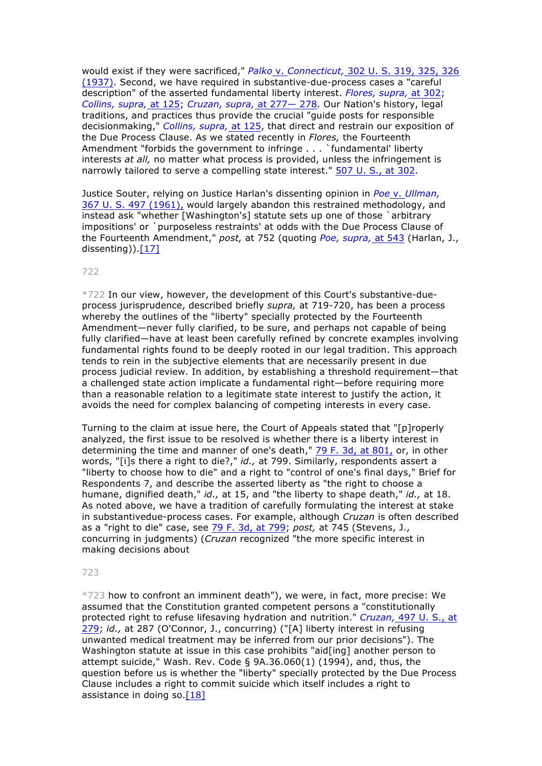would exist if they were sacrificed," *Palko* v. *Connecticut,* 302 U. S. 319, 325, 326 (1937). Second, we have required in substantive-due-process cases a "careful description" of the asserted fundamental liberty interest. *Flores, supra,* at 302; *Collins, supra,* at 125; *Cruzan, supra,* at 277— 278. Our Nation's history, legal traditions, and practices thus provide the crucial "guide posts for responsible decisionmaking," *Collins, supra,* at 125, that direct and restrain our exposition of the Due Process Clause. As we stated recently in *Flores,* the Fourteenth Amendment "forbids the government to infringe . . . `fundamental' liberty interests *at all,* no matter what process is provided, unless the infringement is narrowly tailored to serve a compelling state interest." 507 U. S., at 302.

Justice Souter, relying on Justice Harlan's dissenting opinion in *Poe* v. *Ullman,* 367 U. S. 497 (1961), would largely abandon this restrained methodology, and instead ask "whether [Washington's] statute sets up one of those `arbitrary impositions' or `purposeless restraints' at odds with the Due Process Clause of the Fourteenth Amendment," *post,* at 752 (quoting *Poe, supra,* at 543 (Harlan, J., dissenting)).[17]

### 722

\*722 In our view, however, the development of this Court's substantive-dueprocess jurisprudence, described briefly *supra,* at 719-720, has been a process whereby the outlines of the "liberty" specially protected by the Fourteenth Amendment—never fully clarified, to be sure, and perhaps not capable of being fully clarified—have at least been carefully refined by concrete examples involving fundamental rights found to be deeply rooted in our legal tradition. This approach tends to rein in the subjective elements that are necessarily present in due process judicial review. In addition, by establishing a threshold requirement—that a challenged state action implicate a fundamental right—before requiring more than a reasonable relation to a legitimate state interest to justify the action, it avoids the need for complex balancing of competing interests in every case.

Turning to the claim at issue here, the Court of Appeals stated that "[p]roperly analyzed, the first issue to be resolved is whether there is a liberty interest in determining the time and manner of one's death," 79 F. 3d, at 801, or, in other words, "[i]s there a right to die?," *id.,* at 799. Similarly, respondents assert a "liberty to choose how to die" and a right to "control of one's final days," Brief for Respondents 7, and describe the asserted liberty as "the right to choose a humane, dignified death," *id.,* at 15, and "the liberty to shape death," *id.,* at 18. As noted above, we have a tradition of carefully formulating the interest at stake in substantivedue-process cases. For example, although *Cruzan* is often described as a "right to die" case, see 79 F. 3d, at 799; *post,* at 745 (Stevens, J., concurring in judgments) (*Cruzan* recognized "the more specific interest in making decisions about

## 723

\*723 how to confront an imminent death"), we were, in fact, more precise: We assumed that the Constitution granted competent persons a "constitutionally protected right to refuse lifesaving hydration and nutrition." *Cruzan,* 497 U. S., at 279; *id.,* at 287 (O'Connor, J., concurring) ("[A] liberty interest in refusing unwanted medical treatment may be inferred from our prior decisions"). The Washington statute at issue in this case prohibits "aid[ing] another person to attempt suicide," Wash. Rev. Code § 9A.36.060(1) (1994), and, thus, the question before us is whether the "liberty" specially protected by the Due Process Clause includes a right to commit suicide which itself includes a right to assistance in doing so.[18]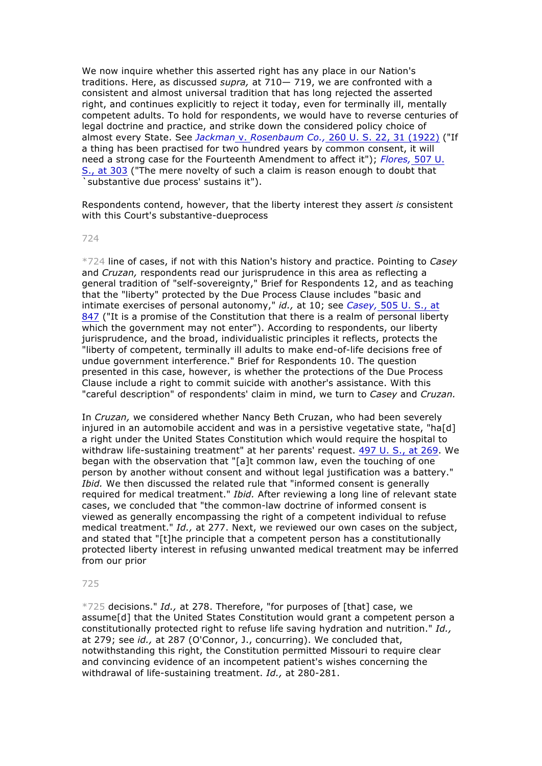We now inquire whether this asserted right has any place in our Nation's traditions. Here, as discussed *supra,* at 710— 719, we are confronted with a consistent and almost universal tradition that has long rejected the asserted right, and continues explicitly to reject it today, even for terminally ill, mentally competent adults. To hold for respondents, we would have to reverse centuries of legal doctrine and practice, and strike down the considered policy choice of almost every State. See *Jackman* v. *Rosenbaum Co.,* 260 U. S. 22, 31 (1922) ("If a thing has been practised for two hundred years by common consent, it will need a strong case for the Fourteenth Amendment to affect it"); *Flores,* 507 U. S., at 303 ("The mere novelty of such a claim is reason enough to doubt that substantive due process' sustains it").

Respondents contend, however, that the liberty interest they assert *is* consistent with this Court's substantive-dueprocess

## 724

\*724 line of cases, if not with this Nation's history and practice. Pointing to *Casey* and *Cruzan,* respondents read our jurisprudence in this area as reflecting a general tradition of "self-sovereignty," Brief for Respondents 12, and as teaching that the "liberty" protected by the Due Process Clause includes "basic and intimate exercises of personal autonomy," *id.,* at 10; see *Casey,* 505 U. S., at 847 ("It is a promise of the Constitution that there is a realm of personal liberty which the government may not enter"). According to respondents, our liberty jurisprudence, and the broad, individualistic principles it reflects, protects the "liberty of competent, terminally ill adults to make end-of-life decisions free of undue government interference." Brief for Respondents 10. The question presented in this case, however, is whether the protections of the Due Process Clause include a right to commit suicide with another's assistance. With this "careful description" of respondents' claim in mind, we turn to *Casey* and *Cruzan.*

In *Cruzan,* we considered whether Nancy Beth Cruzan, who had been severely injured in an automobile accident and was in a persistive vegetative state, "ha[d] a right under the United States Constitution which would require the hospital to withdraw life-sustaining treatment" at her parents' request. 497 U. S., at 269. We began with the observation that "[a]t common law, even the touching of one person by another without consent and without legal justification was a battery." *Ibid.* We then discussed the related rule that "informed consent is generally required for medical treatment." *Ibid.* After reviewing a long line of relevant state cases, we concluded that "the common-law doctrine of informed consent is viewed as generally encompassing the right of a competent individual to refuse medical treatment." *Id.,* at 277. Next, we reviewed our own cases on the subject, and stated that "[t]he principle that a competent person has a constitutionally protected liberty interest in refusing unwanted medical treatment may be inferred from our prior

#### 725

\*725 decisions." *Id.,* at 278. Therefore, "for purposes of [that] case, we assume[d] that the United States Constitution would grant a competent person a constitutionally protected right to refuse life saving hydration and nutrition." *Id.,* at 279; see *id.,* at 287 (O'Connor, J., concurring). We concluded that, notwithstanding this right, the Constitution permitted Missouri to require clear and convincing evidence of an incompetent patient's wishes concerning the withdrawal of life-sustaining treatment. *Id.,* at 280-281.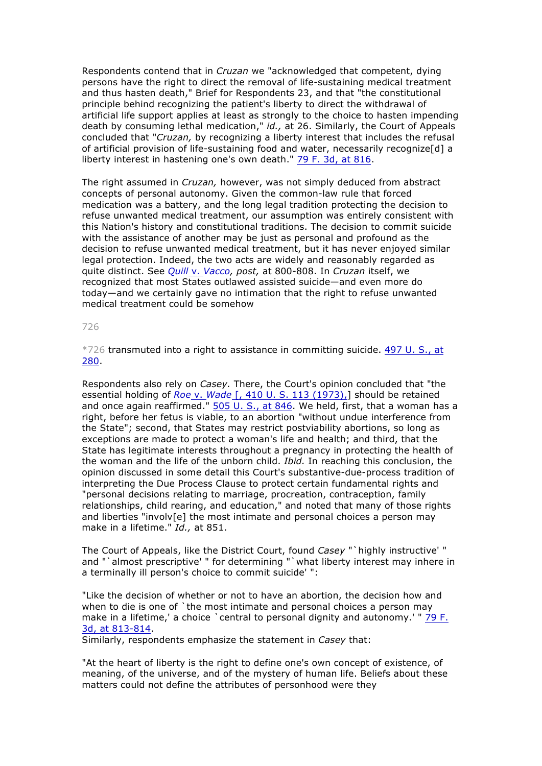Respondents contend that in *Cruzan* we "acknowledged that competent, dying persons have the right to direct the removal of life-sustaining medical treatment and thus hasten death," Brief for Respondents 23, and that "the constitutional principle behind recognizing the patient's liberty to direct the withdrawal of artificial life support applies at least as strongly to the choice to hasten impending death by consuming lethal medication," *id.,* at 26. Similarly, the Court of Appeals concluded that "*Cruzan,* by recognizing a liberty interest that includes the refusal of artificial provision of life-sustaining food and water, necessarily recognize[d] a liberty interest in hastening one's own death." 79 F. 3d, at 816.

The right assumed in *Cruzan,* however, was not simply deduced from abstract concepts of personal autonomy. Given the common-law rule that forced medication was a battery, and the long legal tradition protecting the decision to refuse unwanted medical treatment, our assumption was entirely consistent with this Nation's history and constitutional traditions. The decision to commit suicide with the assistance of another may be just as personal and profound as the decision to refuse unwanted medical treatment, but it has never enjoyed similar legal protection. Indeed, the two acts are widely and reasonably regarded as quite distinct. See *Quill* v. *Vacco, post,* at 800-808. In *Cruzan* itself, we recognized that most States outlawed assisted suicide—and even more do today—and we certainly gave no intimation that the right to refuse unwanted medical treatment could be somehow

726

\*726 transmuted into a right to assistance in committing suicide. 497 U. S., at 280.

Respondents also rely on *Casey.* There, the Court's opinion concluded that "the essential holding of *Roe* v. *Wade* [, 410 U. S. 113 (1973),] should be retained and once again reaffirmed." 505 U. S., at 846. We held, first, that a woman has a right, before her fetus is viable, to an abortion "without undue interference from the State"; second, that States may restrict postviability abortions, so long as exceptions are made to protect a woman's life and health; and third, that the State has legitimate interests throughout a pregnancy in protecting the health of the woman and the life of the unborn child. *Ibid.* In reaching this conclusion, the opinion discussed in some detail this Court's substantive-due-process tradition of interpreting the Due Process Clause to protect certain fundamental rights and "personal decisions relating to marriage, procreation, contraception, family relationships, child rearing, and education," and noted that many of those rights and liberties "involv[e] the most intimate and personal choices a person may make in a lifetime." *Id.,* at 851.

The Court of Appeals, like the District Court, found *Casey* "`highly instructive' " and "`almost prescriptive' " for determining "`what liberty interest may inhere in a terminally ill person's choice to commit suicide' ":

"Like the decision of whether or not to have an abortion, the decision how and when to die is one of `the most intimate and personal choices a person may make in a lifetime,' a choice `central to personal dignity and autonomy.' " 79 F. 3d, at 813-814.

Similarly, respondents emphasize the statement in *Casey* that:

"At the heart of liberty is the right to define one's own concept of existence, of meaning, of the universe, and of the mystery of human life. Beliefs about these matters could not define the attributes of personhood were they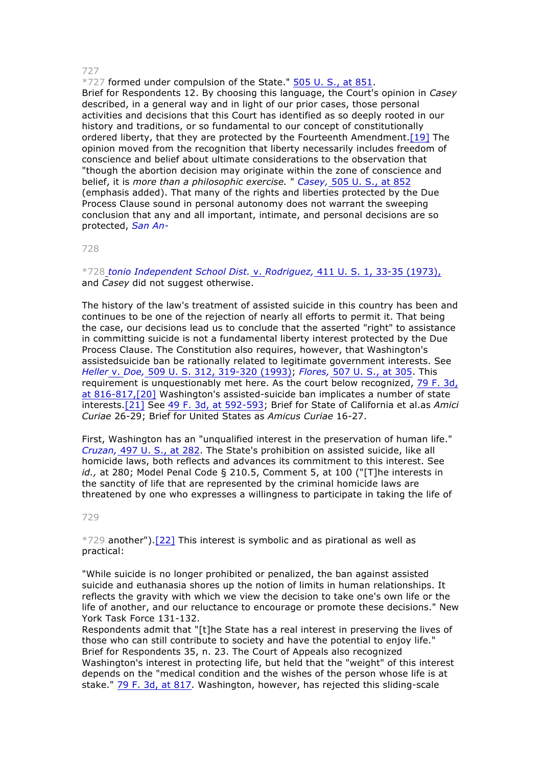## 727

\*727 formed under compulsion of the State." 505 U. S., at 851. Brief for Respondents 12. By choosing this language, the Court's opinion in *Casey* described, in a general way and in light of our prior cases, those personal activities and decisions that this Court has identified as so deeply rooted in our history and traditions, or so fundamental to our concept of constitutionally ordered liberty, that they are protected by the Fourteenth Amendment.[19] The opinion moved from the recognition that liberty necessarily includes freedom of conscience and belief about ultimate considerations to the observation that "though the abortion decision may originate within the zone of conscience and belief, it is *more than a philosophic exercise.* " *Casey,* 505 U. S., at 852 (emphasis added). That many of the rights and liberties protected by the Due Process Clause sound in personal autonomy does not warrant the sweeping conclusion that any and all important, intimate, and personal decisions are so protected, *San An-*

### 728

\*728 *tonio Independent School Dist.* v. *Rodriguez,* 411 U. S. 1, 33-35 (1973), and *Casey* did not suggest otherwise.

The history of the law's treatment of assisted suicide in this country has been and continues to be one of the rejection of nearly all efforts to permit it. That being the case, our decisions lead us to conclude that the asserted "right" to assistance in committing suicide is not a fundamental liberty interest protected by the Due Process Clause. The Constitution also requires, however, that Washington's assistedsuicide ban be rationally related to legitimate government interests. See *Heller* v. *Doe,* 509 U. S. 312, 319-320 (1993); *Flores,* 507 U. S., at 305. This requirement is unquestionably met here. As the court below recognized, 79 F. 3d, at 816-817,[20] Washington's assisted-suicide ban implicates a number of state interests.[21] See 49 F. 3d, at 592-593; Brief for State of California et al.as *Amici Curiae* 26-29; Brief for United States as *Amicus Curiae* 16-27.

First, Washington has an "unqualified interest in the preservation of human life." *Cruzan,* 497 U. S., at 282. The State's prohibition on assisted suicide, like all homicide laws, both reflects and advances its commitment to this interest. See *id.,* at 280; Model Penal Code § 210.5, Comment 5, at 100 ("[T]he interests in the sanctity of life that are represented by the criminal homicide laws are threatened by one who expresses a willingness to participate in taking the life of

## 729

\*729 another").[22] This interest is symbolic and as pirational as well as practical:

"While suicide is no longer prohibited or penalized, the ban against assisted suicide and euthanasia shores up the notion of limits in human relationships. It reflects the gravity with which we view the decision to take one's own life or the life of another, and our reluctance to encourage or promote these decisions." New York Task Force 131-132.

Respondents admit that "[t]he State has a real interest in preserving the lives of those who can still contribute to society and have the potential to enjoy life." Brief for Respondents 35, n. 23. The Court of Appeals also recognized Washington's interest in protecting life, but held that the "weight" of this interest depends on the "medical condition and the wishes of the person whose life is at stake." 79 F. 3d, at 817. Washington, however, has rejected this sliding-scale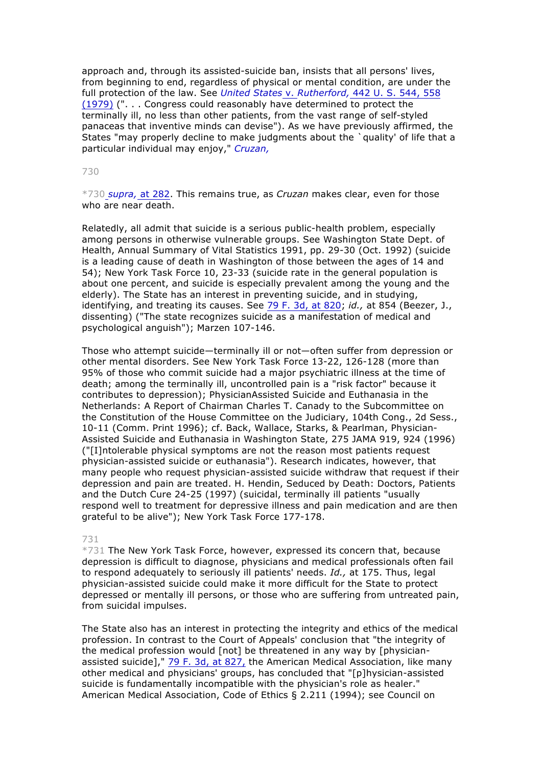approach and, through its assisted-suicide ban, insists that all persons' lives, from beginning to end, regardless of physical or mental condition, are under the full protection of the law. See *United States* v. *Rutherford,* 442 U. S. 544, 558 (1979) (". . . Congress could reasonably have determined to protect the terminally ill, no less than other patients, from the vast range of self-styled panaceas that inventive minds can devise"). As we have previously affirmed, the States "may properly decline to make judgments about the `quality' of life that a particular individual may enjoy," *Cruzan,*

### 730

\*730 *supra,* at 282. This remains true, as *Cruzan* makes clear, even for those who are near death.

Relatedly, all admit that suicide is a serious public-health problem, especially among persons in otherwise vulnerable groups. See Washington State Dept. of Health, Annual Summary of Vital Statistics 1991, pp. 29-30 (Oct. 1992) (suicide is a leading cause of death in Washington of those between the ages of 14 and 54); New York Task Force 10, 23-33 (suicide rate in the general population is about one percent, and suicide is especially prevalent among the young and the elderly). The State has an interest in preventing suicide, and in studying, identifying, and treating its causes. See 79 F. 3d, at 820; *id.,* at 854 (Beezer, J., dissenting) ("The state recognizes suicide as a manifestation of medical and psychological anguish"); Marzen 107-146.

Those who attempt suicide—terminally ill or not—often suffer from depression or other mental disorders. See New York Task Force 13-22, 126-128 (more than 95% of those who commit suicide had a major psychiatric illness at the time of death; among the terminally ill, uncontrolled pain is a "risk factor" because it contributes to depression); PhysicianAssisted Suicide and Euthanasia in the Netherlands: A Report of Chairman Charles T. Canady to the Subcommittee on the Constitution of the House Committee on the Judiciary, 104th Cong., 2d Sess., 10-11 (Comm. Print 1996); cf. Back, Wallace, Starks, & Pearlman, Physician-Assisted Suicide and Euthanasia in Washington State, 275 JAMA 919, 924 (1996) ("[I]ntolerable physical symptoms are not the reason most patients request physician-assisted suicide or euthanasia"). Research indicates, however, that many people who request physician-assisted suicide withdraw that request if their depression and pain are treated. H. Hendin, Seduced by Death: Doctors, Patients and the Dutch Cure 24-25 (1997) (suicidal, terminally ill patients "usually respond well to treatment for depressive illness and pain medication and are then grateful to be alive"); New York Task Force 177-178.

## 731

\*731 The New York Task Force, however, expressed its concern that, because depression is difficult to diagnose, physicians and medical professionals often fail to respond adequately to seriously ill patients' needs. *Id.,* at 175. Thus, legal physician-assisted suicide could make it more difficult for the State to protect depressed or mentally ill persons, or those who are suffering from untreated pain, from suicidal impulses.

The State also has an interest in protecting the integrity and ethics of the medical profession. In contrast to the Court of Appeals' conclusion that "the integrity of the medical profession would [not] be threatened in any way by [physicianassisted suicide]," 79 F. 3d, at 827, the American Medical Association, like many other medical and physicians' groups, has concluded that "[p]hysician-assisted suicide is fundamentally incompatible with the physician's role as healer." American Medical Association, Code of Ethics § 2.211 (1994); see Council on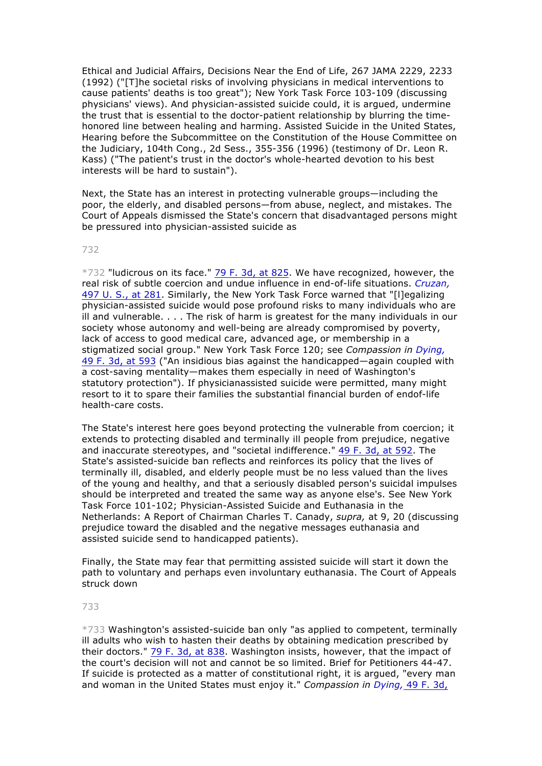Ethical and Judicial Affairs, Decisions Near the End of Life, 267 JAMA 2229, 2233 (1992) ("[T]he societal risks of involving physicians in medical interventions to cause patients' deaths is too great"); New York Task Force 103-109 (discussing physicians' views). And physician-assisted suicide could, it is argued, undermine the trust that is essential to the doctor-patient relationship by blurring the timehonored line between healing and harming. Assisted Suicide in the United States, Hearing before the Subcommittee on the Constitution of the House Committee on the Judiciary, 104th Cong., 2d Sess., 355-356 (1996) (testimony of Dr. Leon R. Kass) ("The patient's trust in the doctor's whole-hearted devotion to his best interests will be hard to sustain").

Next, the State has an interest in protecting vulnerable groups—including the poor, the elderly, and disabled persons—from abuse, neglect, and mistakes. The Court of Appeals dismissed the State's concern that disadvantaged persons might be pressured into physician-assisted suicide as

### 732

 $*732$  "ludicrous on its face." 79 F. 3d, at 825. We have recognized, however, the real risk of subtle coercion and undue influence in end-of-life situations. *Cruzan,* 497 U. S., at 281. Similarly, the New York Task Force warned that "[l]egalizing physician-assisted suicide would pose profound risks to many individuals who are ill and vulnerable. . . . The risk of harm is greatest for the many individuals in our society whose autonomy and well-being are already compromised by poverty, lack of access to good medical care, advanced age, or membership in a stigmatized social group." New York Task Force 120; see *Compassion in Dying,* 49 F. 3d, at 593 ("An insidious bias against the handicapped—again coupled with a cost-saving mentality—makes them especially in need of Washington's statutory protection"). If physicianassisted suicide were permitted, many might resort to it to spare their families the substantial financial burden of endof-life health-care costs.

The State's interest here goes beyond protecting the vulnerable from coercion; it extends to protecting disabled and terminally ill people from prejudice, negative and inaccurate stereotypes, and "societal indifference." 49 F. 3d, at 592. The State's assisted-suicide ban reflects and reinforces its policy that the lives of terminally ill, disabled, and elderly people must be no less valued than the lives of the young and healthy, and that a seriously disabled person's suicidal impulses should be interpreted and treated the same way as anyone else's. See New York Task Force 101-102; Physician-Assisted Suicide and Euthanasia in the Netherlands: A Report of Chairman Charles T. Canady, *supra,* at 9, 20 (discussing prejudice toward the disabled and the negative messages euthanasia and assisted suicide send to handicapped patients).

Finally, the State may fear that permitting assisted suicide will start it down the path to voluntary and perhaps even involuntary euthanasia. The Court of Appeals struck down

## 733

\*733 Washington's assisted-suicide ban only "as applied to competent, terminally ill adults who wish to hasten their deaths by obtaining medication prescribed by their doctors." 79 F. 3d, at 838. Washington insists, however, that the impact of the court's decision will not and cannot be so limited. Brief for Petitioners 44-47. If suicide is protected as a matter of constitutional right, it is argued, "every man and woman in the United States must enjoy it." *Compassion in Dying,* 49 F. 3d,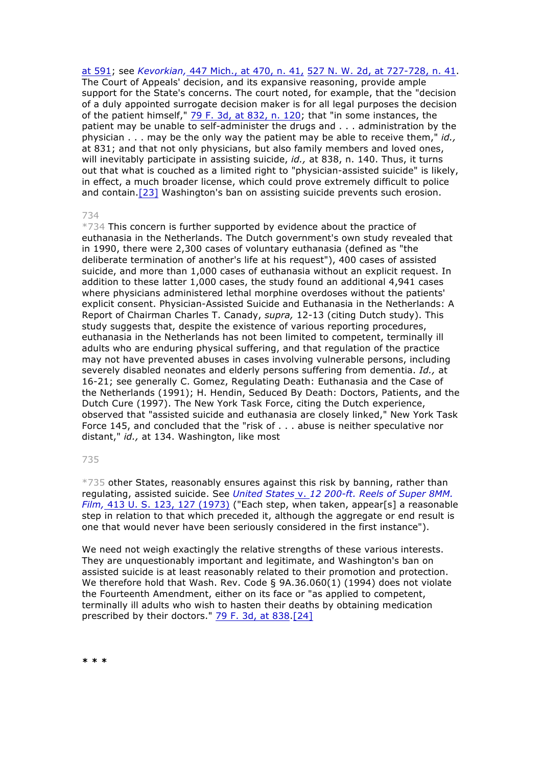at 591; see *Kevorkian,* 447 Mich., at 470, n. 41, 527 N. W. 2d, at 727-728, n. 41. The Court of Appeals' decision, and its expansive reasoning, provide ample support for the State's concerns. The court noted, for example, that the "decision of a duly appointed surrogate decision maker is for all legal purposes the decision of the patient himself," 79 F. 3d, at 832, n. 120; that "in some instances, the patient may be unable to self-administer the drugs and . . . administration by the physician . . . may be the only way the patient may be able to receive them," *id.,* at 831; and that not only physicians, but also family members and loved ones, will inevitably participate in assisting suicide, *id.,* at 838, n. 140. Thus, it turns out that what is couched as a limited right to "physician-assisted suicide" is likely, in effect, a much broader license, which could prove extremely difficult to police and contain.<sup>[23]</sup> Washington's ban on assisting suicide prevents such erosion.

### 734

 $*734$  This concern is further supported by evidence about the practice of euthanasia in the Netherlands. The Dutch government's own study revealed that in 1990, there were 2,300 cases of voluntary euthanasia (defined as "the deliberate termination of another's life at his request"), 400 cases of assisted suicide, and more than 1,000 cases of euthanasia without an explicit request. In addition to these latter 1,000 cases, the study found an additional 4,941 cases where physicians administered lethal morphine overdoses without the patients' explicit consent. Physician-Assisted Suicide and Euthanasia in the Netherlands: A Report of Chairman Charles T. Canady, *supra,* 12-13 (citing Dutch study). This study suggests that, despite the existence of various reporting procedures, euthanasia in the Netherlands has not been limited to competent, terminally ill adults who are enduring physical suffering, and that regulation of the practice may not have prevented abuses in cases involving vulnerable persons, including severely disabled neonates and elderly persons suffering from dementia. *Id.,* at 16-21; see generally C. Gomez, Regulating Death: Euthanasia and the Case of the Netherlands (1991); H. Hendin, Seduced By Death: Doctors, Patients, and the Dutch Cure (1997). The New York Task Force, citing the Dutch experience, observed that "assisted suicide and euthanasia are closely linked," New York Task Force 145, and concluded that the "risk of . . . abuse is neither speculative nor distant," *id.,* at 134. Washington, like most

#### 735

 $*735$  other States, reasonably ensures against this risk by banning, rather than regulating, assisted suicide. See *United States* v. *12 200-ft. Reels of Super 8MM. Film,* 413 U. S. 123, 127 (1973) ("Each step, when taken, appear[s] a reasonable step in relation to that which preceded it, although the aggregate or end result is one that would never have been seriously considered in the first instance").

We need not weigh exactingly the relative strengths of these various interests. They are unquestionably important and legitimate, and Washington's ban on assisted suicide is at least reasonably related to their promotion and protection. We therefore hold that Wash. Rev. Code § 9A.36.060(1) (1994) does not violate the Fourteenth Amendment, either on its face or "as applied to competent, terminally ill adults who wish to hasten their deaths by obtaining medication prescribed by their doctors." 79 F. 3d, at 838.[24]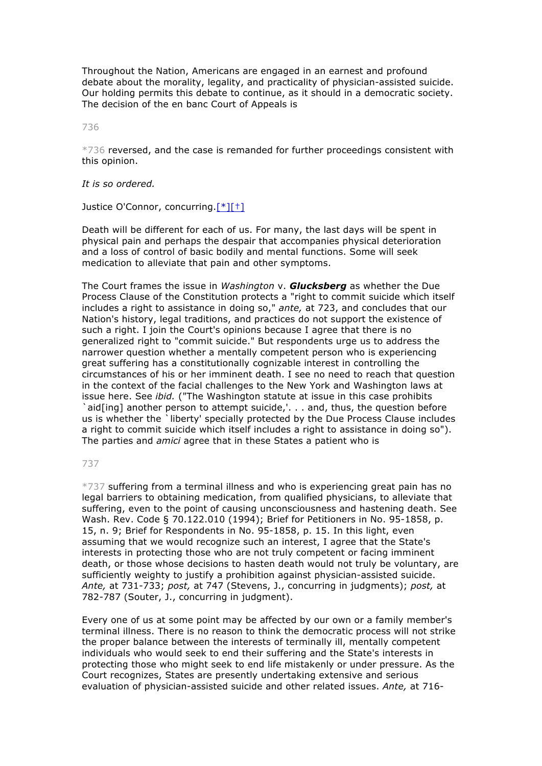Throughout the Nation, Americans are engaged in an earnest and profound debate about the morality, legality, and practicality of physician-assisted suicide. Our holding permits this debate to continue, as it should in a democratic society. The decision of the en banc Court of Appeals is

736

 $*736$  reversed, and the case is remanded for further proceedings consistent with this opinion.

*It is so ordered.*

Justice O'Connor, concurring.<sup>[\*][†]</sup>

Death will be different for each of us. For many, the last days will be spent in physical pain and perhaps the despair that accompanies physical deterioration and a loss of control of basic bodily and mental functions. Some will seek medication to alleviate that pain and other symptoms.

The Court frames the issue in *Washington* v. *Glucksberg* as whether the Due Process Clause of the Constitution protects a "right to commit suicide which itself includes a right to assistance in doing so," *ante,* at 723, and concludes that our Nation's history, legal traditions, and practices do not support the existence of such a right. I join the Court's opinions because I agree that there is no generalized right to "commit suicide." But respondents urge us to address the narrower question whether a mentally competent person who is experiencing great suffering has a constitutionally cognizable interest in controlling the circumstances of his or her imminent death. I see no need to reach that question in the context of the facial challenges to the New York and Washington laws at issue here. See *ibid.* ("The Washington statute at issue in this case prohibits `aid[ing] another person to attempt suicide,'. . . and, thus, the question before us is whether the `liberty' specially protected by the Due Process Clause includes a right to commit suicide which itself includes a right to assistance in doing so"). The parties and *amici* agree that in these States a patient who is

737

 $*737$  suffering from a terminal illness and who is experiencing great pain has no legal barriers to obtaining medication, from qualified physicians, to alleviate that suffering, even to the point of causing unconsciousness and hastening death. See Wash. Rev. Code § 70.122.010 (1994); Brief for Petitioners in No. 95-1858, p. 15, n. 9; Brief for Respondents in No. 95-1858, p. 15. In this light, even assuming that we would recognize such an interest, I agree that the State's interests in protecting those who are not truly competent or facing imminent death, or those whose decisions to hasten death would not truly be voluntary, are sufficiently weighty to justify a prohibition against physician-assisted suicide. *Ante,* at 731-733; *post,* at 747 (Stevens, J., concurring in judgments); *post,* at 782-787 (Souter, J., concurring in judgment).

Every one of us at some point may be affected by our own or a family member's terminal illness. There is no reason to think the democratic process will not strike the proper balance between the interests of terminally ill, mentally competent individuals who would seek to end their suffering and the State's interests in protecting those who might seek to end life mistakenly or under pressure. As the Court recognizes, States are presently undertaking extensive and serious evaluation of physician-assisted suicide and other related issues. *Ante,* at 716-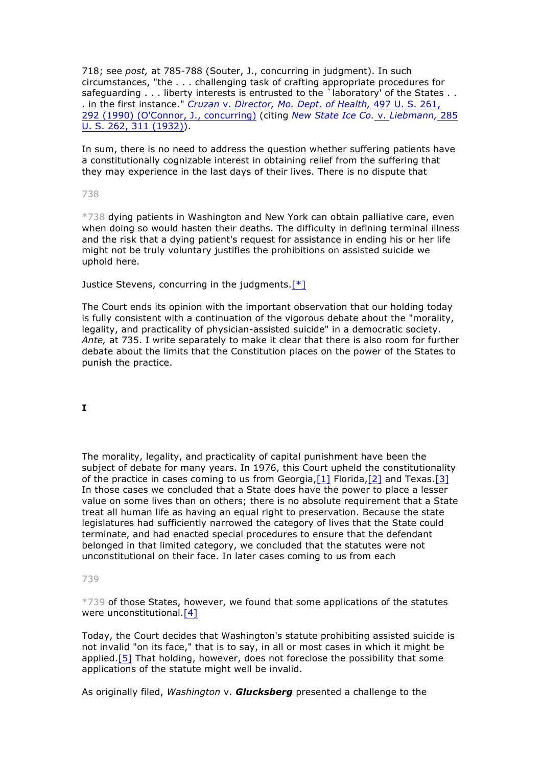718; see *post,* at 785-788 (Souter, J., concurring in judgment). In such circumstances, "the . . . challenging task of crafting appropriate procedures for safeguarding . . . liberty interests is entrusted to the `laboratory' of the States . . . in the first instance." *Cruzan* v. *Director, Mo. Dept. of Health,* 497 U. S. 261, 292 (1990) (O'Connor, J., concurring) (citing *New State Ice Co.* v. *Liebmann,* 285 U. S. 262, 311 (1932)).

In sum, there is no need to address the question whether suffering patients have a constitutionally cognizable interest in obtaining relief from the suffering that they may experience in the last days of their lives. There is no dispute that

738

\*738 dying patients in Washington and New York can obtain palliative care, even when doing so would hasten their deaths. The difficulty in defining terminal illness and the risk that a dying patient's request for assistance in ending his or her life might not be truly voluntary justifies the prohibitions on assisted suicide we uphold here.

Justice Stevens, concurring in the judgments.[\*]

The Court ends its opinion with the important observation that our holding today is fully consistent with a continuation of the vigorous debate about the "morality, legality, and practicality of physician-assisted suicide" in a democratic society. *Ante,* at 735. I write separately to make it clear that there is also room for further debate about the limits that the Constitution places on the power of the States to punish the practice.

## **I**

The morality, legality, and practicality of capital punishment have been the subject of debate for many years. In 1976, this Court upheld the constitutionality of the practice in cases coming to us from Georgia,  $[1]$  Florida,  $[2]$  and Texas. [3] In those cases we concluded that a State does have the power to place a lesser value on some lives than on others; there is no absolute requirement that a State treat all human life as having an equal right to preservation. Because the state legislatures had sufficiently narrowed the category of lives that the State could terminate, and had enacted special procedures to ensure that the defendant belonged in that limited category, we concluded that the statutes were not unconstitutional on their face. In later cases coming to us from each

739

\*739 of those States, however, we found that some applications of the statutes were unconstitutional.[4]

Today, the Court decides that Washington's statute prohibiting assisted suicide is not invalid "on its face," that is to say, in all or most cases in which it might be applied.[5] That holding, however, does not foreclose the possibility that some applications of the statute might well be invalid.

As originally filed, *Washington* v. *Glucksberg* presented a challenge to the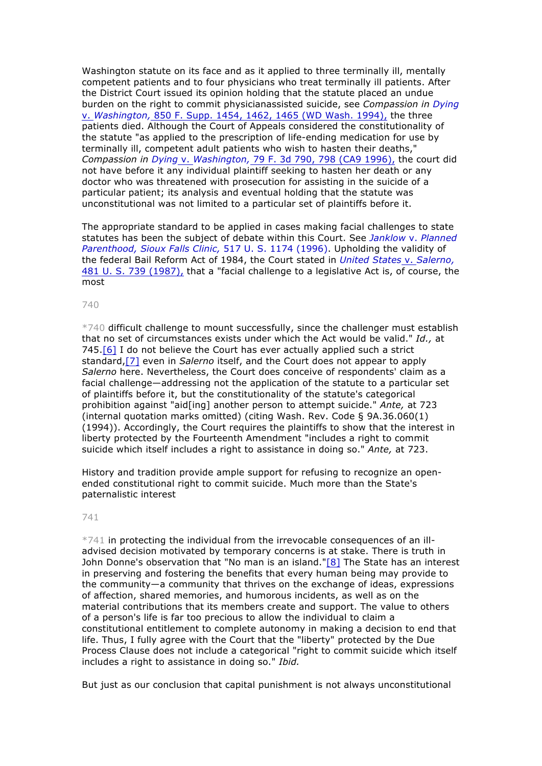Washington statute on its face and as it applied to three terminally ill, mentally competent patients and to four physicians who treat terminally ill patients. After the District Court issued its opinion holding that the statute placed an undue burden on the right to commit physicianassisted suicide, see *Compassion in Dying* v. *Washington,* 850 F. Supp. 1454, 1462, 1465 (WD Wash. 1994), the three patients died. Although the Court of Appeals considered the constitutionality of the statute "as applied to the prescription of life-ending medication for use by terminally ill, competent adult patients who wish to hasten their deaths," *Compassion in Dying* v. *Washington,* 79 F. 3d 790, 798 (CA9 1996), the court did not have before it any individual plaintiff seeking to hasten her death or any doctor who was threatened with prosecution for assisting in the suicide of a particular patient; its analysis and eventual holding that the statute was unconstitutional was not limited to a particular set of plaintiffs before it.

The appropriate standard to be applied in cases making facial challenges to state statutes has been the subject of debate within this Court. See *Janklow* v. *Planned Parenthood, Sioux Falls Clinic,* 517 U. S. 1174 (1996). Upholding the validity of the federal Bail Reform Act of 1984, the Court stated in *United States* v. *Salerno,* 481 U. S. 739 (1987), that a "facial challenge to a legislative Act is, of course, the most

## 740

 $*740$  difficult challenge to mount successfully, since the challenger must establish that no set of circumstances exists under which the Act would be valid." *Id.,* at 745.[6] I do not believe the Court has ever actually applied such a strict standard,[7] even in *Salerno* itself, and the Court does not appear to apply *Salerno* here. Nevertheless, the Court does conceive of respondents' claim as a facial challenge—addressing not the application of the statute to a particular set of plaintiffs before it, but the constitutionality of the statute's categorical prohibition against "aid[ing] another person to attempt suicide." *Ante,* at 723 (internal quotation marks omitted) (citing Wash. Rev. Code  $\S$  9A.36.060(1) (1994)). Accordingly, the Court requires the plaintiffs to show that the interest in liberty protected by the Fourteenth Amendment "includes a right to commit suicide which itself includes a right to assistance in doing so." *Ante,* at 723.

History and tradition provide ample support for refusing to recognize an openended constitutional right to commit suicide. Much more than the State's paternalistic interest

### 741

 $*741$  in protecting the individual from the irrevocable consequences of an illadvised decision motivated by temporary concerns is at stake. There is truth in John Donne's observation that "No man is an island."[8] The State has an interest in preserving and fostering the benefits that every human being may provide to the community—a community that thrives on the exchange of ideas, expressions of affection, shared memories, and humorous incidents, as well as on the material contributions that its members create and support. The value to others of a person's life is far too precious to allow the individual to claim a constitutional entitlement to complete autonomy in making a decision to end that life. Thus, I fully agree with the Court that the "liberty" protected by the Due Process Clause does not include a categorical "right to commit suicide which itself includes a right to assistance in doing so." *Ibid.*

But just as our conclusion that capital punishment is not always unconstitutional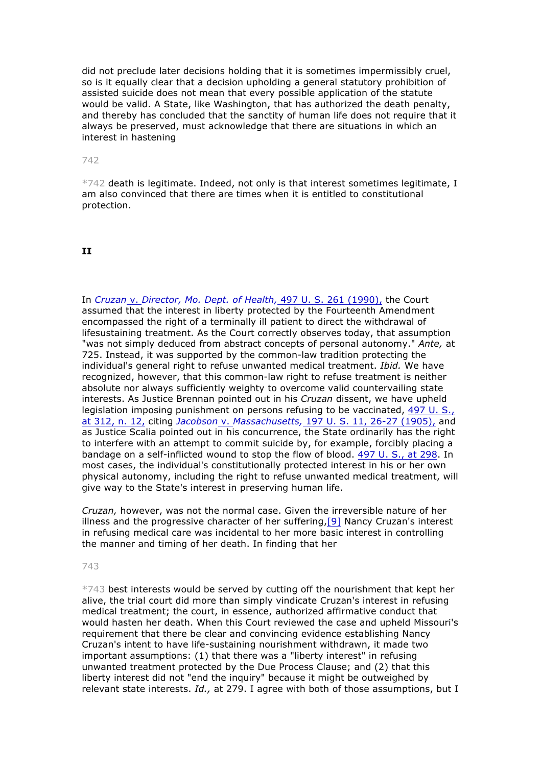did not preclude later decisions holding that it is sometimes impermissibly cruel, so is it equally clear that a decision upholding a general statutory prohibition of assisted suicide does not mean that every possible application of the statute would be valid. A State, like Washington, that has authorized the death penalty, and thereby has concluded that the sanctity of human life does not require that it always be preserved, must acknowledge that there are situations in which an interest in hastening

#### 742

 $*742$  death is legitimate. Indeed, not only is that interest sometimes legitimate, I am also convinced that there are times when it is entitled to constitutional protection.

## **II**

In *Cruzan* v. *Director, Mo. Dept. of Health,* 497 U. S. 261 (1990), the Court assumed that the interest in liberty protected by the Fourteenth Amendment encompassed the right of a terminally ill patient to direct the withdrawal of lifesustaining treatment. As the Court correctly observes today, that assumption "was not simply deduced from abstract concepts of personal autonomy." *Ante,* at 725. Instead, it was supported by the common-law tradition protecting the individual's general right to refuse unwanted medical treatment. *Ibid.* We have recognized, however, that this common-law right to refuse treatment is neither absolute nor always sufficiently weighty to overcome valid countervailing state interests. As Justice Brennan pointed out in his *Cruzan* dissent, we have upheld legislation imposing punishment on persons refusing to be vaccinated, 497 U. S., at 312, n. 12, citing *Jacobson* v. *Massachusetts,* 197 U. S. 11, 26-27 (1905), and as Justice Scalia pointed out in his concurrence, the State ordinarily has the right to interfere with an attempt to commit suicide by, for example, forcibly placing a bandage on a self-inflicted wound to stop the flow of blood. 497 U. S., at 298. In most cases, the individual's constitutionally protected interest in his or her own physical autonomy, including the right to refuse unwanted medical treatment, will give way to the State's interest in preserving human life.

*Cruzan,* however, was not the normal case. Given the irreversible nature of her illness and the progressive character of her suffering,  $[9]$  Nancy Cruzan's interest in refusing medical care was incidental to her more basic interest in controlling the manner and timing of her death. In finding that her

743

 $*743$  best interests would be served by cutting off the nourishment that kept her alive, the trial court did more than simply vindicate Cruzan's interest in refusing medical treatment; the court, in essence, authorized affirmative conduct that would hasten her death. When this Court reviewed the case and upheld Missouri's requirement that there be clear and convincing evidence establishing Nancy Cruzan's intent to have life-sustaining nourishment withdrawn, it made two important assumptions: (1) that there was a "liberty interest" in refusing unwanted treatment protected by the Due Process Clause; and (2) that this liberty interest did not "end the inquiry" because it might be outweighed by relevant state interests. *Id.,* at 279. I agree with both of those assumptions, but I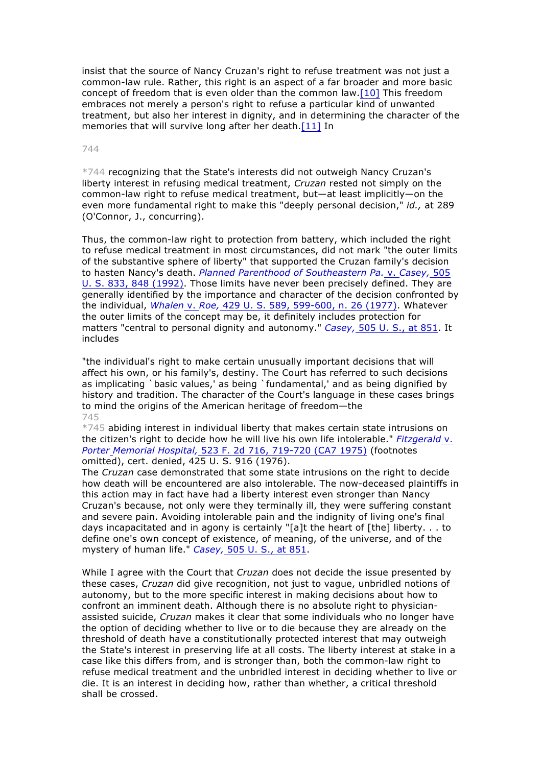insist that the source of Nancy Cruzan's right to refuse treatment was not just a common-law rule. Rather, this right is an aspect of a far broader and more basic concept of freedom that is even older than the common law.[10] This freedom embraces not merely a person's right to refuse a particular kind of unwanted treatment, but also her interest in dignity, and in determining the character of the memories that will survive long after her death.[11] In

### 744

\*744 recognizing that the State's interests did not outweigh Nancy Cruzan's liberty interest in refusing medical treatment, *Cruzan* rested not simply on the common-law right to refuse medical treatment, but—at least implicitly—on the even more fundamental right to make this "deeply personal decision," *id.,* at 289 (O'Connor, J., concurring).

Thus, the common-law right to protection from battery, which included the right to refuse medical treatment in most circumstances, did not mark "the outer limits of the substantive sphere of liberty" that supported the Cruzan family's decision to hasten Nancy's death. *Planned Parenthood of Southeastern Pa.* v. *Casey,* 505 U. S. 833, 848 (1992). Those limits have never been precisely defined. They are generally identified by the importance and character of the decision confronted by the individual, *Whalen* v. *Roe,* 429 U. S. 589, 599-600, n. 26 (1977). Whatever the outer limits of the concept may be, it definitely includes protection for matters "central to personal dignity and autonomy." *Casey,* 505 U. S., at 851. It includes

"the individual's right to make certain unusually important decisions that will affect his own, or his family's, destiny. The Court has referred to such decisions as implicating `basic values,' as being `fundamental,' and as being dignified by history and tradition. The character of the Court's language in these cases brings to mind the origins of the American heritage of freedom—the 745

\*745 abiding interest in individual liberty that makes certain state intrusions on the citizen's right to decide how he will live his own life intolerable." *Fitzgerald* v. *Porter Memorial Hospital,* 523 F. 2d 716, 719-720 (CA7 1975) (footnotes omitted), cert. denied, 425 U. S. 916 (1976).

The *Cruzan* case demonstrated that some state intrusions on the right to decide how death will be encountered are also intolerable. The now-deceased plaintiffs in this action may in fact have had a liberty interest even stronger than Nancy Cruzan's because, not only were they terminally ill, they were suffering constant and severe pain. Avoiding intolerable pain and the indignity of living one's final days incapacitated and in agony is certainly "[a]t the heart of [the] liberty. . . to define one's own concept of existence, of meaning, of the universe, and of the mystery of human life." *Casey,* 505 U. S., at 851.

While I agree with the Court that *Cruzan* does not decide the issue presented by these cases, *Cruzan* did give recognition, not just to vague, unbridled notions of autonomy, but to the more specific interest in making decisions about how to confront an imminent death. Although there is no absolute right to physicianassisted suicide, *Cruzan* makes it clear that some individuals who no longer have the option of deciding whether to live or to die because they are already on the threshold of death have a constitutionally protected interest that may outweigh the State's interest in preserving life at all costs. The liberty interest at stake in a case like this differs from, and is stronger than, both the common-law right to refuse medical treatment and the unbridled interest in deciding whether to live or die. It is an interest in deciding how, rather than whether, a critical threshold shall be crossed.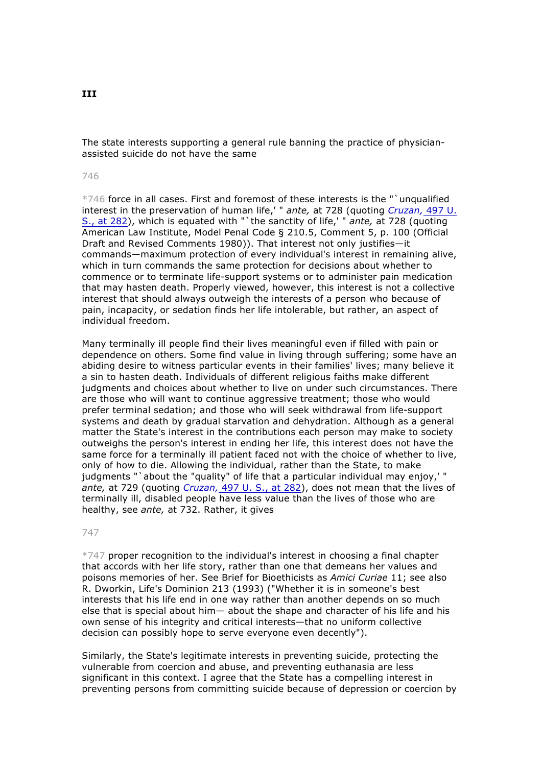The state interests supporting a general rule banning the practice of physicianassisted suicide do not have the same

## 746

 $*746$  force in all cases. First and foremost of these interests is the " unqualified interest in the preservation of human life,' " *ante,* at 728 (quoting *Cruzan,* 497 U. S., at 282), which is equated with "`the sanctity of life,' " *ante,* at 728 (quoting American Law Institute, Model Penal Code § 210.5, Comment 5, p. 100 (Official Draft and Revised Comments 1980)). That interest not only justifies—it commands—maximum protection of every individual's interest in remaining alive, which in turn commands the same protection for decisions about whether to commence or to terminate life-support systems or to administer pain medication that may hasten death. Properly viewed, however, this interest is not a collective interest that should always outweigh the interests of a person who because of pain, incapacity, or sedation finds her life intolerable, but rather, an aspect of individual freedom.

Many terminally ill people find their lives meaningful even if filled with pain or dependence on others. Some find value in living through suffering; some have an abiding desire to witness particular events in their families' lives; many believe it a sin to hasten death. Individuals of different religious faiths make different judgments and choices about whether to live on under such circumstances. There are those who will want to continue aggressive treatment; those who would prefer terminal sedation; and those who will seek withdrawal from life-support systems and death by gradual starvation and dehydration. Although as a general matter the State's interest in the contributions each person may make to society outweighs the person's interest in ending her life, this interest does not have the same force for a terminally ill patient faced not with the choice of whether to live, only of how to die. Allowing the individual, rather than the State, to make judgments "`about the "quality" of life that a particular individual may enjoy,' " *ante,* at 729 (quoting *Cruzan,* 497 U. S., at 282), does not mean that the lives of terminally ill, disabled people have less value than the lives of those who are healthy, see *ante,* at 732. Rather, it gives

## 747

 $*747$  proper recognition to the individual's interest in choosing a final chapter that accords with her life story, rather than one that demeans her values and poisons memories of her. See Brief for Bioethicists as *Amici Curiae* 11; see also R. Dworkin, Life's Dominion 213 (1993) ("Whether it is in someone's best interests that his life end in one way rather than another depends on so much else that is special about him— about the shape and character of his life and his own sense of his integrity and critical interests—that no uniform collective decision can possibly hope to serve everyone even decently").

Similarly, the State's legitimate interests in preventing suicide, protecting the vulnerable from coercion and abuse, and preventing euthanasia are less significant in this context. I agree that the State has a compelling interest in preventing persons from committing suicide because of depression or coercion by

# **III**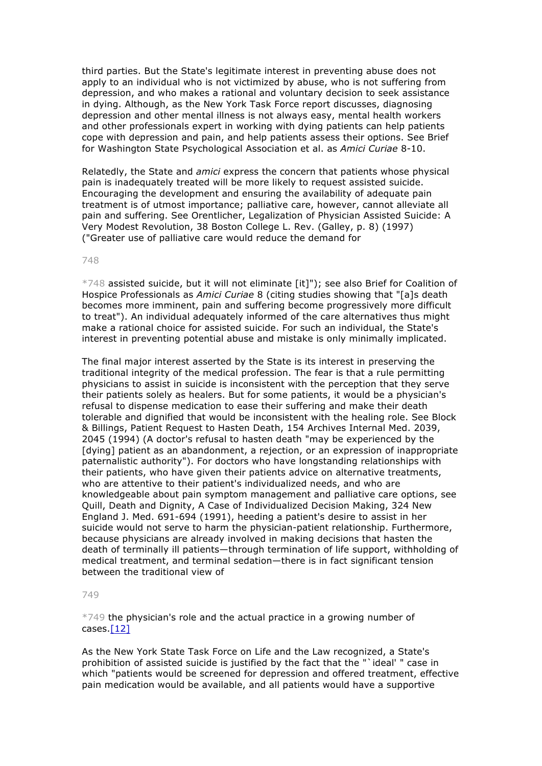third parties. But the State's legitimate interest in preventing abuse does not apply to an individual who is not victimized by abuse, who is not suffering from depression, and who makes a rational and voluntary decision to seek assistance in dying. Although, as the New York Task Force report discusses, diagnosing depression and other mental illness is not always easy, mental health workers and other professionals expert in working with dying patients can help patients cope with depression and pain, and help patients assess their options. See Brief for Washington State Psychological Association et al. as *Amici Curiae* 8-10.

Relatedly, the State and *amici* express the concern that patients whose physical pain is inadequately treated will be more likely to request assisted suicide. Encouraging the development and ensuring the availability of adequate pain treatment is of utmost importance; palliative care, however, cannot alleviate all pain and suffering. See Orentlicher, Legalization of Physician Assisted Suicide: A Very Modest Revolution, 38 Boston College L. Rev. (Galley, p. 8) (1997) ("Greater use of palliative care would reduce the demand for

## 748

\*748 assisted suicide, but it will not eliminate [it]"); see also Brief for Coalition of Hospice Professionals as *Amici Curiae* 8 (citing studies showing that "[a]s death becomes more imminent, pain and suffering become progressively more difficult to treat"). An individual adequately informed of the care alternatives thus might make a rational choice for assisted suicide. For such an individual, the State's interest in preventing potential abuse and mistake is only minimally implicated.

The final major interest asserted by the State is its interest in preserving the traditional integrity of the medical profession. The fear is that a rule permitting physicians to assist in suicide is inconsistent with the perception that they serve their patients solely as healers. But for some patients, it would be a physician's refusal to dispense medication to ease their suffering and make their death tolerable and dignified that would be inconsistent with the healing role. See Block & Billings, Patient Request to Hasten Death, 154 Archives Internal Med. 2039, 2045 (1994) (A doctor's refusal to hasten death "may be experienced by the [dying] patient as an abandonment, a rejection, or an expression of inappropriate paternalistic authority"). For doctors who have longstanding relationships with their patients, who have given their patients advice on alternative treatments, who are attentive to their patient's individualized needs, and who are knowledgeable about pain symptom management and palliative care options, see Quill, Death and Dignity, A Case of Individualized Decision Making, 324 New England J. Med. 691-694 (1991), heeding a patient's desire to assist in her suicide would not serve to harm the physician-patient relationship. Furthermore, because physicians are already involved in making decisions that hasten the death of terminally ill patients—through termination of life support, withholding of medical treatment, and terminal sedation—there is in fact significant tension between the traditional view of

## 749

 $*749$  the physician's role and the actual practice in a growing number of cases.[12]

As the New York State Task Force on Life and the Law recognized, a State's prohibition of assisted suicide is justified by the fact that the "`ideal' " case in which "patients would be screened for depression and offered treatment, effective pain medication would be available, and all patients would have a supportive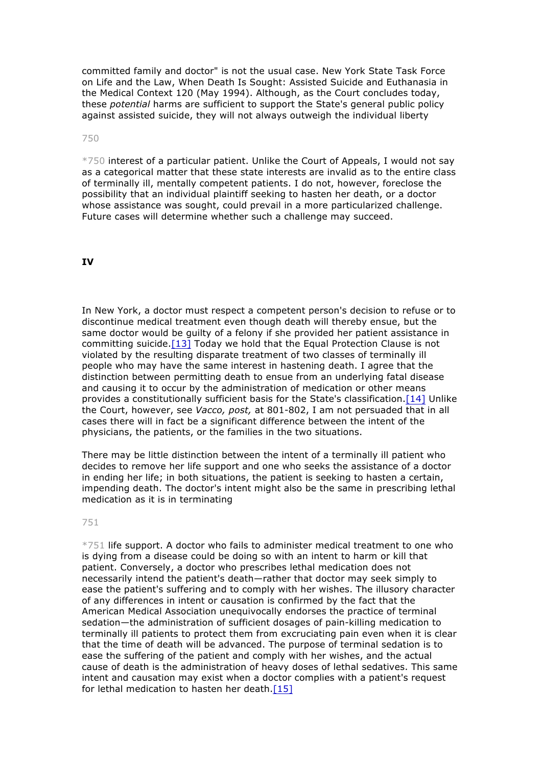committed family and doctor" is not the usual case. New York State Task Force on Life and the Law, When Death Is Sought: Assisted Suicide and Euthanasia in the Medical Context 120 (May 1994). Although, as the Court concludes today, these *potential* harms are sufficient to support the State's general public policy against assisted suicide, they will not always outweigh the individual liberty

## 750

 $*750$  interest of a particular patient. Unlike the Court of Appeals, I would not say as a categorical matter that these state interests are invalid as to the entire class of terminally ill, mentally competent patients. I do not, however, foreclose the possibility that an individual plaintiff seeking to hasten her death, or a doctor whose assistance was sought, could prevail in a more particularized challenge. Future cases will determine whether such a challenge may succeed.

## **IV**

In New York, a doctor must respect a competent person's decision to refuse or to discontinue medical treatment even though death will thereby ensue, but the same doctor would be guilty of a felony if she provided her patient assistance in committing suicide.[13] Today we hold that the Equal Protection Clause is not violated by the resulting disparate treatment of two classes of terminally ill people who may have the same interest in hastening death. I agree that the distinction between permitting death to ensue from an underlying fatal disease and causing it to occur by the administration of medication or other means provides a constitutionally sufficient basis for the State's classification.[14] Unlike the Court, however, see *Vacco, post,* at 801-802, I am not persuaded that in all cases there will in fact be a significant difference between the intent of the physicians, the patients, or the families in the two situations.

There may be little distinction between the intent of a terminally ill patient who decides to remove her life support and one who seeks the assistance of a doctor in ending her life; in both situations, the patient is seeking to hasten a certain, impending death. The doctor's intent might also be the same in prescribing lethal medication as it is in terminating

## 751

\*751 life support. A doctor who fails to administer medical treatment to one who is dying from a disease could be doing so with an intent to harm or kill that patient. Conversely, a doctor who prescribes lethal medication does not necessarily intend the patient's death—rather that doctor may seek simply to ease the patient's suffering and to comply with her wishes. The illusory character of any differences in intent or causation is confirmed by the fact that the American Medical Association unequivocally endorses the practice of terminal sedation—the administration of sufficient dosages of pain-killing medication to terminally ill patients to protect them from excruciating pain even when it is clear that the time of death will be advanced. The purpose of terminal sedation is to ease the suffering of the patient and comply with her wishes, and the actual cause of death is the administration of heavy doses of lethal sedatives. This same intent and causation may exist when a doctor complies with a patient's request for lethal medication to hasten her death. $[15]$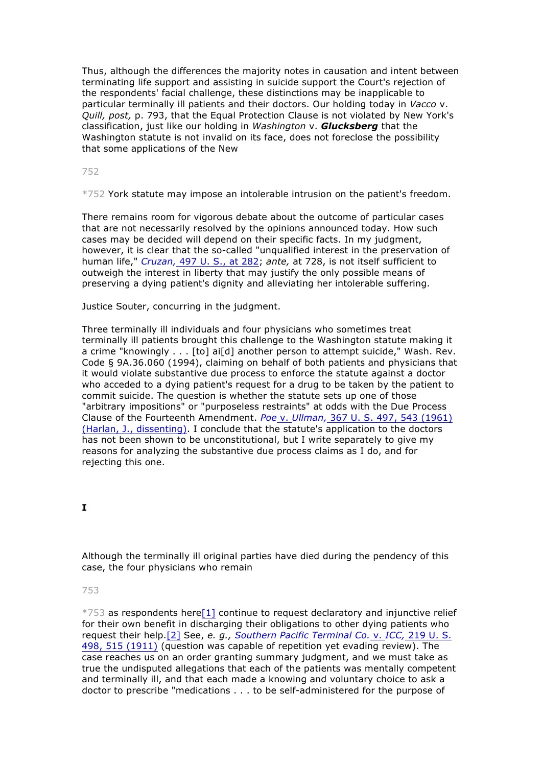Thus, although the differences the majority notes in causation and intent between terminating life support and assisting in suicide support the Court's rejection of the respondents' facial challenge, these distinctions may be inapplicable to particular terminally ill patients and their doctors. Our holding today in *Vacco* v. *Quill, post,* p. 793, that the Equal Protection Clause is not violated by New York's classification, just like our holding in *Washington* v. *Glucksberg* that the Washington statute is not invalid on its face, does not foreclose the possibility that some applications of the New

752

\*752 York statute may impose an intolerable intrusion on the patient's freedom.

There remains room for vigorous debate about the outcome of particular cases that are not necessarily resolved by the opinions announced today. How such cases may be decided will depend on their specific facts. In my judgment, however, it is clear that the so-called "unqualified interest in the preservation of human life," *Cruzan,* 497 U. S., at 282; *ante,* at 728, is not itself sufficient to outweigh the interest in liberty that may justify the only possible means of preserving a dying patient's dignity and alleviating her intolerable suffering.

Justice Souter, concurring in the judgment.

Three terminally ill individuals and four physicians who sometimes treat terminally ill patients brought this challenge to the Washington statute making it a crime "knowingly . . . [to] ai[d] another person to attempt suicide," Wash. Rev. Code § 9A.36.060 (1994), claiming on behalf of both patients and physicians that it would violate substantive due process to enforce the statute against a doctor who acceded to a dying patient's request for a drug to be taken by the patient to commit suicide. The question is whether the statute sets up one of those "arbitrary impositions" or "purposeless restraints" at odds with the Due Process Clause of the Fourteenth Amendment. *Poe* v. *Ullman,* 367 U. S. 497, 543 (1961) (Harlan, J., dissenting). I conclude that the statute's application to the doctors has not been shown to be unconstitutional, but I write separately to give my reasons for analyzing the substantive due process claims as I do, and for rejecting this one.

**I**

Although the terminally ill original parties have died during the pendency of this case, the four physicians who remain

753

 $*753$  as respondents here [1] continue to request declaratory and injunctive relief for their own benefit in discharging their obligations to other dying patients who request their help.[2] See, *e. g., Southern Pacific Terminal Co.* v. *ICC,* 219 U. S. 498, 515 (1911) (question was capable of repetition yet evading review). The case reaches us on an order granting summary judgment, and we must take as true the undisputed allegations that each of the patients was mentally competent and terminally ill, and that each made a knowing and voluntary choice to ask a doctor to prescribe "medications . . . to be self-administered for the purpose of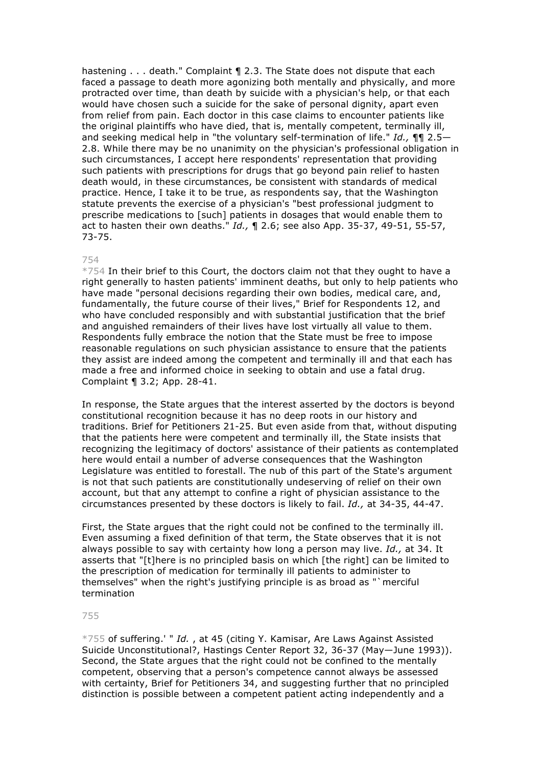hastening . . . death." Complaint ¶ 2.3. The State does not dispute that each faced a passage to death more agonizing both mentally and physically, and more protracted over time, than death by suicide with a physician's help, or that each would have chosen such a suicide for the sake of personal dignity, apart even from relief from pain. Each doctor in this case claims to encounter patients like the original plaintiffs who have died, that is, mentally competent, terminally ill, and seeking medical help in "the voluntary self-termination of life." *Id.,* ¶¶ 2.5— 2.8. While there may be no unanimity on the physician's professional obligation in such circumstances, I accept here respondents' representation that providing such patients with prescriptions for drugs that go beyond pain relief to hasten death would, in these circumstances, be consistent with standards of medical practice. Hence, I take it to be true, as respondents say, that the Washington statute prevents the exercise of a physician's "best professional judgment to prescribe medications to [such] patients in dosages that would enable them to act to hasten their own deaths." *Id.,* ¶ 2.6; see also App. 35-37, 49-51, 55-57, 73-75.

#### 754

 $*754$  In their brief to this Court, the doctors claim not that they ought to have a right generally to hasten patients' imminent deaths, but only to help patients who have made "personal decisions regarding their own bodies, medical care, and, fundamentally, the future course of their lives," Brief for Respondents 12, and who have concluded responsibly and with substantial justification that the brief and anguished remainders of their lives have lost virtually all value to them. Respondents fully embrace the notion that the State must be free to impose reasonable regulations on such physician assistance to ensure that the patients they assist are indeed among the competent and terminally ill and that each has made a free and informed choice in seeking to obtain and use a fatal drug. Complaint ¶ 3.2; App. 28-41.

In response, the State argues that the interest asserted by the doctors is beyond constitutional recognition because it has no deep roots in our history and traditions. Brief for Petitioners 21-25. But even aside from that, without disputing that the patients here were competent and terminally ill, the State insists that recognizing the legitimacy of doctors' assistance of their patients as contemplated here would entail a number of adverse consequences that the Washington Legislature was entitled to forestall. The nub of this part of the State's argument is not that such patients are constitutionally undeserving of relief on their own account, but that any attempt to confine a right of physician assistance to the circumstances presented by these doctors is likely to fail. *Id.,* at 34-35, 44-47.

First, the State argues that the right could not be confined to the terminally ill. Even assuming a fixed definition of that term, the State observes that it is not always possible to say with certainty how long a person may live. *Id.,* at 34. It asserts that "[t]here is no principled basis on which [the right] can be limited to the prescription of medication for terminally ill patients to administer to themselves" when the right's justifying principle is as broad as "`merciful termination

### 755

\*755 of suffering.' " *Id.* , at 45 (citing Y. Kamisar, Are Laws Against Assisted Suicide Unconstitutional?, Hastings Center Report 32, 36-37 (May—June 1993)). Second, the State argues that the right could not be confined to the mentally competent, observing that a person's competence cannot always be assessed with certainty, Brief for Petitioners 34, and suggesting further that no principled distinction is possible between a competent patient acting independently and a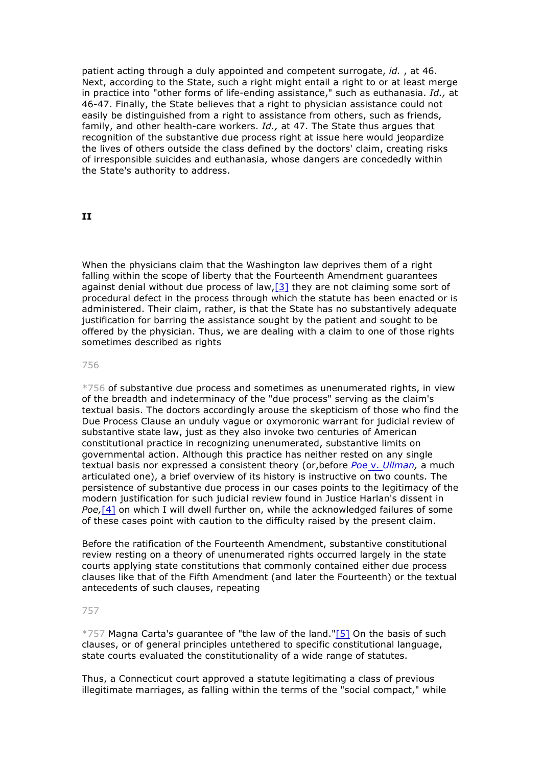patient acting through a duly appointed and competent surrogate, *id.* , at 46. Next, according to the State, such a right might entail a right to or at least merge in practice into "other forms of life-ending assistance," such as euthanasia. *Id.,* at 46-47. Finally, the State believes that a right to physician assistance could not easily be distinguished from a right to assistance from others, such as friends, family, and other health-care workers. *Id.,* at 47. The State thus argues that recognition of the substantive due process right at issue here would jeopardize the lives of others outside the class defined by the doctors' claim, creating risks of irresponsible suicides and euthanasia, whose dangers are concededly within the State's authority to address.

## **II**

When the physicians claim that the Washington law deprives them of a right falling within the scope of liberty that the Fourteenth Amendment guarantees against denial without due process of law,  $[3]$  they are not claiming some sort of procedural defect in the process through which the statute has been enacted or is administered. Their claim, rather, is that the State has no substantively adequate justification for barring the assistance sought by the patient and sought to be offered by the physician. Thus, we are dealing with a claim to one of those rights sometimes described as rights

### 756

 $*756$  of substantive due process and sometimes as unenumerated rights, in view of the breadth and indeterminacy of the "due process" serving as the claim's textual basis. The doctors accordingly arouse the skepticism of those who find the Due Process Clause an unduly vague or oxymoronic warrant for judicial review of substantive state law, just as they also invoke two centuries of American constitutional practice in recognizing unenumerated, substantive limits on governmental action. Although this practice has neither rested on any single textual basis nor expressed a consistent theory (or,before *Poe* v. *Ullman,* a much articulated one), a brief overview of its history is instructive on two counts. The persistence of substantive due process in our cases points to the legitimacy of the modern justification for such judicial review found in Justice Harlan's dissent in *Poe,*[4] on which I will dwell further on, while the acknowledged failures of some of these cases point with caution to the difficulty raised by the present claim.

Before the ratification of the Fourteenth Amendment, substantive constitutional review resting on a theory of unenumerated rights occurred largely in the state courts applying state constitutions that commonly contained either due process clauses like that of the Fifth Amendment (and later the Fourteenth) or the textual antecedents of such clauses, repeating

## 757

 $*757$  Magna Carta's guarantee of "the law of the land."[5] On the basis of such clauses, or of general principles untethered to specific constitutional language, state courts evaluated the constitutionality of a wide range of statutes.

Thus, a Connecticut court approved a statute legitimating a class of previous illegitimate marriages, as falling within the terms of the "social compact," while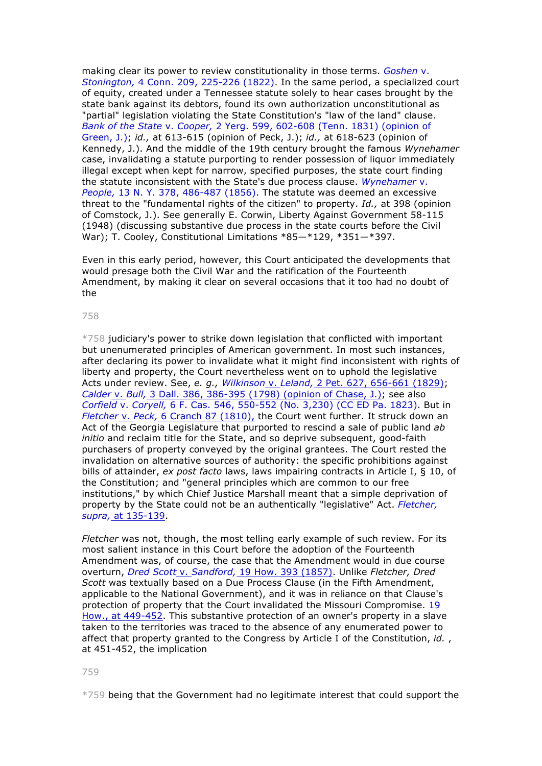making clear its power to review constitutionality in those terms. *Goshen* v. *Stonington,* 4 Conn. 209, 225-226 (1822). In the same period, a specialized court of equity, created under a Tennessee statute solely to hear cases brought by the state bank against its debtors, found its own authorization unconstitutional as "partial" legislation violating the State Constitution's "law of the land" clause. *Bank of the State* v. *Cooper,* 2 Yerg. 599, 602-608 (Tenn. 1831) (opinion of Green, J.); *id.,* at 613-615 (opinion of Peck, J.); *id.,* at 618-623 (opinion of Kennedy, J.). And the middle of the 19th century brought the famous *Wynehamer* case, invalidating a statute purporting to render possession of liquor immediately illegal except when kept for narrow, specified purposes, the state court finding the statute inconsistent with the State's due process clause. *Wynehamer* v. *People,* 13 N. Y. 378, 486-487 (1856). The statute was deemed an excessive threat to the "fundamental rights of the citizen" to property. *Id.,* at 398 (opinion of Comstock, J.). See generally E. Corwin, Liberty Against Government 58-115 (1948) (discussing substantive due process in the state courts before the Civil War); T. Cooley, Constitutional Limitations \*85—\*129, \*351—\*397.

Even in this early period, however, this Court anticipated the developments that would presage both the Civil War and the ratification of the Fourteenth Amendment, by making it clear on several occasions that it too had no doubt of the

## 758

\*758 judiciary's power to strike down legislation that conflicted with important but unenumerated principles of American government. In most such instances, after declaring its power to invalidate what it might find inconsistent with rights of liberty and property, the Court nevertheless went on to uphold the legislative Acts under review. See, *e. g., Wilkinson* v. *Leland,* 2 Pet. 627, 656-661 (1829); *Calder* v. *Bull,* 3 Dall. 386, 386-395 (1798) (opinion of Chase, J.); see also *Corfield* v. *Coryell,* 6 F. Cas. 546, 550-552 (No. 3,230) (CC ED Pa. 1823). But in *Fletcher* v. *Peck,* 6 Cranch 87 (1810), the Court went further. It struck down an Act of the Georgia Legislature that purported to rescind a sale of public land *ab initio* and reclaim title for the State, and so deprive subsequent, good-faith purchasers of property conveyed by the original grantees. The Court rested the invalidation on alternative sources of authority: the specific prohibitions against bills of attainder, *ex post facto* laws, laws impairing contracts in Article I, § 10, of the Constitution; and "general principles which are common to our free institutions," by which Chief Justice Marshall meant that a simple deprivation of property by the State could not be an authentically "legislative" Act. *Fletcher, supra,* at 135-139.

*Fletcher* was not, though, the most telling early example of such review. For its most salient instance in this Court before the adoption of the Fourteenth Amendment was, of course, the case that the Amendment would in due course overturn, *Dred Scott* v. *Sandford,* 19 How. 393 (1857). Unlike *Fletcher, Dred Scott* was textually based on a Due Process Clause (in the Fifth Amendment, applicable to the National Government), and it was in reliance on that Clause's protection of property that the Court invalidated the Missouri Compromise. 19 How., at 449-452. This substantive protection of an owner's property in a slave taken to the territories was traced to the absence of any enumerated power to affect that property granted to the Congress by Article I of the Constitution, *id.* , at 451-452, the implication

759

\*759 being that the Government had no legitimate interest that could support the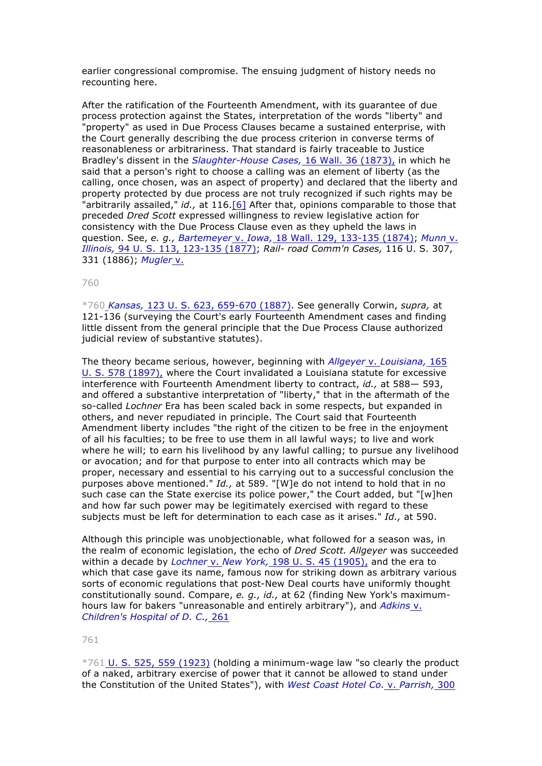earlier congressional compromise. The ensuing judgment of history needs no recounting here.

After the ratification of the Fourteenth Amendment, with its guarantee of due process protection against the States, interpretation of the words "liberty" and "property" as used in Due Process Clauses became a sustained enterprise, with the Court generally describing the due process criterion in converse terms of reasonableness or arbitrariness. That standard is fairly traceable to Justice Bradley's dissent in the *Slaughter-House Cases,* 16 Wall. 36 (1873), in which he said that a person's right to choose a calling was an element of liberty (as the calling, once chosen, was an aspect of property) and declared that the liberty and property protected by due process are not truly recognized if such rights may be "arbitrarily assailed," *id.,* at 116.[6] After that, opinions comparable to those that preceded *Dred Scott* expressed willingness to review legislative action for consistency with the Due Process Clause even as they upheld the laws in question. See, *e. g., Bartemeyer* v. *Iowa,* 18 Wall. 129, 133-135 (1874); *Munn* v. *Illinois,* 94 U. S. 113, 123-135 (1877); *Rail- road Comm'n Cases,* 116 U. S. 307, 331 (1886); *Mugler* v.

760

\*760 *Kansas,* 123 U. S. 623, 659-670 (1887). See generally Corwin, *supra,* at 121-136 (surveying the Court's early Fourteenth Amendment cases and finding little dissent from the general principle that the Due Process Clause authorized judicial review of substantive statutes).

The theory became serious, however, beginning with *Allgeyer* v. *Louisiana,* 165 U. S. 578 (1897), where the Court invalidated a Louisiana statute for excessive interference with Fourteenth Amendment liberty to contract, *id.,* at 588— 593, and offered a substantive interpretation of "liberty," that in the aftermath of the so-called *Lochner* Era has been scaled back in some respects, but expanded in others, and never repudiated in principle. The Court said that Fourteenth Amendment liberty includes "the right of the citizen to be free in the enjoyment of all his faculties; to be free to use them in all lawful ways; to live and work where he will; to earn his livelihood by any lawful calling; to pursue any livelihood or avocation; and for that purpose to enter into all contracts which may be proper, necessary and essential to his carrying out to a successful conclusion the purposes above mentioned." *Id.,* at 589. "[W]e do not intend to hold that in no such case can the State exercise its police power," the Court added, but "[w]hen and how far such power may be legitimately exercised with regard to these subjects must be left for determination to each case as it arises." *Id.,* at 590.

Although this principle was unobjectionable, what followed for a season was, in the realm of economic legislation, the echo of *Dred Scott. Allgeyer* was succeeded within a decade by *Lochner* v. *New York,* 198 U. S. 45 (1905), and the era to which that case gave its name, famous now for striking down as arbitrary various sorts of economic regulations that post-New Deal courts have uniformly thought constitutionally sound. Compare, *e. g., id.,* at 62 (finding New York's maximumhours law for bakers "unreasonable and entirely arbitrary"), and *Adkins* v. *Children's Hospital of D. C.,* 261

761

 $*761$  U. S. 525, 559 (1923) (holding a minimum-wage law "so clearly the product of a naked, arbitrary exercise of power that it cannot be allowed to stand under the Constitution of the United States"), with *West Coast Hotel Co.* v. *Parrish,* 300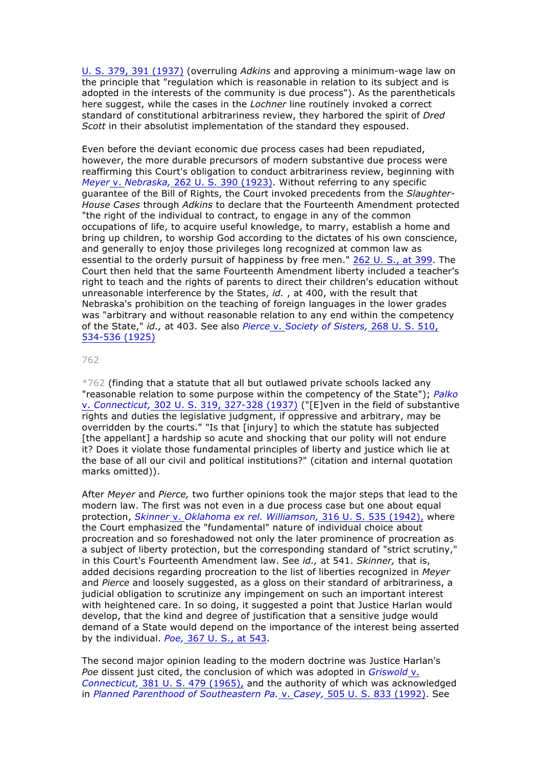U. S. 379, 391 (1937) (overruling *Adkins* and approving a minimum-wage law on the principle that "regulation which is reasonable in relation to its subject and is adopted in the interests of the community is due process"). As the parentheticals here suggest, while the cases in the *Lochner* line routinely invoked a correct standard of constitutional arbitrariness review, they harbored the spirit of *Dred Scott* in their absolutist implementation of the standard they espoused.

Even before the deviant economic due process cases had been repudiated, however, the more durable precursors of modern substantive due process were reaffirming this Court's obligation to conduct arbitrariness review, beginning with *Meyer* v. *Nebraska,* 262 U. S. 390 (1923). Without referring to any specific guarantee of the Bill of Rights, the Court invoked precedents from the *Slaughter-House Cases* through *Adkins* to declare that the Fourteenth Amendment protected "the right of the individual to contract, to engage in any of the common occupations of life, to acquire useful knowledge, to marry, establish a home and bring up children, to worship God according to the dictates of his own conscience, and generally to enjoy those privileges long recognized at common law as essential to the orderly pursuit of happiness by free men." 262 U. S., at 399. The Court then held that the same Fourteenth Amendment liberty included a teacher's right to teach and the rights of parents to direct their children's education without unreasonable interference by the States, *id.* , at 400, with the result that Nebraska's prohibition on the teaching of foreign languages in the lower grades was "arbitrary and without reasonable relation to any end within the competency of the State," *id.,* at 403. See also *Pierce* v. *Society of Sisters,* 268 U. S. 510, 534-536 (1925)

### 762

 $*762$  (finding that a statute that all but outlawed private schools lacked any "reasonable relation to some purpose within the competency of the State"); *Palko* v. *Connecticut,* 302 U. S. 319, 327-328 (1937) ("[E]ven in the field of substantive rights and duties the legislative judgment, if oppressive and arbitrary, may be overridden by the courts." "Is that [injury] to which the statute has subjected [the appellant] a hardship so acute and shocking that our polity will not endure it? Does it violate those fundamental principles of liberty and justice which lie at the base of all our civil and political institutions?" (citation and internal quotation marks omitted)).

After *Meyer* and *Pierce,* two further opinions took the major steps that lead to the modern law. The first was not even in a due process case but one about equal protection, *Skinner* v. *Oklahoma ex rel. Williamson,* 316 U. S. 535 (1942), where the Court emphasized the "fundamental" nature of individual choice about procreation and so foreshadowed not only the later prominence of procreation as a subject of liberty protection, but the corresponding standard of "strict scrutiny," in this Court's Fourteenth Amendment law. See *id.,* at 541. *Skinner,* that is, added decisions regarding procreation to the list of liberties recognized in *Meyer* and *Pierce* and loosely suggested, as a gloss on their standard of arbitrariness, a judicial obligation to scrutinize any impingement on such an important interest with heightened care. In so doing, it suggested a point that Justice Harlan would develop, that the kind and degree of justification that a sensitive judge would demand of a State would depend on the importance of the interest being asserted by the individual. *Poe,* 367 U. S., at 543.

The second major opinion leading to the modern doctrine was Justice Harlan's *Poe* dissent just cited, the conclusion of which was adopted in *Griswold* v. *Connecticut,* 381 U. S. 479 (1965), and the authority of which was acknowledged in *Planned Parenthood of Southeastern Pa.* v. *Casey,* 505 U. S. 833 (1992). See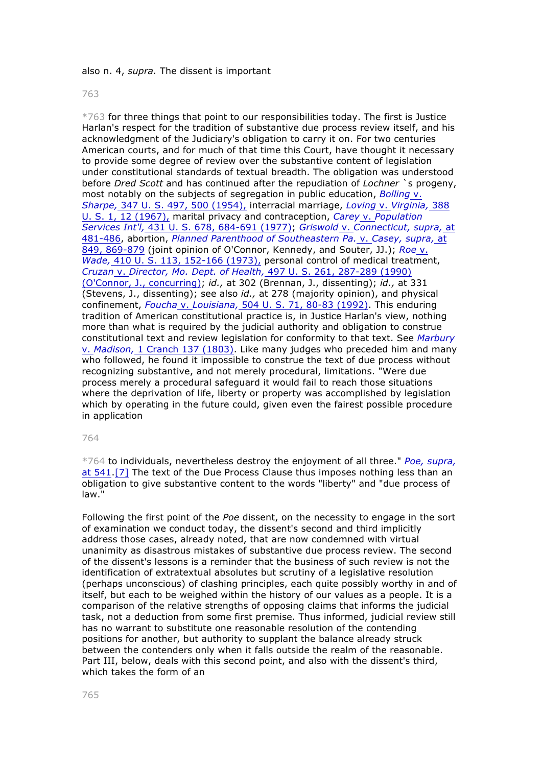also n. 4, *supra.* The dissent is important

### 763

 $*763$  for three things that point to our responsibilities today. The first is Justice Harlan's respect for the tradition of substantive due process review itself, and his acknowledgment of the Judiciary's obligation to carry it on. For two centuries American courts, and for much of that time this Court, have thought it necessary to provide some degree of review over the substantive content of legislation under constitutional standards of textual breadth. The obligation was understood before *Dred Scott* and has continued after the repudiation of *Lochner* `s progeny, most notably on the subjects of segregation in public education, *Bolling* v. *Sharpe,* 347 U. S. 497, 500 (1954), interracial marriage, *Loving* v. *Virginia,* 388 U. S. 1, 12 (1967), marital privacy and contraception, *Carey* v. *Population Services Int'l,* 431 U. S. 678, 684-691 (1977); *Griswold* v. *Connecticut, supra,* at 481-486, abortion, *Planned Parenthood of Southeastern Pa.* v. *Casey, supra,* at 849, 869-879 (joint opinion of O'Connor, Kennedy, and Souter, JJ.); *Roe* v. *Wade,* 410 U. S. 113, 152-166 (1973), personal control of medical treatment, *Cruzan* v. *Director, Mo. Dept. of Health,* 497 U. S. 261, 287-289 (1990) (O'Connor, J., concurring); *id.,* at 302 (Brennan, J., dissenting); *id.,* at 331 (Stevens, J., dissenting); see also *id.,* at 278 (majority opinion), and physical confinement, *Foucha* v. *Louisiana,* 504 U. S. 71, 80-83 (1992). This enduring tradition of American constitutional practice is, in Justice Harlan's view, nothing more than what is required by the judicial authority and obligation to construe constitutional text and review legislation for conformity to that text. See *Marbury* v. *Madison,* 1 Cranch 137 (1803). Like many judges who preceded him and many who followed, he found it impossible to construe the text of due process without recognizing substantive, and not merely procedural, limitations. "Were due process merely a procedural safeguard it would fail to reach those situations where the deprivation of life, liberty or property was accomplished by legislation which by operating in the future could, given even the fairest possible procedure in application

#### 764

\*764 to individuals, nevertheless destroy the enjoyment of all three." *Poe, supra,* at 541.[7] The text of the Due Process Clause thus imposes nothing less than an obligation to give substantive content to the words "liberty" and "due process of law."

Following the first point of the *Poe* dissent, on the necessity to engage in the sort of examination we conduct today, the dissent's second and third implicitly address those cases, already noted, that are now condemned with virtual unanimity as disastrous mistakes of substantive due process review. The second of the dissent's lessons is a reminder that the business of such review is not the identification of extratextual absolutes but scrutiny of a legislative resolution (perhaps unconscious) of clashing principles, each quite possibly worthy in and of itself, but each to be weighed within the history of our values as a people. It is a comparison of the relative strengths of opposing claims that informs the judicial task, not a deduction from some first premise. Thus informed, judicial review still has no warrant to substitute one reasonable resolution of the contending positions for another, but authority to supplant the balance already struck between the contenders only when it falls outside the realm of the reasonable. Part III, below, deals with this second point, and also with the dissent's third, which takes the form of an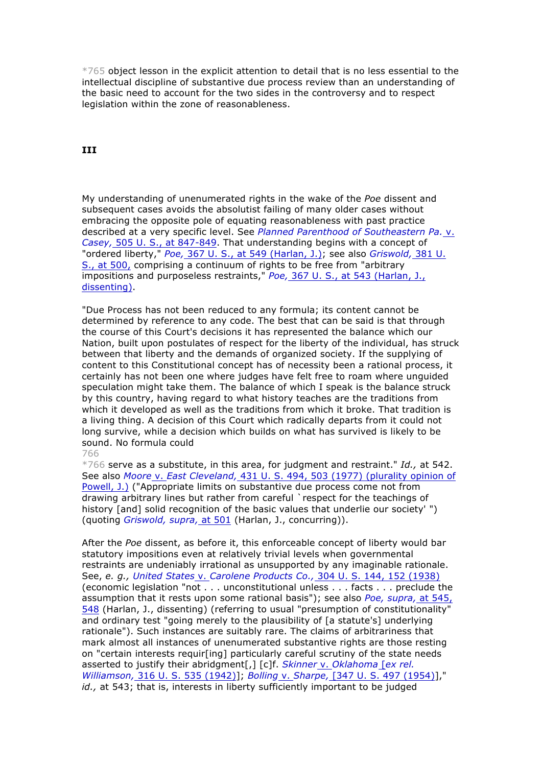$*765$  object lesson in the explicit attention to detail that is no less essential to the intellectual discipline of substantive due process review than an understanding of the basic need to account for the two sides in the controversy and to respect legislation within the zone of reasonableness.

# **III**

My understanding of unenumerated rights in the wake of the *Poe* dissent and subsequent cases avoids the absolutist failing of many older cases without embracing the opposite pole of equating reasonableness with past practice described at a very specific level. See *Planned Parenthood of Southeastern Pa.* v. *Casey,* 505 U. S., at 847-849. That understanding begins with a concept of "ordered liberty," *Poe,* 367 U. S., at 549 (Harlan, J.); see also *Griswold,* 381 U. S., at 500, comprising a continuum of rights to be free from "arbitrary impositions and purposeless restraints," *Poe,* 367 U. S., at 543 (Harlan, J., dissenting).

"Due Process has not been reduced to any formula; its content cannot be determined by reference to any code. The best that can be said is that through the course of this Court's decisions it has represented the balance which our Nation, built upon postulates of respect for the liberty of the individual, has struck between that liberty and the demands of organized society. If the supplying of content to this Constitutional concept has of necessity been a rational process, it certainly has not been one where judges have felt free to roam where unguided speculation might take them. The balance of which I speak is the balance struck by this country, having regard to what history teaches are the traditions from which it developed as well as the traditions from which it broke. That tradition is a living thing. A decision of this Court which radically departs from it could not long survive, while a decision which builds on what has survived is likely to be sound. No formula could

## 766

\*766 serve as a substitute, in this area, for judgment and restraint." *Id.,* at 542. See also *Moore* v. *East Cleveland,* 431 U. S. 494, 503 (1977) (plurality opinion of Powell, J.) ("Appropriate limits on substantive due process come not from drawing arbitrary lines but rather from careful `respect for the teachings of history [and] solid recognition of the basic values that underlie our society' ") (quoting *Griswold, supra,* at 501 (Harlan, J., concurring)).

After the *Poe* dissent, as before it, this enforceable concept of liberty would bar statutory impositions even at relatively trivial levels when governmental restraints are undeniably irrational as unsupported by any imaginable rationale. See, *e. g., United States* v. *Carolene Products Co.,* 304 U. S. 144, 152 (1938) (economic legislation "not . . . unconstitutional unless . . . facts . . . preclude the assumption that it rests upon some rational basis"); see also *Poe, supra,* at 545, 548 (Harlan, J., dissenting) (referring to usual "presumption of constitutionality" and ordinary test "going merely to the plausibility of [a statute's] underlying rationale"). Such instances are suitably rare. The claims of arbitrariness that mark almost all instances of unenumerated substantive rights are those resting on "certain interests requir[ing] particularly careful scrutiny of the state needs asserted to justify their abridgment[,] [c]f. *Skinner* v. *Oklahoma* [*ex rel. Williamson,* 316 U. S. 535 (1942)]; *Bolling* v. *Sharpe,* [347 U. S. 497 (1954)]," *id.*, at 543; that is, interests in liberty sufficiently important to be judged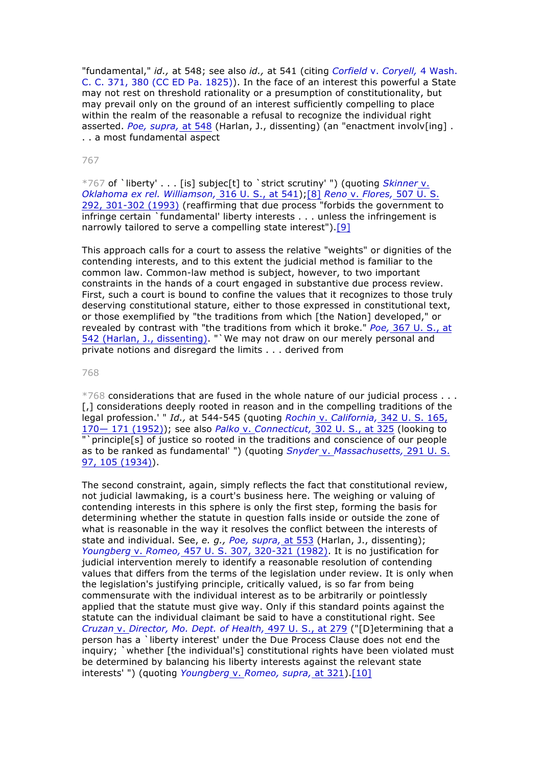"fundamental," *id.,* at 548; see also *id.,* at 541 (citing *Corfield* v. *Coryell,* 4 Wash. C. C. 371, 380 (CC ED Pa. 1825)). In the face of an interest this powerful a State may not rest on threshold rationality or a presumption of constitutionality, but may prevail only on the ground of an interest sufficiently compelling to place within the realm of the reasonable a refusal to recognize the individual right asserted. *Poe, supra,* at 548 (Harlan, J., dissenting) (an "enactment involv[ing] . . . a most fundamental aspect

## 767

\*767 of `liberty' . . . [is] subjec[t] to `strict scrutiny' ") (quoting *Skinner* v. *Oklahoma ex rel. Williamson,* 316 U. S., at 541);[8] *Reno* v. *Flores,* 507 U. S. 292, 301-302 (1993) (reaffirming that due process "forbids the government to infringe certain `fundamental' liberty interests . . . unless the infringement is narrowly tailored to serve a compelling state interest").[9]

This approach calls for a court to assess the relative "weights" or dignities of the contending interests, and to this extent the judicial method is familiar to the common law. Common-law method is subject, however, to two important constraints in the hands of a court engaged in substantive due process review. First, such a court is bound to confine the values that it recognizes to those truly deserving constitutional stature, either to those expressed in constitutional text, or those exemplified by "the traditions from which [the Nation] developed," or revealed by contrast with "the traditions from which it broke." *Poe,* 367 U. S., at 542 (Harlan, J., dissenting). "`We may not draw on our merely personal and private notions and disregard the limits . . . derived from

## 768

 $*768$  considerations that are fused in the whole nature of our judicial process  $\dots$ [,] considerations deeply rooted in reason and in the compelling traditions of the legal profession.' " *Id.,* at 544-545 (quoting *Rochin* v. *California,* 342 U. S. 165, 170— 171 (1952)); see also *Palko* v. *Connecticut,* 302 U. S., at 325 (looking to "`principle[s] of justice so rooted in the traditions and conscience of our people as to be ranked as fundamental' ") (quoting *Snyder* v. *Massachusetts,* 291 U. S. 97, 105 (1934)).

The second constraint, again, simply reflects the fact that constitutional review, not judicial lawmaking, is a court's business here. The weighing or valuing of contending interests in this sphere is only the first step, forming the basis for determining whether the statute in question falls inside or outside the zone of what is reasonable in the way it resolves the conflict between the interests of state and individual. See, *e. g., Poe, supra,* at 553 (Harlan, J., dissenting); *Youngberg* v. *Romeo,* 457 U. S. 307, 320-321 (1982). It is no justification for judicial intervention merely to identify a reasonable resolution of contending values that differs from the terms of the legislation under review. It is only when the legislation's justifying principle, critically valued, is so far from being commensurate with the individual interest as to be arbitrarily or pointlessly applied that the statute must give way. Only if this standard points against the statute can the individual claimant be said to have a constitutional right. See *Cruzan* v. *Director, Mo. Dept. of Health,* 497 U. S., at 279 ("[D]etermining that a person has a `liberty interest' under the Due Process Clause does not end the inquiry; `whether [the individual's] constitutional rights have been violated must be determined by balancing his liberty interests against the relevant state interests' ") (quoting *Youngberg* v. *Romeo, supra,* at 321).[10]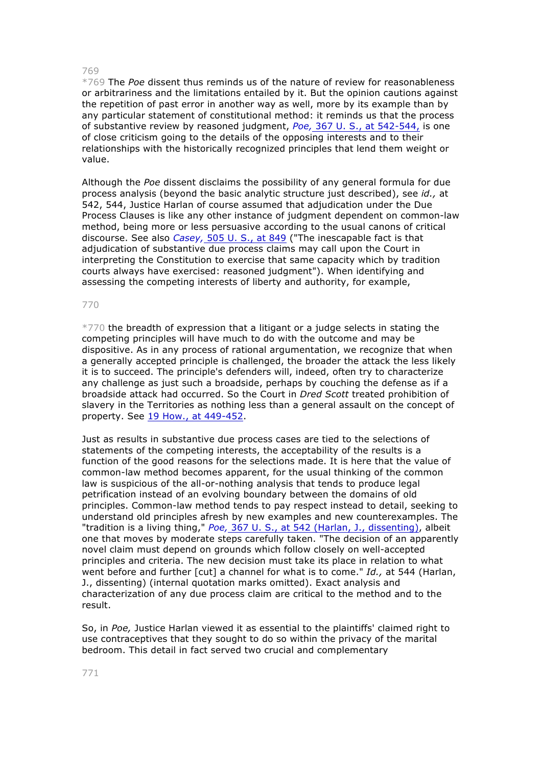#### 769

\*769 The *Poe* dissent thus reminds us of the nature of review for reasonableness or arbitrariness and the limitations entailed by it. But the opinion cautions against the repetition of past error in another way as well, more by its example than by any particular statement of constitutional method: it reminds us that the process of substantive review by reasoned judgment, *Poe,* 367 U. S., at 542-544, is one of close criticism going to the details of the opposing interests and to their relationships with the historically recognized principles that lend them weight or value.

Although the *Poe* dissent disclaims the possibility of any general formula for due process analysis (beyond the basic analytic structure just described), see *id.,* at 542, 544, Justice Harlan of course assumed that adjudication under the Due Process Clauses is like any other instance of judgment dependent on common-law method, being more or less persuasive according to the usual canons of critical discourse. See also *Casey,* 505 U. S., at 849 ("The inescapable fact is that adjudication of substantive due process claims may call upon the Court in interpreting the Constitution to exercise that same capacity which by tradition courts always have exercised: reasoned judgment"). When identifying and assessing the competing interests of liberty and authority, for example,

#### 770

 $*770$  the breadth of expression that a litigant or a judge selects in stating the competing principles will have much to do with the outcome and may be dispositive. As in any process of rational argumentation, we recognize that when a generally accepted principle is challenged, the broader the attack the less likely it is to succeed. The principle's defenders will, indeed, often try to characterize any challenge as just such a broadside, perhaps by couching the defense as if a broadside attack had occurred. So the Court in *Dred Scott* treated prohibition of slavery in the Territories as nothing less than a general assault on the concept of property. See 19 How., at 449-452.

Just as results in substantive due process cases are tied to the selections of statements of the competing interests, the acceptability of the results is a function of the good reasons for the selections made. It is here that the value of common-law method becomes apparent, for the usual thinking of the common law is suspicious of the all-or-nothing analysis that tends to produce legal petrification instead of an evolving boundary between the domains of old principles. Common-law method tends to pay respect instead to detail, seeking to understand old principles afresh by new examples and new counterexamples. The "tradition is a living thing," *Poe,* 367 U. S., at 542 (Harlan, J., dissenting), albeit one that moves by moderate steps carefully taken. "The decision of an apparently novel claim must depend on grounds which follow closely on well-accepted principles and criteria. The new decision must take its place in relation to what went before and further [cut] a channel for what is to come." *Id.,* at 544 (Harlan, J., dissenting) (internal quotation marks omitted). Exact analysis and characterization of any due process claim are critical to the method and to the result.

So, in *Poe,* Justice Harlan viewed it as essential to the plaintiffs' claimed right to use contraceptives that they sought to do so within the privacy of the marital bedroom. This detail in fact served two crucial and complementary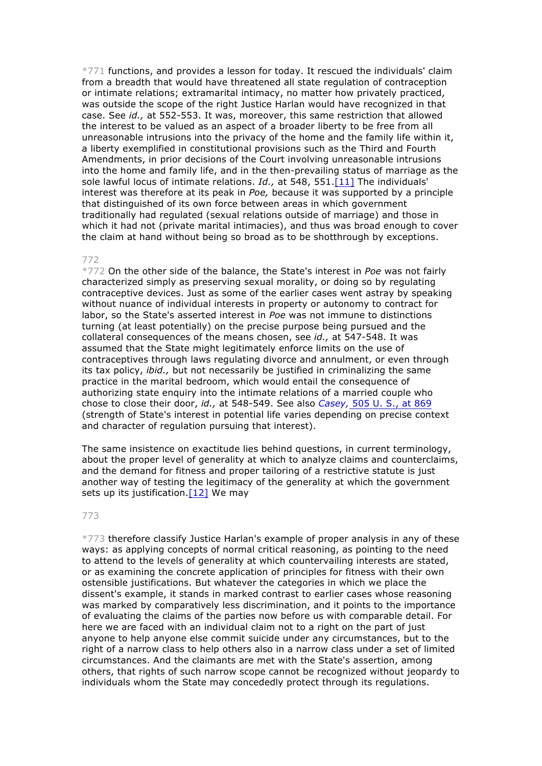$*771$  functions, and provides a lesson for today. It rescued the individuals' claim from a breadth that would have threatened all state regulation of contraception or intimate relations; extramarital intimacy, no matter how privately practiced, was outside the scope of the right Justice Harlan would have recognized in that case. See *id.,* at 552-553. It was, moreover, this same restriction that allowed the interest to be valued as an aspect of a broader liberty to be free from all unreasonable intrusions into the privacy of the home and the family life within it, a liberty exemplified in constitutional provisions such as the Third and Fourth Amendments, in prior decisions of the Court involving unreasonable intrusions into the home and family life, and in the then-prevailing status of marriage as the sole lawful locus of intimate relations. *Id.,* at 548, 551.[11] The individuals' interest was therefore at its peak in *Poe,* because it was supported by a principle that distinguished of its own force between areas in which government traditionally had regulated (sexual relations outside of marriage) and those in which it had not (private marital intimacies), and thus was broad enough to cover the claim at hand without being so broad as to be shotthrough by exceptions.

#### 772

\*772 On the other side of the balance, the State's interest in *Poe* was not fairly characterized simply as preserving sexual morality, or doing so by regulating contraceptive devices. Just as some of the earlier cases went astray by speaking without nuance of individual interests in property or autonomy to contract for labor, so the State's asserted interest in *Poe* was not immune to distinctions turning (at least potentially) on the precise purpose being pursued and the collateral consequences of the means chosen, see *id.,* at 547-548. It was assumed that the State might legitimately enforce limits on the use of contraceptives through laws regulating divorce and annulment, or even through its tax policy, *ibid.,* but not necessarily be justified in criminalizing the same practice in the marital bedroom, which would entail the consequence of authorizing state enquiry into the intimate relations of a married couple who chose to close their door, *id.,* at 548-549. See also *Casey,* 505 U. S., at 869 (strength of State's interest in potential life varies depending on precise context and character of regulation pursuing that interest).

The same insistence on exactitude lies behind questions, in current terminology, about the proper level of generality at which to analyze claims and counterclaims, and the demand for fitness and proper tailoring of a restrictive statute is just another way of testing the legitimacy of the generality at which the government sets up its justification.[12] We may

## 773

\*773 therefore classify Justice Harlan's example of proper analysis in any of these ways: as applying concepts of normal critical reasoning, as pointing to the need to attend to the levels of generality at which countervailing interests are stated, or as examining the concrete application of principles for fitness with their own ostensible justifications. But whatever the categories in which we place the dissent's example, it stands in marked contrast to earlier cases whose reasoning was marked by comparatively less discrimination, and it points to the importance of evaluating the claims of the parties now before us with comparable detail. For here we are faced with an individual claim not to a right on the part of just anyone to help anyone else commit suicide under any circumstances, but to the right of a narrow class to help others also in a narrow class under a set of limited circumstances. And the claimants are met with the State's assertion, among others, that rights of such narrow scope cannot be recognized without jeopardy to individuals whom the State may concededly protect through its regulations.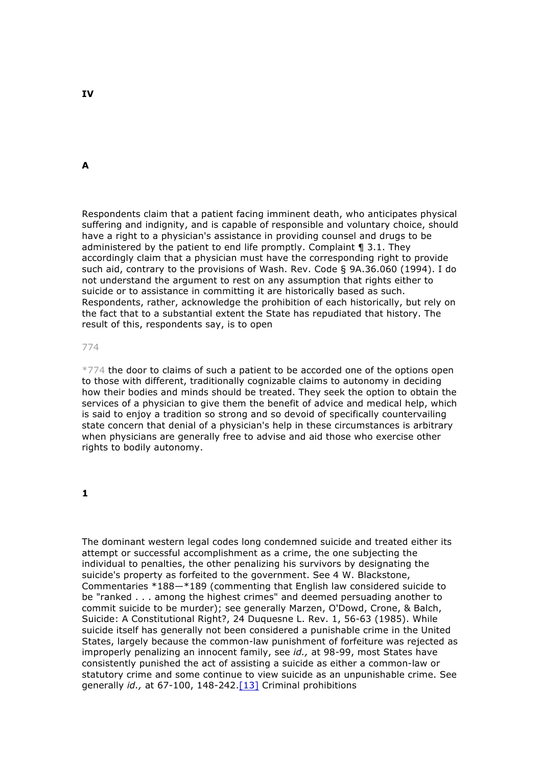Respondents claim that a patient facing imminent death, who anticipates physical suffering and indignity, and is capable of responsible and voluntary choice, should have a right to a physician's assistance in providing counsel and drugs to be administered by the patient to end life promptly. Complaint  $\P$  3.1. They accordingly claim that a physician must have the corresponding right to provide such aid, contrary to the provisions of Wash. Rev. Code § 9A.36.060 (1994). I do not understand the argument to rest on any assumption that rights either to suicide or to assistance in committing it are historically based as such. Respondents, rather, acknowledge the prohibition of each historically, but rely on the fact that to a substantial extent the State has repudiated that history. The result of this, respondents say, is to open

#### 774

 $*774$  the door to claims of such a patient to be accorded one of the options open to those with different, traditionally cognizable claims to autonomy in deciding how their bodies and minds should be treated. They seek the option to obtain the services of a physician to give them the benefit of advice and medical help, which is said to enjoy a tradition so strong and so devoid of specifically countervailing state concern that denial of a physician's help in these circumstances is arbitrary when physicians are generally free to advise and aid those who exercise other rights to bodily autonomy.

## **1**

The dominant western legal codes long condemned suicide and treated either its attempt or successful accomplishment as a crime, the one subjecting the individual to penalties, the other penalizing his survivors by designating the suicide's property as forfeited to the government. See 4 W. Blackstone, Commentaries \*188—\*189 (commenting that English law considered suicide to be "ranked . . . among the highest crimes" and deemed persuading another to commit suicide to be murder); see generally Marzen, O'Dowd, Crone, & Balch, Suicide: A Constitutional Right?, 24 Duquesne L. Rev. 1, 56-63 (1985). While suicide itself has generally not been considered a punishable crime in the United States, largely because the common-law punishment of forfeiture was rejected as improperly penalizing an innocent family, see *id.,* at 98-99, most States have consistently punished the act of assisting a suicide as either a common-law or statutory crime and some continue to view suicide as an unpunishable crime. See generally *id.,* at 67-100, 148-242.[13] Criminal prohibitions

**IV**

**A**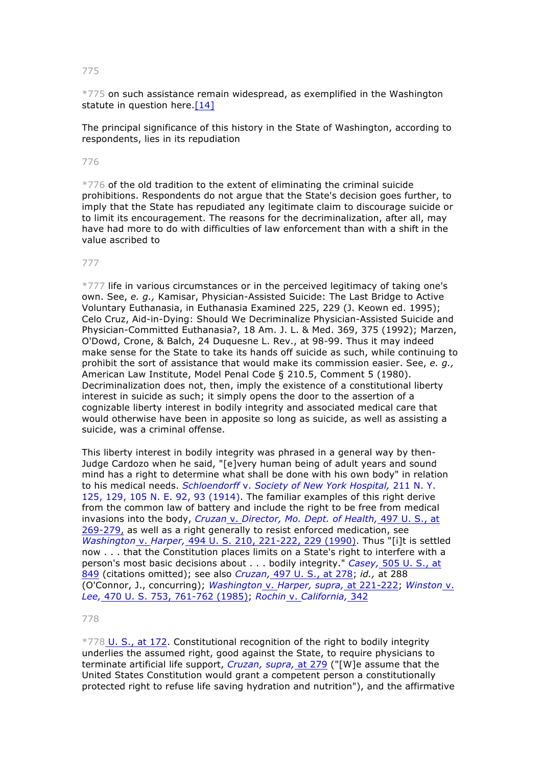## 775

 $*775$  on such assistance remain widespread, as exemplified in the Washington statute in question here.<sup>[14]</sup>

The principal significance of this history in the State of Washington, according to respondents, lies in its repudiation

## 776

\*776 of the old tradition to the extent of eliminating the criminal suicide prohibitions. Respondents do not argue that the State's decision goes further, to imply that the State has repudiated any legitimate claim to discourage suicide or to limit its encouragement. The reasons for the decriminalization, after all, may have had more to do with difficulties of law enforcement than with a shift in the value ascribed to

## 777

\*777 life in various circumstances or in the perceived legitimacy of taking one's own. See, *e. g.,* Kamisar, Physician-Assisted Suicide: The Last Bridge to Active Voluntary Euthanasia, in Euthanasia Examined 225, 229 (J. Keown ed. 1995); Celo Cruz, Aid-in-Dying: Should We Decriminalize Physician-Assisted Suicide and Physician-Committed Euthanasia?, 18 Am. J. L. & Med. 369, 375 (1992); Marzen, O'Dowd, Crone, & Balch, 24 Duquesne L. Rev., at 98-99. Thus it may indeed make sense for the State to take its hands off suicide as such, while continuing to prohibit the sort of assistance that would make its commission easier. See, *e. g.,* American Law Institute, Model Penal Code § 210.5, Comment 5 (1980). Decriminalization does not, then, imply the existence of a constitutional liberty interest in suicide as such; it simply opens the door to the assertion of a cognizable liberty interest in bodily integrity and associated medical care that would otherwise have been in apposite so long as suicide, as well as assisting a suicide, was a criminal offense.

This liberty interest in bodily integrity was phrased in a general way by then-Judge Cardozo when he said, "[e]very human being of adult years and sound mind has a right to determine what shall be done with his own body" in relation to his medical needs. *Schloendorff* v. *Society of New York Hospital,* 211 N. Y. 125, 129, 105 N. E. 92, 93 (1914). The familiar examples of this right derive from the common law of battery and include the right to be free from medical invasions into the body, *Cruzan* v. *Director, Mo. Dept. of Health,* 497 U. S., at 269-279, as well as a right generally to resist enforced medication, see *Washington* v. *Harper,* 494 U. S. 210, 221-222, 229 (1990). Thus "[i]t is settled now . . . that the Constitution places limits on a State's right to interfere with a person's most basic decisions about . . . bodily integrity." *Casey,* 505 U. S., at 849 (citations omitted); see also *Cruzan,* 497 U. S., at 278; *id.,* at 288 (O'Connor, J., concurring); *Washington* v. *Harper, supra,* at 221-222; *Winston* v. *Lee,* 470 U. S. 753, 761-762 (1985); *Rochin* v. *California,* 342

## 778

\*778 U. S., at 172. Constitutional recognition of the right to bodily integrity underlies the assumed right, good against the State, to require physicians to terminate artificial life support, *Cruzan, supra,* at 279 ("[W]e assume that the United States Constitution would grant a competent person a constitutionally protected right to refuse life saving hydration and nutrition"), and the affirmative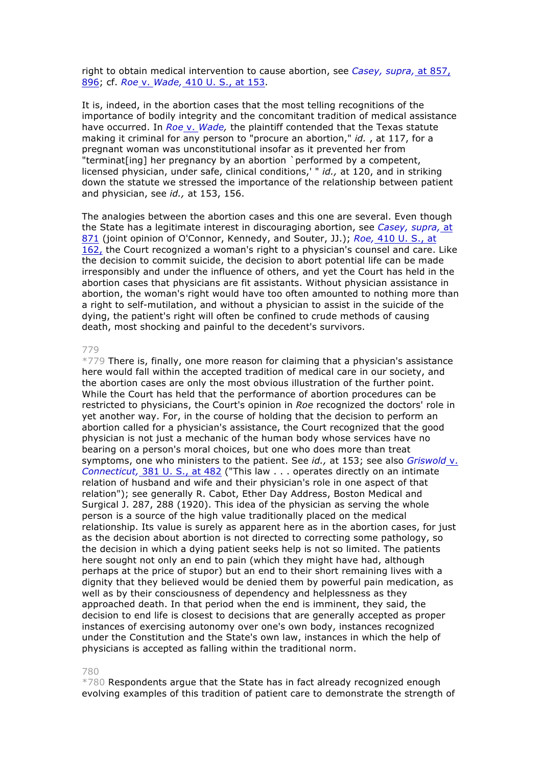right to obtain medical intervention to cause abortion, see *Casey, supra,* at 857, 896; cf. *Roe* v. *Wade,* 410 U. S., at 153.

It is, indeed, in the abortion cases that the most telling recognitions of the importance of bodily integrity and the concomitant tradition of medical assistance have occurred. In *Roe* v. *Wade,* the plaintiff contended that the Texas statute making it criminal for any person to "procure an abortion," *id.* , at 117, for a pregnant woman was unconstitutional insofar as it prevented her from "terminat[ing] her pregnancy by an abortion `performed by a competent, licensed physician, under safe, clinical conditions,' " *id.,* at 120, and in striking down the statute we stressed the importance of the relationship between patient and physician, see *id.,* at 153, 156.

The analogies between the abortion cases and this one are several. Even though the State has a legitimate interest in discouraging abortion, see *Casey, supra,* at 871 (joint opinion of O'Connor, Kennedy, and Souter, JJ.); *Roe,* 410 U. S., at 162, the Court recognized a woman's right to a physician's counsel and care. Like the decision to commit suicide, the decision to abort potential life can be made irresponsibly and under the influence of others, and yet the Court has held in the abortion cases that physicians are fit assistants. Without physician assistance in abortion, the woman's right would have too often amounted to nothing more than a right to self-mutilation, and without a physician to assist in the suicide of the dying, the patient's right will often be confined to crude methods of causing death, most shocking and painful to the decedent's survivors.

#### 779

 $*779$  There is, finally, one more reason for claiming that a physician's assistance here would fall within the accepted tradition of medical care in our society, and the abortion cases are only the most obvious illustration of the further point. While the Court has held that the performance of abortion procedures can be restricted to physicians, the Court's opinion in *Roe* recognized the doctors' role in yet another way. For, in the course of holding that the decision to perform an abortion called for a physician's assistance, the Court recognized that the good physician is not just a mechanic of the human body whose services have no bearing on a person's moral choices, but one who does more than treat symptoms, one who ministers to the patient. See *id.,* at 153; see also *Griswold* v. *Connecticut,* 381 U. S., at 482 ("This law . . . operates directly on an intimate relation of husband and wife and their physician's role in one aspect of that relation"); see generally R. Cabot, Ether Day Address, Boston Medical and Surgical J. 287, 288 (1920). This idea of the physician as serving the whole person is a source of the high value traditionally placed on the medical relationship. Its value is surely as apparent here as in the abortion cases, for just as the decision about abortion is not directed to correcting some pathology, so the decision in which a dying patient seeks help is not so limited. The patients here sought not only an end to pain (which they might have had, although perhaps at the price of stupor) but an end to their short remaining lives with a dignity that they believed would be denied them by powerful pain medication, as well as by their consciousness of dependency and helplessness as they approached death. In that period when the end is imminent, they said, the decision to end life is closest to decisions that are generally accepted as proper instances of exercising autonomy over one's own body, instances recognized under the Constitution and the State's own law, instances in which the help of physicians is accepted as falling within the traditional norm.

#### 780

\*780 Respondents argue that the State has in fact already recognized enough evolving examples of this tradition of patient care to demonstrate the strength of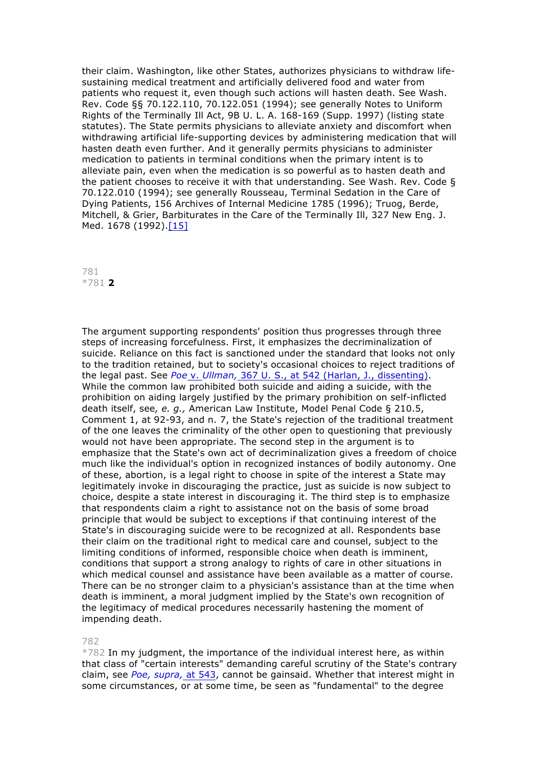their claim. Washington, like other States, authorizes physicians to withdraw lifesustaining medical treatment and artificially delivered food and water from patients who request it, even though such actions will hasten death. See Wash. Rev. Code §§ 70.122.110, 70.122.051 (1994); see generally Notes to Uniform Rights of the Terminally Ill Act, 9B U. L. A. 168-169 (Supp. 1997) (listing state statutes). The State permits physicians to alleviate anxiety and discomfort when withdrawing artificial life-supporting devices by administering medication that will hasten death even further. And it generally permits physicians to administer medication to patients in terminal conditions when the primary intent is to alleviate pain, even when the medication is so powerful as to hasten death and the patient chooses to receive it with that understanding. See Wash. Rev. Code § 70.122.010 (1994); see generally Rousseau, Terminal Sedation in the Care of Dying Patients, 156 Archives of Internal Medicine 1785 (1996); Truog, Berde, Mitchell, & Grier, Barbiturates in the Care of the Terminally Ill, 327 New Eng. J. Med. 1678 (1992).[15]

781 \*781 **2**

The argument supporting respondents' position thus progresses through three steps of increasing forcefulness. First, it emphasizes the decriminalization of suicide. Reliance on this fact is sanctioned under the standard that looks not only to the tradition retained, but to society's occasional choices to reject traditions of the legal past. See *Poe* v. *Ullman,* 367 U. S., at 542 (Harlan, J., dissenting). While the common law prohibited both suicide and aiding a suicide, with the prohibition on aiding largely justified by the primary prohibition on self-inflicted death itself, see*, e. g.,* American Law Institute, Model Penal Code § 210.5, Comment 1, at 92-93, and n. 7, the State's rejection of the traditional treatment of the one leaves the criminality of the other open to questioning that previously would not have been appropriate. The second step in the argument is to emphasize that the State's own act of decriminalization gives a freedom of choice much like the individual's option in recognized instances of bodily autonomy. One of these, abortion, is a legal right to choose in spite of the interest a State may legitimately invoke in discouraging the practice, just as suicide is now subject to choice, despite a state interest in discouraging it. The third step is to emphasize that respondents claim a right to assistance not on the basis of some broad principle that would be subject to exceptions if that continuing interest of the State's in discouraging suicide were to be recognized at all. Respondents base their claim on the traditional right to medical care and counsel, subject to the limiting conditions of informed, responsible choice when death is imminent, conditions that support a strong analogy to rights of care in other situations in which medical counsel and assistance have been available as a matter of course. There can be no stronger claim to a physician's assistance than at the time when death is imminent, a moral judgment implied by the State's own recognition of the legitimacy of medical procedures necessarily hastening the moment of impending death.

782

 $*782$  In my judgment, the importance of the individual interest here, as within that class of "certain interests" demanding careful scrutiny of the State's contrary claim, see *Poe, supra,* at 543, cannot be gainsaid. Whether that interest might in some circumstances, or at some time, be seen as "fundamental" to the degree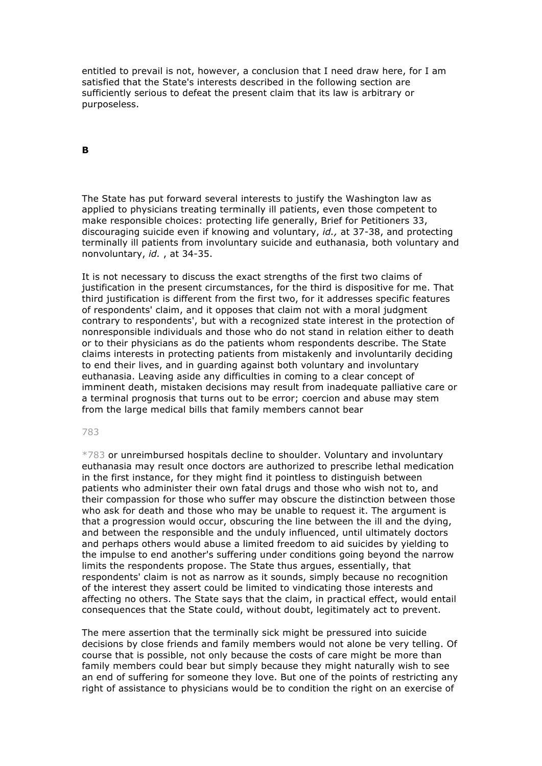entitled to prevail is not, however, a conclusion that I need draw here, for I am satisfied that the State's interests described in the following section are sufficiently serious to defeat the present claim that its law is arbitrary or purposeless.

# **B**

The State has put forward several interests to justify the Washington law as applied to physicians treating terminally ill patients, even those competent to make responsible choices: protecting life generally, Brief for Petitioners 33, discouraging suicide even if knowing and voluntary, *id.,* at 37-38, and protecting terminally ill patients from involuntary suicide and euthanasia, both voluntary and nonvoluntary, *id.* , at 34-35.

It is not necessary to discuss the exact strengths of the first two claims of justification in the present circumstances, for the third is dispositive for me. That third justification is different from the first two, for it addresses specific features of respondents' claim, and it opposes that claim not with a moral judgment contrary to respondents', but with a recognized state interest in the protection of nonresponsible individuals and those who do not stand in relation either to death or to their physicians as do the patients whom respondents describe. The State claims interests in protecting patients from mistakenly and involuntarily deciding to end their lives, and in guarding against both voluntary and involuntary euthanasia. Leaving aside any difficulties in coming to a clear concept of imminent death, mistaken decisions may result from inadequate palliative care or a terminal prognosis that turns out to be error; coercion and abuse may stem from the large medical bills that family members cannot bear

## 783

\*783 or unreimbursed hospitals decline to shoulder. Voluntary and involuntary euthanasia may result once doctors are authorized to prescribe lethal medication in the first instance, for they might find it pointless to distinguish between patients who administer their own fatal drugs and those who wish not to, and their compassion for those who suffer may obscure the distinction between those who ask for death and those who may be unable to request it. The argument is that a progression would occur, obscuring the line between the ill and the dying, and between the responsible and the unduly influenced, until ultimately doctors and perhaps others would abuse a limited freedom to aid suicides by yielding to the impulse to end another's suffering under conditions going beyond the narrow limits the respondents propose. The State thus argues, essentially, that respondents' claim is not as narrow as it sounds, simply because no recognition of the interest they assert could be limited to vindicating those interests and affecting no others. The State says that the claim, in practical effect, would entail consequences that the State could, without doubt, legitimately act to prevent.

The mere assertion that the terminally sick might be pressured into suicide decisions by close friends and family members would not alone be very telling. Of course that is possible, not only because the costs of care might be more than family members could bear but simply because they might naturally wish to see an end of suffering for someone they love. But one of the points of restricting any right of assistance to physicians would be to condition the right on an exercise of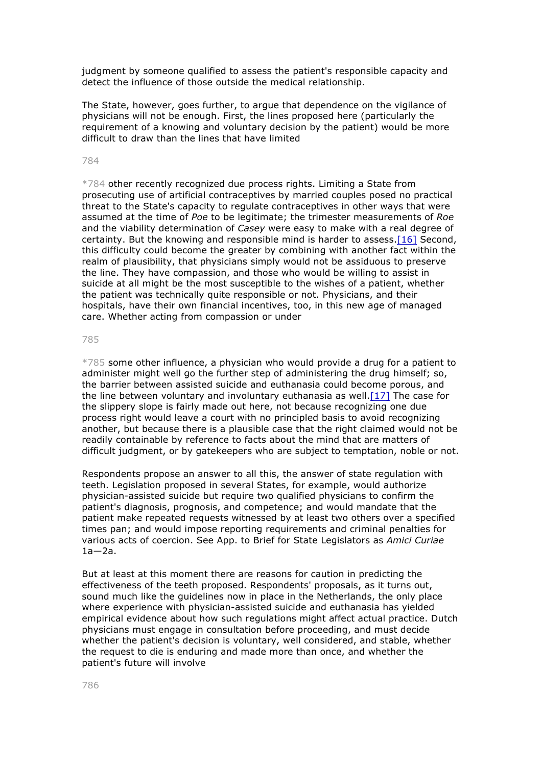judgment by someone qualified to assess the patient's responsible capacity and detect the influence of those outside the medical relationship.

The State, however, goes further, to argue that dependence on the vigilance of physicians will not be enough. First, the lines proposed here (particularly the requirement of a knowing and voluntary decision by the patient) would be more difficult to draw than the lines that have limited

### 784

 $*784$  other recently recognized due process rights. Limiting a State from prosecuting use of artificial contraceptives by married couples posed no practical threat to the State's capacity to regulate contraceptives in other ways that were assumed at the time of *Poe* to be legitimate; the trimester measurements of *Roe* and the viability determination of *Casey* were easy to make with a real degree of certainty. But the knowing and responsible mind is harder to assess.[16] Second, this difficulty could become the greater by combining with another fact within the realm of plausibility, that physicians simply would not be assiduous to preserve the line. They have compassion, and those who would be willing to assist in suicide at all might be the most susceptible to the wishes of a patient, whether the patient was technically quite responsible or not. Physicians, and their hospitals, have their own financial incentives, too, in this new age of managed care. Whether acting from compassion or under

### 785

 $*785$  some other influence, a physician who would provide a drug for a patient to administer might well go the further step of administering the drug himself; so, the barrier between assisted suicide and euthanasia could become porous, and the line between voluntary and involuntary euthanasia as well.[17] The case for the slippery slope is fairly made out here, not because recognizing one due process right would leave a court with no principled basis to avoid recognizing another, but because there is a plausible case that the right claimed would not be readily containable by reference to facts about the mind that are matters of difficult judgment, or by gatekeepers who are subject to temptation, noble or not.

Respondents propose an answer to all this, the answer of state regulation with teeth. Legislation proposed in several States, for example, would authorize physician-assisted suicide but require two qualified physicians to confirm the patient's diagnosis, prognosis, and competence; and would mandate that the patient make repeated requests witnessed by at least two others over a specified times pan; and would impose reporting requirements and criminal penalties for various acts of coercion. See App. to Brief for State Legislators as *Amici Curiae*  $1a - 2a$ .

But at least at this moment there are reasons for caution in predicting the effectiveness of the teeth proposed. Respondents' proposals, as it turns out, sound much like the guidelines now in place in the Netherlands, the only place where experience with physician-assisted suicide and euthanasia has yielded empirical evidence about how such regulations might affect actual practice. Dutch physicians must engage in consultation before proceeding, and must decide whether the patient's decision is voluntary, well considered, and stable, whether the request to die is enduring and made more than once, and whether the patient's future will involve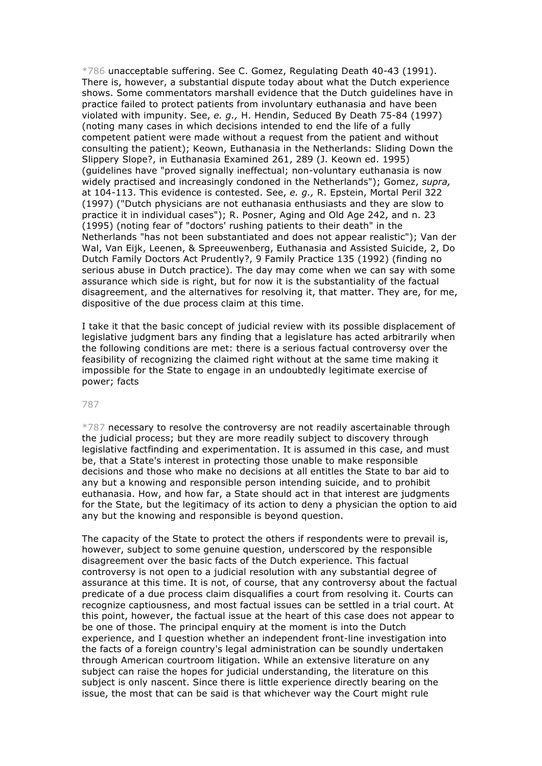\*786 unacceptable suffering. See C. Gomez, Regulating Death 40-43 (1991). There is, however, a substantial dispute today about what the Dutch experience shows. Some commentators marshall evidence that the Dutch guidelines have in practice failed to protect patients from involuntary euthanasia and have been violated with impunity. See, *e. g.,* H. Hendin, Seduced By Death 75-84 (1997) (noting many cases in which decisions intended to end the life of a fully competent patient were made without a request from the patient and without consulting the patient); Keown, Euthanasia in the Netherlands: Sliding Down the Slippery Slope?, in Euthanasia Examined 261, 289 (J. Keown ed. 1995) (guidelines have "proved signally ineffectual; non-voluntary euthanasia is now widely practised and increasingly condoned in the Netherlands"); Gomez, *supra,* at 104-113. This evidence is contested. See, *e. g.,* R. Epstein, Mortal Peril 322 (1997) ("Dutch physicians are not euthanasia enthusiasts and they are slow to practice it in individual cases"); R. Posner, Aging and Old Age 242, and n. 23 (1995) (noting fear of "doctors' rushing patients to their death" in the Netherlands "has not been substantiated and does not appear realistic"); Van der Wal, Van Eijk, Leenen, & Spreeuwenberg, Euthanasia and Assisted Suicide, 2, Do Dutch Family Doctors Act Prudently?, 9 Family Practice 135 (1992) (finding no serious abuse in Dutch practice). The day may come when we can say with some assurance which side is right, but for now it is the substantiality of the factual disagreement, and the alternatives for resolving it, that matter. They are, for me, dispositive of the due process claim at this time.

I take it that the basic concept of judicial review with its possible displacement of legislative judgment bars any finding that a legislature has acted arbitrarily when the following conditions are met: there is a serious factual controversy over the feasibility of recognizing the claimed right without at the same time making it impossible for the State to engage in an undoubtedly legitimate exercise of power; facts

### 787

 $*787$  necessary to resolve the controversy are not readily ascertainable through the judicial process; but they are more readily subject to discovery through legislative factfinding and experimentation. It is assumed in this case, and must be, that a State's interest in protecting those unable to make responsible decisions and those who make no decisions at all entitles the State to bar aid to any but a knowing and responsible person intending suicide, and to prohibit euthanasia. How, and how far, a State should act in that interest are judgments for the State, but the legitimacy of its action to deny a physician the option to aid any but the knowing and responsible is beyond question.

The capacity of the State to protect the others if respondents were to prevail is, however, subject to some genuine question, underscored by the responsible disagreement over the basic facts of the Dutch experience. This factual controversy is not open to a judicial resolution with any substantial degree of assurance at this time. It is not, of course, that any controversy about the factual predicate of a due process claim disqualifies a court from resolving it. Courts can recognize captiousness, and most factual issues can be settled in a trial court. At this point, however, the factual issue at the heart of this case does not appear to be one of those. The principal enquiry at the moment is into the Dutch experience, and I question whether an independent front-line investigation into the facts of a foreign country's legal administration can be soundly undertaken through American courtroom litigation. While an extensive literature on any subject can raise the hopes for judicial understanding, the literature on this subject is only nascent. Since there is little experience directly bearing on the issue, the most that can be said is that whichever way the Court might rule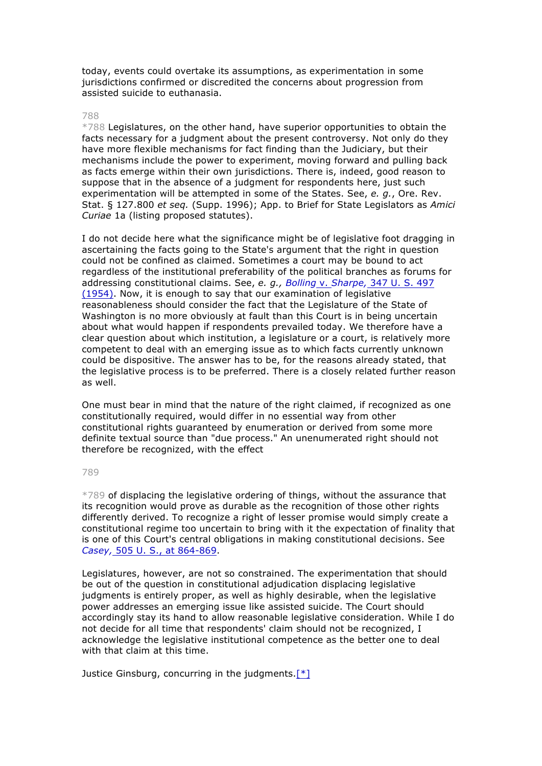today, events could overtake its assumptions, as experimentation in some jurisdictions confirmed or discredited the concerns about progression from assisted suicide to euthanasia.

### 788

 $*788$  Legislatures, on the other hand, have superior opportunities to obtain the facts necessary for a judgment about the present controversy. Not only do they have more flexible mechanisms for fact finding than the Judiciary, but their mechanisms include the power to experiment, moving forward and pulling back as facts emerge within their own jurisdictions. There is, indeed, good reason to suppose that in the absence of a judgment for respondents here, just such experimentation will be attempted in some of the States. See, *e. g.*, Ore. Rev. Stat. § 127.800 *et seq.* (Supp. 1996); App. to Brief for State Legislators as *Amici Curiae* 1a (listing proposed statutes).

I do not decide here what the significance might be of legislative foot dragging in ascertaining the facts going to the State's argument that the right in question could not be confined as claimed. Sometimes a court may be bound to act regardless of the institutional preferability of the political branches as forums for addressing constitutional claims. See, *e. g., Bolling* v. *Sharpe,* 347 U. S. 497 (1954). Now, it is enough to say that our examination of legislative reasonableness should consider the fact that the Legislature of the State of Washington is no more obviously at fault than this Court is in being uncertain about what would happen if respondents prevailed today. We therefore have a clear question about which institution, a legislature or a court, is relatively more competent to deal with an emerging issue as to which facts currently unknown could be dispositive. The answer has to be, for the reasons already stated, that the legislative process is to be preferred. There is a closely related further reason as well.

One must bear in mind that the nature of the right claimed, if recognized as one constitutionally required, would differ in no essential way from other constitutional rights guaranteed by enumeration or derived from some more definite textual source than "due process." An unenumerated right should not therefore be recognized, with the effect

#### 789

 $*789$  of displacing the legislative ordering of things, without the assurance that its recognition would prove as durable as the recognition of those other rights differently derived. To recognize a right of lesser promise would simply create a constitutional regime too uncertain to bring with it the expectation of finality that is one of this Court's central obligations in making constitutional decisions. See *Casey,* 505 U. S., at 864-869.

Legislatures, however, are not so constrained. The experimentation that should be out of the question in constitutional adjudication displacing legislative judgments is entirely proper, as well as highly desirable, when the legislative power addresses an emerging issue like assisted suicide. The Court should accordingly stay its hand to allow reasonable legislative consideration. While I do not decide for all time that respondents' claim should not be recognized, I acknowledge the legislative institutional competence as the better one to deal with that claim at this time.

Justice Ginsburg, concurring in the judgments.  $[*]$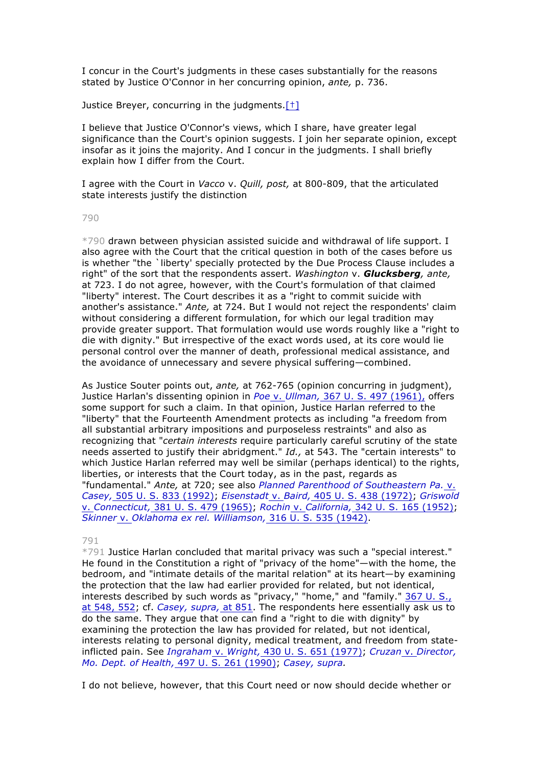I concur in the Court's judgments in these cases substantially for the reasons stated by Justice O'Connor in her concurring opinion, *ante,* p. 736.

Justice Breyer, concurring in the judgments.<sup>[ $\dagger$ ]</sup>

I believe that Justice O'Connor's views, which I share, have greater legal significance than the Court's opinion suggests. I join her separate opinion, except insofar as it joins the majority. And I concur in the judgments. I shall briefly explain how I differ from the Court.

I agree with the Court in *Vacco* v. *Quill, post,* at 800-809, that the articulated state interests justify the distinction

790

 $*790$  drawn between physician assisted suicide and withdrawal of life support. I also agree with the Court that the critical question in both of the cases before us is whether "the `liberty' specially protected by the Due Process Clause includes a right" of the sort that the respondents assert. *Washington* v. *Glucksberg, ante,* at 723. I do not agree, however, with the Court's formulation of that claimed "liberty" interest. The Court describes it as a "right to commit suicide with another's assistance." *Ante,* at 724. But I would not reject the respondents' claim without considering a different formulation, for which our legal tradition may provide greater support. That formulation would use words roughly like a "right to die with dignity." But irrespective of the exact words used, at its core would lie personal control over the manner of death, professional medical assistance, and the avoidance of unnecessary and severe physical suffering—combined.

As Justice Souter points out, *ante,* at 762-765 (opinion concurring in judgment), Justice Harlan's dissenting opinion in *Poe* v. *Ullman,* 367 U. S. 497 (1961), offers some support for such a claim. In that opinion, Justice Harlan referred to the "liberty" that the Fourteenth Amendment protects as including "a freedom from all substantial arbitrary impositions and purposeless restraints" and also as recognizing that "*certain interests* require particularly careful scrutiny of the state needs asserted to justify their abridgment." *Id.,* at 543. The "certain interests" to which Justice Harlan referred may well be similar (perhaps identical) to the rights, liberties, or interests that the Court today, as in the past, regards as "fundamental." *Ante,* at 720; see also *Planned Parenthood of Southeastern Pa.* v. *Casey,* 505 U. S. 833 (1992); *Eisenstadt* v. *Baird,* 405 U. S. 438 (1972); *Griswold* v. *Connecticut,* 381 U. S. 479 (1965); *Rochin* v. *California,* 342 U. S. 165 (1952); *Skinner* v. *Oklahoma ex rel. Williamson,* 316 U. S. 535 (1942).

791

\*791 Justice Harlan concluded that marital privacy was such a "special interest." He found in the Constitution a right of "privacy of the home"—with the home, the bedroom, and "intimate details of the marital relation" at its heart—by examining the protection that the law had earlier provided for related, but not identical, interests described by such words as "privacy," "home," and "family." 367 U. S., at 548, 552; cf. *Casey, supra,* at 851. The respondents here essentially ask us to do the same. They argue that one can find a "right to die with dignity" by examining the protection the law has provided for related, but not identical, interests relating to personal dignity, medical treatment, and freedom from stateinflicted pain. See *Ingraham* v. *Wright,* 430 U. S. 651 (1977); *Cruzan* v. *Director, Mo. Dept. of Health,* 497 U. S. 261 (1990); *Casey, supra.*

I do not believe, however, that this Court need or now should decide whether or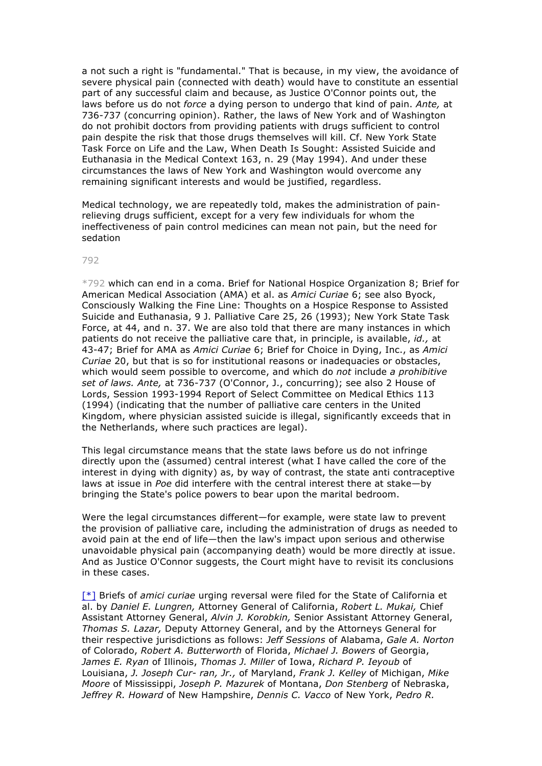a not such a right is "fundamental." That is because, in my view, the avoidance of severe physical pain (connected with death) would have to constitute an essential part of any successful claim and because, as Justice O'Connor points out, the laws before us do not *force* a dying person to undergo that kind of pain. *Ante,* at 736-737 (concurring opinion). Rather, the laws of New York and of Washington do not prohibit doctors from providing patients with drugs sufficient to control pain despite the risk that those drugs themselves will kill. Cf. New York State Task Force on Life and the Law, When Death Is Sought: Assisted Suicide and Euthanasia in the Medical Context 163, n. 29 (May 1994). And under these circumstances the laws of New York and Washington would overcome any remaining significant interests and would be justified, regardless.

Medical technology, we are repeatedly told, makes the administration of painrelieving drugs sufficient, except for a very few individuals for whom the ineffectiveness of pain control medicines can mean not pain, but the need for sedation

#### 792

\*792 which can end in a coma. Brief for National Hospice Organization 8; Brief for American Medical Association (AMA) et al. as *Amici Curiae* 6; see also Byock, Consciously Walking the Fine Line: Thoughts on a Hospice Response to Assisted Suicide and Euthanasia, 9 J. Palliative Care 25, 26 (1993); New York State Task Force, at 44, and n. 37. We are also told that there are many instances in which patients do not receive the palliative care that, in principle, is available, *id.,* at 43-47; Brief for AMA as *Amici Curiae* 6; Brief for Choice in Dying, Inc., as *Amici Curiae* 20, but that is so for institutional reasons or inadequacies or obstacles, which would seem possible to overcome, and which do *not* include *a prohibitive set of laws. Ante,* at 736-737 (O'Connor, J., concurring); see also 2 House of Lords, Session 1993-1994 Report of Select Committee on Medical Ethics 113 (1994) (indicating that the number of palliative care centers in the United Kingdom, where physician assisted suicide is illegal, significantly exceeds that in the Netherlands, where such practices are legal).

This legal circumstance means that the state laws before us do not infringe directly upon the (assumed) central interest (what I have called the core of the interest in dying with dignity) as, by way of contrast, the state anti contraceptive laws at issue in *Poe* did interfere with the central interest there at stake—by bringing the State's police powers to bear upon the marital bedroom.

Were the legal circumstances different—for example, were state law to prevent the provision of palliative care, including the administration of drugs as needed to avoid pain at the end of life—then the law's impact upon serious and otherwise unavoidable physical pain (accompanying death) would be more directly at issue. And as Justice O'Connor suggests, the Court might have to revisit its conclusions in these cases.

[\*] Briefs of *amici curiae* urging reversal were filed for the State of California et al. by *Daniel E. Lungren,* Attorney General of California, *Robert L. Mukai,* Chief Assistant Attorney General, *Alvin J. Korobkin,* Senior Assistant Attorney General, *Thomas S. Lazar,* Deputy Attorney General, and by the Attorneys General for their respective jurisdictions as follows: *Jeff Sessions* of Alabama, *Gale A. Norton* of Colorado, *Robert A. Butterworth* of Florida, *Michael J. Bowers* of Georgia, *James E. Ryan* of Illinois, *Thomas J. Miller* of Iowa, *Richard P. Ieyoub* of Louisiana, *J. Joseph Cur- ran, Jr.,* of Maryland, *Frank J. Kelley* of Michigan, *Mike Moore* of Mississippi, *Joseph P. Mazurek* of Montana, *Don Stenberg* of Nebraska, *Jeffrey R. Howard* of New Hampshire, *Dennis C. Vacco* of New York, *Pedro R.*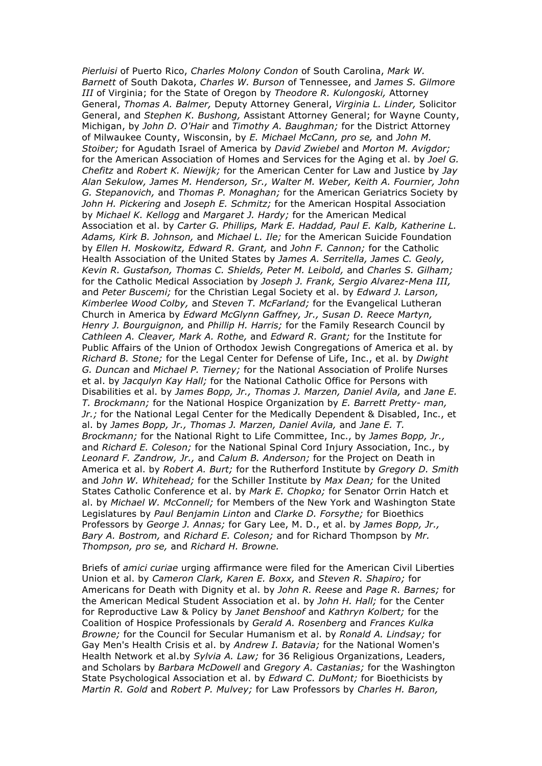*Pierluisi* of Puerto Rico, *Charles Molony Condon* of South Carolina, *Mark W. Barnett* of South Dakota, *Charles W. Burson* of Tennessee, and *James S. Gilmore III* of Virginia; for the State of Oregon by *Theodore R. Kulongoski,* Attorney General, *Thomas A. Balmer,* Deputy Attorney General, *Virginia L. Linder,* Solicitor General, and *Stephen K. Bushong,* Assistant Attorney General; for Wayne County, Michigan, by *John D. O'Hair* and *Timothy A. Baughman;* for the District Attorney of Milwaukee County, Wisconsin, by *E. Michael McCann, pro se,* and *John M. Stoiber;* for Agudath Israel of America by *David Zwiebel* and *Morton M. Avigdor;* for the American Association of Homes and Services for the Aging et al. by *Joel G. Chefitz* and *Robert K. Niewijk;* for the American Center for Law and Justice by *Jay Alan Sekulow, James M. Henderson, Sr., Walter M. Weber, Keith A. Fournier, John G. Stepanovich,* and *Thomas P. Monaghan;* for the American Geriatrics Society by *John H. Pickering* and *Joseph E. Schmitz;* for the American Hospital Association by *Michael K. Kellogg* and *Margaret J. Hardy;* for the American Medical Association et al. by *Carter G. Phillips, Mark E. Haddad, Paul E. Kalb, Katherine L. Adams, Kirk B. Johnson,* and *Michael L. Ile;* for the American Suicide Foundation by *Ellen H. Moskowitz, Edward R. Grant,* and *John F. Cannon;* for the Catholic Health Association of the United States by *James A. Serritella, James C. Geoly, Kevin R. Gustafson, Thomas C. Shields, Peter M. Leibold,* and *Charles S. Gilham;* for the Catholic Medical Association by *Joseph J. Frank, Sergio Alvarez-Mena III,* and *Peter Buscemi;* for the Christian Legal Society et al. by *Edward J. Larson, Kimberlee Wood Colby,* and *Steven T. McFarland;* for the Evangelical Lutheran Church in America by *Edward McGlynn Gaffney, Jr., Susan D. Reece Martyn, Henry J. Bourguignon,* and *Phillip H. Harris;* for the Family Research Council by *Cathleen A. Cleaver, Mark A. Rothe,* and *Edward R. Grant;* for the Institute for Public Affairs of the Union of Orthodox Jewish Congregations of America et al. by *Richard B. Stone;* for the Legal Center for Defense of Life, Inc., et al. by *Dwight G. Duncan* and *Michael P. Tierney;* for the National Association of Prolife Nurses et al. by *Jacqulyn Kay Hall;* for the National Catholic Office for Persons with Disabilities et al. by *James Bopp, Jr., Thomas J. Marzen, Daniel Avila,* and *Jane E. T. Brockmann;* for the National Hospice Organization by *E. Barrett Pretty- man, Jr.;* for the National Legal Center for the Medically Dependent & Disabled, Inc., et al. by *James Bopp, Jr., Thomas J. Marzen, Daniel Avila,* and *Jane E. T. Brockmann;* for the National Right to Life Committee, Inc., by *James Bopp, Jr.,* and *Richard E. Coleson;* for the National Spinal Cord Injury Association, Inc., by *Leonard F. Zandrow, Jr.,* and *Calum B. Anderson;* for the Project on Death in America et al. by *Robert A. Burt;* for the Rutherford Institute by *Gregory D. Smith* and *John W. Whitehead;* for the Schiller Institute by *Max Dean;* for the United States Catholic Conference et al. by *Mark E. Chopko;* for Senator Orrin Hatch et al. by *Michael W. McConnell;* for Members of the New York and Washington State Legislatures by *Paul Benjamin Linton* and *Clarke D. Forsythe;* for Bioethics Professors by *George J. Annas;* for Gary Lee, M. D., et al. by *James Bopp, Jr., Bary A. Bostrom,* and *Richard E. Coleson;* and for Richard Thompson by *Mr. Thompson, pro se,* and *Richard H. Browne.*

Briefs of *amici curiae* urging affirmance were filed for the American Civil Liberties Union et al. by *Cameron Clark, Karen E. Boxx,* and *Steven R. Shapiro;* for Americans for Death with Dignity et al. by *John R. Reese* and *Page R. Barnes;* for the American Medical Student Association et al. by *John H. Hall;* for the Center for Reproductive Law & Policy by *Janet Benshoof* and *Kathryn Kolbert;* for the Coalition of Hospice Professionals by *Gerald A. Rosenberg* and *Frances Kulka Browne;* for the Council for Secular Humanism et al. by *Ronald A. Lindsay;* for Gay Men's Health Crisis et al. by *Andrew I. Batavia;* for the National Women's Health Network et al.by *Sylvia A. Law;* for 36 Religious Organizations, Leaders, and Scholars by *Barbara McDowell* and *Gregory A. Castanias;* for the Washington State Psychological Association et al. by *Edward C. DuMont;* for Bioethicists by *Martin R. Gold* and *Robert P. Mulvey;* for Law Professors by *Charles H. Baron,*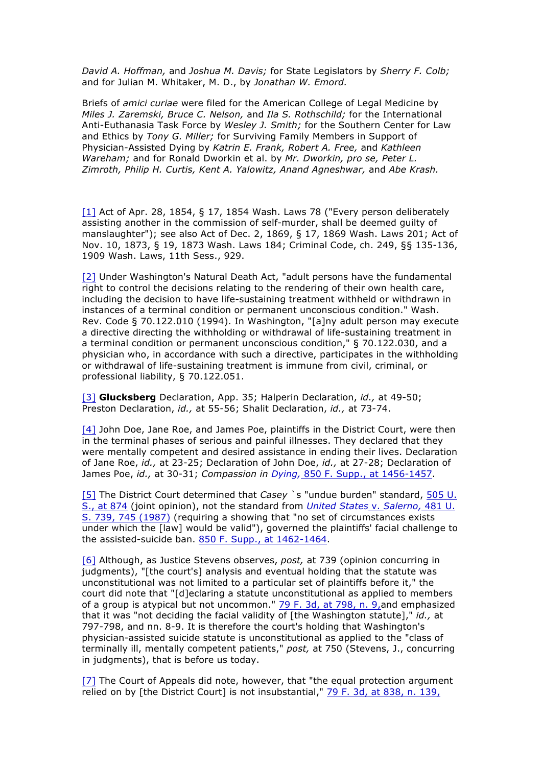*David A. Hoffman,* and *Joshua M. Davis;* for State Legislators by *Sherry F. Colb;* and for Julian M. Whitaker, M. D., by *Jonathan W. Emord.*

Briefs of *amici curiae* were filed for the American College of Legal Medicine by *Miles J. Zaremski, Bruce C. Nelson,* and *Ila S. Rothschild;* for the International Anti-Euthanasia Task Force by *Wesley J. Smith;* for the Southern Center for Law and Ethics by *Tony G. Miller;* for Surviving Family Members in Support of Physician-Assisted Dying by *Katrin E. Frank, Robert A. Free,* and *Kathleen Wareham;* and for Ronald Dworkin et al. by *Mr. Dworkin, pro se, Peter L. Zimroth, Philip H. Curtis, Kent A. Yalowitz, Anand Agneshwar,* and *Abe Krash.*

[1] Act of Apr. 28, 1854, § 17, 1854 Wash. Laws 78 ("Every person deliberately assisting another in the commission of self-murder, shall be deemed guilty of manslaughter"); see also Act of Dec. 2, 1869, § 17, 1869 Wash. Laws 201; Act of Nov. 10, 1873, § 19, 1873 Wash. Laws 184; Criminal Code, ch. 249, §§ 135-136, 1909 Wash. Laws, 11th Sess., 929.

[2] Under Washington's Natural Death Act, "adult persons have the fundamental right to control the decisions relating to the rendering of their own health care, including the decision to have life-sustaining treatment withheld or withdrawn in instances of a terminal condition or permanent unconscious condition." Wash. Rev. Code § 70.122.010 (1994). In Washington, "[a]ny adult person may execute a directive directing the withholding or withdrawal of life-sustaining treatment in a terminal condition or permanent unconscious condition," § 70.122.030, and a physician who, in accordance with such a directive, participates in the withholding or withdrawal of life-sustaining treatment is immune from civil, criminal, or professional liability, § 70.122.051.

[3] **Glucksberg** Declaration, App. 35; Halperin Declaration, *id.,* at 49-50; Preston Declaration, *id.,* at 55-56; Shalit Declaration, *id.,* at 73-74.

[4] John Doe, Jane Roe, and James Poe, plaintiffs in the District Court, were then in the terminal phases of serious and painful illnesses. They declared that they were mentally competent and desired assistance in ending their lives. Declaration of Jane Roe, *id.,* at 23-25; Declaration of John Doe, *id.,* at 27-28; Declaration of James Poe, *id.,* at 30-31; *Compassion in Dying,* 850 F. Supp., at 1456-1457.

[5] The District Court determined that *Casey* `s "undue burden" standard, 505 U. S., at 874 (joint opinion), not the standard from *United States* v. *Salerno,* 481 U. S. 739, 745 (1987) (requiring a showing that "no set of circumstances exists under which the [law] would be valid"), governed the plaintiffs' facial challenge to the assisted-suicide ban. 850 F. Supp., at 1462-1464.

[6] Although, as Justice Stevens observes, *post,* at 739 (opinion concurring in judgments), "[the court's] analysis and eventual holding that the statute was unconstitutional was not limited to a particular set of plaintiffs before it," the court did note that "[d]eclaring a statute unconstitutional as applied to members of a group is atypical but not uncommon." 79 F. 3d, at 798, n. 9,and emphasized that it was "not deciding the facial validity of [the Washington statute]," *id.,* at 797-798, and nn. 8-9. It is therefore the court's holding that Washington's physician-assisted suicide statute is unconstitutional as applied to the "class of terminally ill, mentally competent patients," *post,* at 750 (Stevens, J., concurring in judgments), that is before us today.

[7] The Court of Appeals did note, however, that "the equal protection argument relied on by [the District Court] is not insubstantial," 79 F. 3d, at 838, n. 139,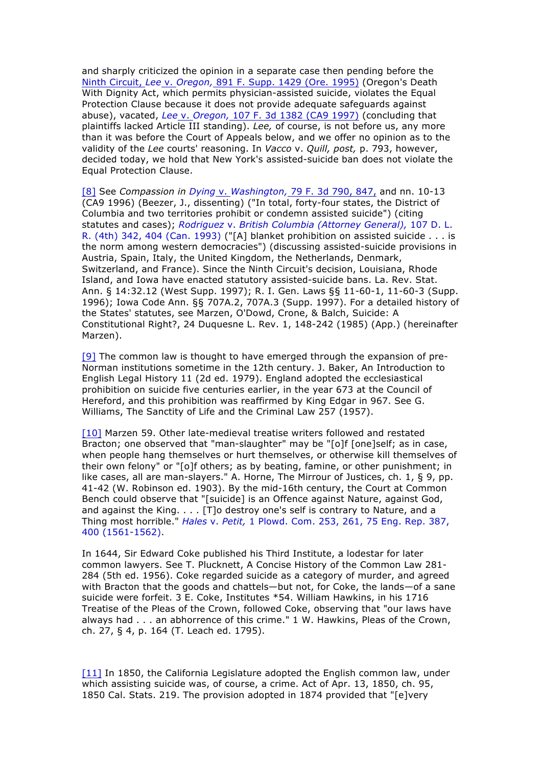and sharply criticized the opinion in a separate case then pending before the Ninth Circuit, *Lee* v. *Oregon,* 891 F. Supp. 1429 (Ore. 1995) (Oregon's Death With Dignity Act, which permits physician-assisted suicide, violates the Equal Protection Clause because it does not provide adequate safeguards against abuse), vacated, *Lee* v. *Oregon,* 107 F. 3d 1382 (CA9 1997) (concluding that plaintiffs lacked Article III standing). *Lee,* of course, is not before us, any more than it was before the Court of Appeals below, and we offer no opinion as to the validity of the *Lee* courts' reasoning. In *Vacco* v. *Quill, post,* p. 793, however, decided today, we hold that New York's assisted-suicide ban does not violate the Equal Protection Clause.

[8] See *Compassion in Dying* v. *Washington,* 79 F. 3d 790, 847, and nn. 10-13 (CA9 1996) (Beezer, J., dissenting) ("In total, forty-four states, the District of Columbia and two territories prohibit or condemn assisted suicide") (citing statutes and cases); *Rodriguez* v. *British Columbia (Attorney General),* 107 D. L. R. (4th) 342, 404 (Can. 1993) ("[A] blanket prohibition on assisted suicide . . . is the norm among western democracies") (discussing assisted-suicide provisions in Austria, Spain, Italy, the United Kingdom, the Netherlands, Denmark, Switzerland, and France). Since the Ninth Circuit's decision, Louisiana, Rhode Island, and Iowa have enacted statutory assisted-suicide bans. La. Rev. Stat. Ann. § 14:32.12 (West Supp. 1997); R. I. Gen. Laws §§ 11-60-1, 11-60-3 (Supp. 1996); Iowa Code Ann. §§ 707A.2, 707A.3 (Supp. 1997). For a detailed history of the States' statutes, see Marzen, O'Dowd, Crone, & Balch, Suicide: A Constitutional Right?, 24 Duquesne L. Rev. 1, 148-242 (1985) (App.) (hereinafter Marzen).

[9] The common law is thought to have emerged through the expansion of pre-Norman institutions sometime in the 12th century. J. Baker, An Introduction to English Legal History 11 (2d ed. 1979). England adopted the ecclesiastical prohibition on suicide five centuries earlier, in the year 673 at the Council of Hereford, and this prohibition was reaffirmed by King Edgar in 967. See G. Williams, The Sanctity of Life and the Criminal Law 257 (1957).

[10] Marzen 59. Other late-medieval treatise writers followed and restated Bracton; one observed that "man-slaughter" may be "[o]f [one]self; as in case, when people hang themselves or hurt themselves, or otherwise kill themselves of their own felony" or "[o]f others; as by beating, famine, or other punishment; in like cases, all are man-slayers." A. Horne, The Mirrour of Justices, ch. 1, § 9, pp. 41-42 (W. Robinson ed. 1903). By the mid-16th century, the Court at Common Bench could observe that "[suicide] is an Offence against Nature, against God, and against the King. . . . [T]o destroy one's self is contrary to Nature, and a Thing most horrible." *Hales* v. *Petit,* 1 Plowd. Com. 253, 261, 75 Eng. Rep. 387, 400 (1561-1562).

In 1644, Sir Edward Coke published his Third Institute, a lodestar for later common lawyers. See T. Plucknett, A Concise History of the Common Law 281- 284 (5th ed. 1956). Coke regarded suicide as a category of murder, and agreed with Bracton that the goods and chattels—but not, for Coke, the lands—of a sane suicide were forfeit. 3 E. Coke, Institutes \*54. William Hawkins, in his 1716 Treatise of the Pleas of the Crown, followed Coke, observing that "our laws have always had . . . an abhorrence of this crime." 1 W. Hawkins, Pleas of the Crown, ch. 27, § 4, p. 164 (T. Leach ed. 1795).

[11] In 1850, the California Legislature adopted the English common law, under which assisting suicide was, of course, a crime. Act of Apr. 13, 1850, ch. 95, 1850 Cal. Stats. 219. The provision adopted in 1874 provided that "[e]very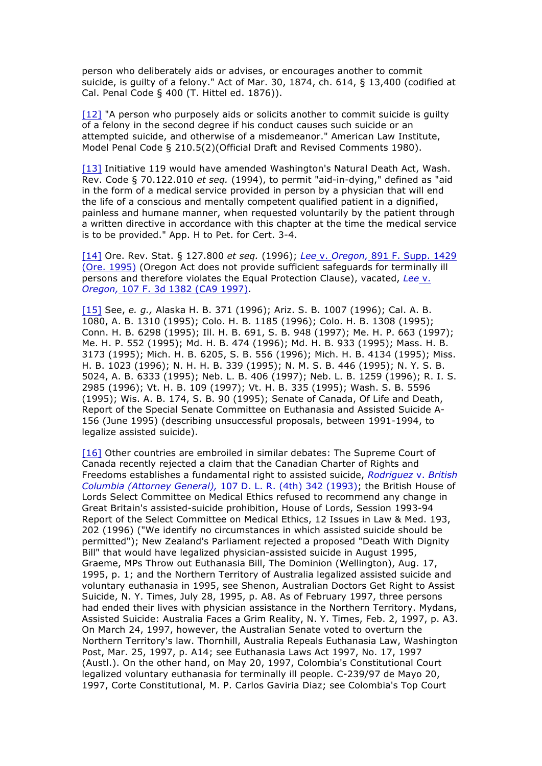person who deliberately aids or advises, or encourages another to commit suicide, is guilty of a felony." Act of Mar. 30, 1874, ch. 614, § 13,400 (codified at Cal. Penal Code § 400 (T. Hittel ed. 1876)).

[12] "A person who purposely aids or solicits another to commit suicide is guilty of a felony in the second degree if his conduct causes such suicide or an attempted suicide, and otherwise of a misdemeanor." American Law Institute, Model Penal Code § 210.5(2)(Official Draft and Revised Comments 1980).

[13] Initiative 119 would have amended Washington's Natural Death Act, Wash. Rev. Code § 70.122.010 *et seq.* (1994), to permit "aid-in-dying," defined as "aid in the form of a medical service provided in person by a physician that will end the life of a conscious and mentally competent qualified patient in a dignified, painless and humane manner, when requested voluntarily by the patient through a written directive in accordance with this chapter at the time the medical service is to be provided." App. H to Pet. for Cert. 3-4.

[14] Ore. Rev. Stat. § 127.800 *et seq.* (1996); *Lee* v. *Oregon,* 891 F. Supp. 1429 (Ore. 1995) (Oregon Act does not provide sufficient safeguards for terminally ill persons and therefore violates the Equal Protection Clause), vacated, *Lee* v. *Oregon,* 107 F. 3d 1382 (CA9 1997).

[15] See, *e. g.,* Alaska H. B. 371 (1996); Ariz. S. B. 1007 (1996); Cal. A. B. 1080, A. B. 1310 (1995); Colo. H. B. 1185 (1996); Colo. H. B. 1308 (1995); Conn. H. B. 6298 (1995); Ill. H. B. 691, S. B. 948 (1997); Me. H. P. 663 (1997); Me. H. P. 552 (1995); Md. H. B. 474 (1996); Md. H. B. 933 (1995); Mass. H. B. 3173 (1995); Mich. H. B. 6205, S. B. 556 (1996); Mich. H. B. 4134 (1995); Miss. H. B. 1023 (1996); N. H. H. B. 339 (1995); N. M. S. B. 446 (1995); N. Y. S. B. 5024, A. B. 6333 (1995); Neb. L. B. 406 (1997); Neb. L. B. 1259 (1996); R. I. S. 2985 (1996); Vt. H. B. 109 (1997); Vt. H. B. 335 (1995); Wash. S. B. 5596 (1995); Wis. A. B. 174, S. B. 90 (1995); Senate of Canada, Of Life and Death, Report of the Special Senate Committee on Euthanasia and Assisted Suicide A-156 (June 1995) (describing unsuccessful proposals, between 1991-1994, to legalize assisted suicide).

[16] Other countries are embroiled in similar debates: The Supreme Court of Canada recently rejected a claim that the Canadian Charter of Rights and Freedoms establishes a fundamental right to assisted suicide, *Rodriguez* v. *British Columbia (Attorney General),* 107 D. L. R. (4th) 342 (1993); the British House of Lords Select Committee on Medical Ethics refused to recommend any change in Great Britain's assisted-suicide prohibition, House of Lords, Session 1993-94 Report of the Select Committee on Medical Ethics, 12 Issues in Law & Med. 193, 202 (1996) ("We identify no circumstances in which assisted suicide should be permitted"); New Zealand's Parliament rejected a proposed "Death With Dignity Bill" that would have legalized physician-assisted suicide in August 1995, Graeme, MPs Throw out Euthanasia Bill, The Dominion (Wellington), Aug. 17, 1995, p. 1; and the Northern Territory of Australia legalized assisted suicide and voluntary euthanasia in 1995, see Shenon, Australian Doctors Get Right to Assist Suicide, N. Y. Times, July 28, 1995, p. A8. As of February 1997, three persons had ended their lives with physician assistance in the Northern Territory. Mydans, Assisted Suicide: Australia Faces a Grim Reality, N. Y. Times, Feb. 2, 1997, p. A3. On March 24, 1997, however, the Australian Senate voted to overturn the Northern Territory's law. Thornhill, Australia Repeals Euthanasia Law, Washington Post, Mar. 25, 1997, p. A14; see Euthanasia Laws Act 1997, No. 17, 1997 (Austl.). On the other hand, on May 20, 1997, Colombia's Constitutional Court legalized voluntary euthanasia for terminally ill people. C-239/97 de Mayo 20, 1997, Corte Constitutional, M. P. Carlos Gaviria Diaz; see Colombia's Top Court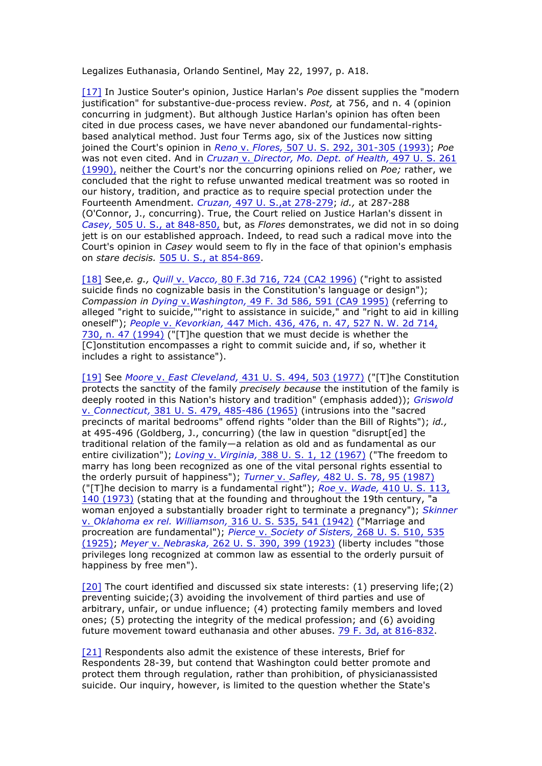Legalizes Euthanasia, Orlando Sentinel, May 22, 1997, p. A18.

[17] In Justice Souter's opinion, Justice Harlan's *Poe* dissent supplies the "modern justification" for substantive-due-process review. *Post,* at 756, and n. 4 (opinion concurring in judgment). But although Justice Harlan's opinion has often been cited in due process cases, we have never abandoned our fundamental-rightsbased analytical method. Just four Terms ago, six of the Justices now sitting joined the Court's opinion in *Reno* v. *Flores,* 507 U. S. 292, 301-305 (1993); *Poe* was not even cited. And in *Cruzan* v. *Director, Mo. Dept. of Health,* 497 U. S. 261 (1990), neither the Court's nor the concurring opinions relied on *Poe;* rather, we concluded that the right to refuse unwanted medical treatment was so rooted in our history, tradition, and practice as to require special protection under the Fourteenth Amendment. *Cruzan,* 497 U. S.,at 278-279; *id.,* at 287-288 (O'Connor, J., concurring). True, the Court relied on Justice Harlan's dissent in *Casey,* 505 U. S., at 848-850, but, as *Flores* demonstrates, we did not in so doing jett is on our established approach. Indeed, to read such a radical move into the Court's opinion in *Casey* would seem to fly in the face of that opinion's emphasis on *stare decisis.* 505 U. S., at 854-869.

[18] See,*e. g., Quill* v. *Vacco,* 80 F.3d 716, 724 (CA2 1996) ("right to assisted suicide finds no cognizable basis in the Constitution's language or design"); *Compassion in Dying* v.*Washington,* 49 F. 3d 586, 591 (CA9 1995) (referring to alleged "right to suicide,""right to assistance in suicide," and "right to aid in killing oneself"); *People* v. *Kevorkian,* 447 Mich. 436, 476, n. 47, 527 N. W. 2d 714, 730, n. 47 (1994) ("[T]he question that we must decide is whether the [C]onstitution encompasses a right to commit suicide and, if so, whether it includes a right to assistance").

[19] See *Moore* v. *East Cleveland,* 431 U. S. 494, 503 (1977) ("[T]he Constitution protects the sanctity of the family *precisely because* the institution of the family is deeply rooted in this Nation's history and tradition" (emphasis added)); *Griswold* v. *Connecticut,* 381 U. S. 479, 485-486 (1965) (intrusions into the "sacred precincts of marital bedrooms" offend rights "older than the Bill of Rights"); *id.,* at 495-496 (Goldberg, J., concurring) (the law in question "disrupt[ed] the traditional relation of the family—a relation as old and as fundamental as our entire civilization"); *Loving* v. *Virginia,* 388 U. S. 1, 12 (1967) ("The freedom to marry has long been recognized as one of the vital personal rights essential to the orderly pursuit of happiness"); *Turner* v. *Safley,* 482 U. S. 78, 95 (1987) ("[T]he decision to marry is a fundamental right"); *Roe* v. *Wade,* 410 U. S. 113, 140 (1973) (stating that at the founding and throughout the 19th century, "a woman enjoyed a substantially broader right to terminate a pregnancy"); *Skinner* v. *Oklahoma ex rel. Williamson,* 316 U. S. 535, 541 (1942) ("Marriage and procreation are fundamental"); *Pierce* v. *Society of Sisters,* 268 U. S. 510, 535 (1925); *Meyer* v. *Nebraska,* 262 U. S. 390, 399 (1923) (liberty includes "those privileges long recognized at common law as essential to the orderly pursuit of happiness by free men").

[20] The court identified and discussed six state interests:  $(1)$  preserving life; $(2)$ preventing suicide;(3) avoiding the involvement of third parties and use of arbitrary, unfair, or undue influence; (4) protecting family members and loved ones; (5) protecting the integrity of the medical profession; and (6) avoiding future movement toward euthanasia and other abuses. 79 F. 3d, at 816-832.

[21] Respondents also admit the existence of these interests, Brief for Respondents 28-39, but contend that Washington could better promote and protect them through regulation, rather than prohibition, of physicianassisted suicide. Our inquiry, however, is limited to the question whether the State's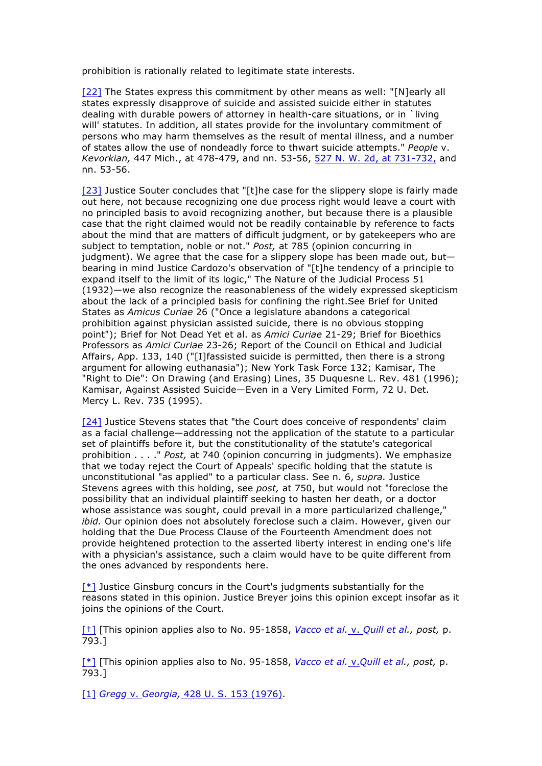prohibition is rationally related to legitimate state interests.

[22] The States express this commitment by other means as well: "[N]early all states expressly disapprove of suicide and assisted suicide either in statutes dealing with durable powers of attorney in health-care situations, or in `living will' statutes. In addition, all states provide for the involuntary commitment of persons who may harm themselves as the result of mental illness, and a number of states allow the use of nondeadly force to thwart suicide attempts." *People* v. *Kevorkian,* 447 Mich., at 478-479, and nn. 53-56, 527 N. W. 2d, at 731-732, and nn. 53-56.

[23] Justice Souter concludes that "[t]he case for the slippery slope is fairly made out here, not because recognizing one due process right would leave a court with no principled basis to avoid recognizing another, but because there is a plausible case that the right claimed would not be readily containable by reference to facts about the mind that are matters of difficult judgment, or by gatekeepers who are subject to temptation, noble or not." *Post,* at 785 (opinion concurring in judgment). We agree that the case for a slippery slope has been made out, but bearing in mind Justice Cardozo's observation of "[t]he tendency of a principle to expand itself to the limit of its logic," The Nature of the Judicial Process 51 (1932)—we also recognize the reasonableness of the widely expressed skepticism about the lack of a principled basis for confining the right.See Brief for United States as *Amicus Curiae* 26 ("Once a legislature abandons a categorical prohibition against physician assisted suicide, there is no obvious stopping point"); Brief for Not Dead Yet et al. as *Amici Curiae* 21-29; Brief for Bioethics Professors as *Amici Curiae* 23-26; Report of the Council on Ethical and Judicial Affairs, App. 133, 140 ("[I]fassisted suicide is permitted, then there is a strong argument for allowing euthanasia"); New York Task Force 132; Kamisar, The "Right to Die": On Drawing (and Erasing) Lines, 35 Duquesne L. Rev. 481 (1996); Kamisar, Against Assisted Suicide—Even in a Very Limited Form, 72 U. Det. Mercy L. Rev. 735 (1995).

[24] Justice Stevens states that "the Court does conceive of respondents' claim as a facial challenge—addressing not the application of the statute to a particular set of plaintiffs before it, but the constitutionality of the statute's categorical prohibition . . . ." *Post,* at 740 (opinion concurring in judgments). We emphasize that we today reject the Court of Appeals' specific holding that the statute is unconstitutional "as applied" to a particular class. See n. 6, *supra.* Justice Stevens agrees with this holding, see *post,* at 750, but would not "foreclose the possibility that an individual plaintiff seeking to hasten her death, or a doctor whose assistance was sought, could prevail in a more particularized challenge," *ibid.* Our opinion does not absolutely foreclose such a claim. However, given our holding that the Due Process Clause of the Fourteenth Amendment does not provide heightened protection to the asserted liberty interest in ending one's life with a physician's assistance, such a claim would have to be quite different from the ones advanced by respondents here.

[\*] Justice Ginsburg concurs in the Court's judgments substantially for the reasons stated in this opinion. Justice Breyer joins this opinion except insofar as it joins the opinions of the Court.

[†] [This opinion applies also to No. 95-1858, *Vacco et al.* v. *Quill et al., post,* p. 793.]

[\*] [This opinion applies also to No. 95-1858, *Vacco et al.* v.*Quill et al., post,* p. 793.]

[1] *Gregg* v. *Georgia,* 428 U. S. 153 (1976).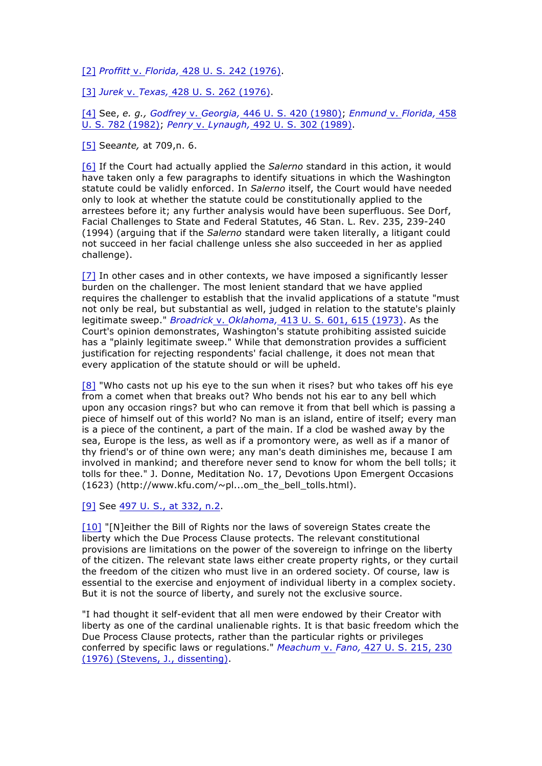[2] *Proffitt* v. *Florida,* 428 U. S. 242 (1976).

[3] *Jurek* v. *Texas,* 428 U. S. 262 (1976).

[4] See, *e. g., Godfrey* v. *Georgia,* 446 U. S. 420 (1980); *Enmund* v. *Florida,* 458 U. S. 782 (1982); *Penry* v. *Lynaugh,* 492 U. S. 302 (1989).

[5] See*ante,* at 709,n. 6.

[6] If the Court had actually applied the *Salerno* standard in this action, it would have taken only a few paragraphs to identify situations in which the Washington statute could be validly enforced. In *Salerno* itself, the Court would have needed only to look at whether the statute could be constitutionally applied to the arrestees before it; any further analysis would have been superfluous. See Dorf, Facial Challenges to State and Federal Statutes, 46 Stan. L. Rev. 235, 239-240 (1994) (arguing that if the *Salerno* standard were taken literally, a litigant could not succeed in her facial challenge unless she also succeeded in her as applied challenge).

[7] In other cases and in other contexts, we have imposed a significantly lesser burden on the challenger. The most lenient standard that we have applied requires the challenger to establish that the invalid applications of a statute "must not only be real, but substantial as well, judged in relation to the statute's plainly legitimate sweep." *Broadrick* v. *Oklahoma,* 413 U. S. 601, 615 (1973). As the Court's opinion demonstrates, Washington's statute prohibiting assisted suicide has a "plainly legitimate sweep." While that demonstration provides a sufficient justification for rejecting respondents' facial challenge, it does not mean that every application of the statute should or will be upheld.

[8] "Who casts not up his eye to the sun when it rises? but who takes off his eye from a comet when that breaks out? Who bends not his ear to any bell which upon any occasion rings? but who can remove it from that bell which is passing a piece of himself out of this world? No man is an island, entire of itself; every man is a piece of the continent, a part of the main. If a clod be washed away by the sea, Europe is the less, as well as if a promontory were, as well as if a manor of thy friend's or of thine own were; any man's death diminishes me, because I am involved in mankind; and therefore never send to know for whom the bell tolls; it tolls for thee." J. Donne, Meditation No. 17, Devotions Upon Emergent Occasions (1623) (http://www.kfu.com/~pl...om\_the\_bell\_tolls.html).

[9] See 497 U. S., at 332, n.2.

[10] "[N]either the Bill of Rights nor the laws of sovereign States create the liberty which the Due Process Clause protects. The relevant constitutional provisions are limitations on the power of the sovereign to infringe on the liberty of the citizen. The relevant state laws either create property rights, or they curtail the freedom of the citizen who must live in an ordered society. Of course, law is essential to the exercise and enjoyment of individual liberty in a complex society. But it is not the source of liberty, and surely not the exclusive source.

"I had thought it self-evident that all men were endowed by their Creator with liberty as one of the cardinal unalienable rights. It is that basic freedom which the Due Process Clause protects, rather than the particular rights or privileges conferred by specific laws or regulations." *Meachum* v. *Fano,* 427 U. S. 215, 230 (1976) (Stevens, J., dissenting).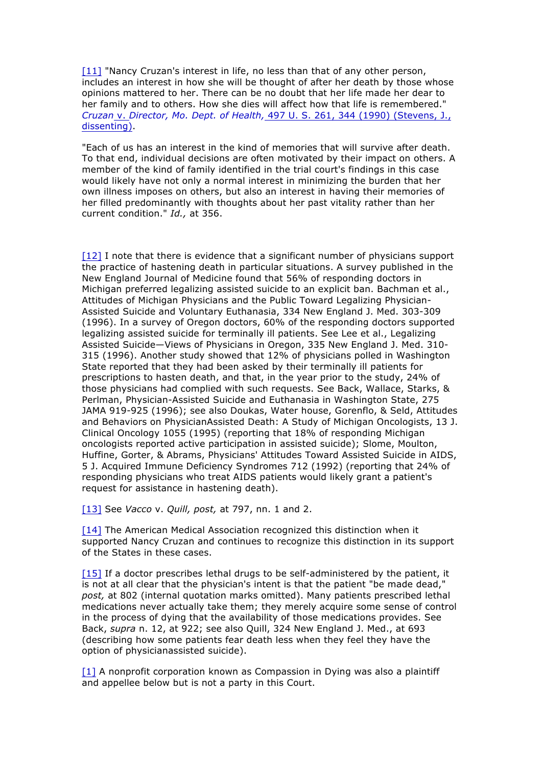[11] "Nancy Cruzan's interest in life, no less than that of any other person, includes an interest in how she will be thought of after her death by those whose opinions mattered to her. There can be no doubt that her life made her dear to her family and to others. How she dies will affect how that life is remembered." *Cruzan* v. *Director, Mo. Dept. of Health,* 497 U. S. 261, 344 (1990) (Stevens, J., dissenting).

"Each of us has an interest in the kind of memories that will survive after death. To that end, individual decisions are often motivated by their impact on others. A member of the kind of family identified in the trial court's findings in this case would likely have not only a normal interest in minimizing the burden that her own illness imposes on others, but also an interest in having their memories of her filled predominantly with thoughts about her past vitality rather than her current condition." *Id.,* at 356.

[12] I note that there is evidence that a significant number of physicians support the practice of hastening death in particular situations. A survey published in the New England Journal of Medicine found that 56% of responding doctors in Michigan preferred legalizing assisted suicide to an explicit ban. Bachman et al., Attitudes of Michigan Physicians and the Public Toward Legalizing Physician-Assisted Suicide and Voluntary Euthanasia, 334 New England J. Med. 303-309 (1996). In a survey of Oregon doctors, 60% of the responding doctors supported legalizing assisted suicide for terminally ill patients. See Lee et al., Legalizing Assisted Suicide—Views of Physicians in Oregon, 335 New England J. Med. 310- 315 (1996). Another study showed that 12% of physicians polled in Washington State reported that they had been asked by their terminally ill patients for prescriptions to hasten death, and that, in the year prior to the study, 24% of those physicians had complied with such requests. See Back, Wallace, Starks, & Perlman, Physician-Assisted Suicide and Euthanasia in Washington State, 275 JAMA 919-925 (1996); see also Doukas, Water house, Gorenflo, & Seld, Attitudes and Behaviors on PhysicianAssisted Death: A Study of Michigan Oncologists, 13 J. Clinical Oncology 1055 (1995) (reporting that 18% of responding Michigan oncologists reported active participation in assisted suicide); Slome, Moulton, Huffine, Gorter, & Abrams, Physicians' Attitudes Toward Assisted Suicide in AIDS, 5 J. Acquired Immune Deficiency Syndromes 712 (1992) (reporting that 24% of responding physicians who treat AIDS patients would likely grant a patient's request for assistance in hastening death).

[13] See *Vacco* v. *Quill, post,* at 797, nn. 1 and 2.

[14] The American Medical Association recognized this distinction when it supported Nancy Cruzan and continues to recognize this distinction in its support of the States in these cases.

[15] If a doctor prescribes lethal drugs to be self-administered by the patient, it is not at all clear that the physician's intent is that the patient "be made dead," *post,* at 802 (internal quotation marks omitted). Many patients prescribed lethal medications never actually take them; they merely acquire some sense of control in the process of dying that the availability of those medications provides. See Back, *supra* n. 12, at 922; see also Quill, 324 New England J. Med., at 693 (describing how some patients fear death less when they feel they have the option of physicianassisted suicide).

[1] A nonprofit corporation known as Compassion in Dying was also a plaintiff and appellee below but is not a party in this Court.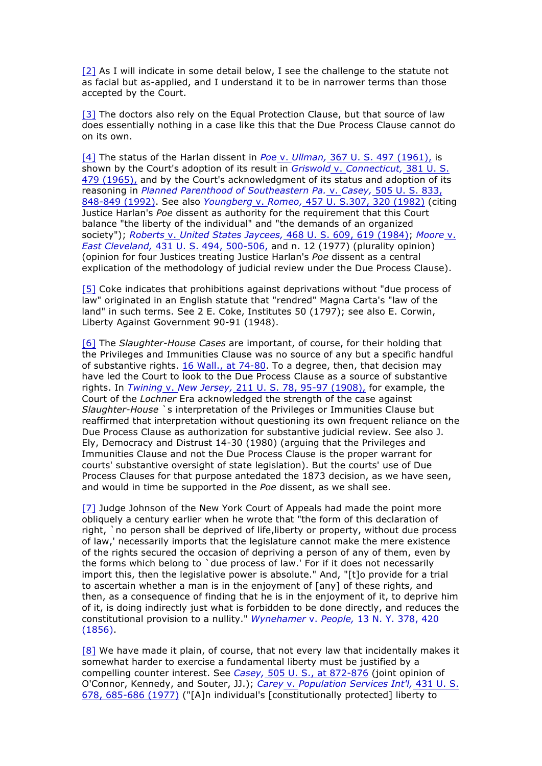[2] As I will indicate in some detail below, I see the challenge to the statute not as facial but as-applied, and I understand it to be in narrower terms than those accepted by the Court.

[3] The doctors also rely on the Equal Protection Clause, but that source of law does essentially nothing in a case like this that the Due Process Clause cannot do on its own.

[4] The status of the Harlan dissent in *Poe* v. *Ullman,* 367 U. S. 497 (1961), is shown by the Court's adoption of its result in *Griswold* v. *Connecticut,* 381 U. S. 479 (1965), and by the Court's acknowledgment of its status and adoption of its reasoning in *Planned Parenthood of Southeastern Pa.* v. *Casey,* 505 U. S. 833, 848-849 (1992). See also *Youngberg* v. *Romeo,* 457 U. S.307, 320 (1982) (citing Justice Harlan's *Poe* dissent as authority for the requirement that this Court balance "the liberty of the individual" and "the demands of an organized society"); *Roberts* v. *United States Jaycees,* 468 U. S. 609, 619 (1984); *Moore* v. *East Cleveland,* 431 U. S. 494, 500-506, and n. 12 (1977) (plurality opinion) (opinion for four Justices treating Justice Harlan's *Poe* dissent as a central explication of the methodology of judicial review under the Due Process Clause).

[5] Coke indicates that prohibitions against deprivations without "due process of law" originated in an English statute that "rendred" Magna Carta's "law of the land" in such terms. See 2 E. Coke, Institutes 50 (1797); see also E. Corwin, Liberty Against Government 90-91 (1948).

[6] The *Slaughter-House Cases* are important, of course, for their holding that the Privileges and Immunities Clause was no source of any but a specific handful of substantive rights. 16 Wall., at 74-80. To a degree, then, that decision may have led the Court to look to the Due Process Clause as a source of substantive rights. In *Twining* v. *New Jersey,* 211 U. S. 78, 95-97 (1908), for example, the Court of the *Lochner* Era acknowledged the strength of the case against *Slaughter-House* `s interpretation of the Privileges or Immunities Clause but reaffirmed that interpretation without questioning its own frequent reliance on the Due Process Clause as authorization for substantive judicial review. See also J. Ely, Democracy and Distrust 14-30 (1980) (arguing that the Privileges and Immunities Clause and not the Due Process Clause is the proper warrant for courts' substantive oversight of state legislation). But the courts' use of Due Process Clauses for that purpose antedated the 1873 decision, as we have seen, and would in time be supported in the *Poe* dissent, as we shall see.

[7] Judge Johnson of the New York Court of Appeals had made the point more obliquely a century earlier when he wrote that "the form of this declaration of right, `no person shall be deprived of life,liberty or property, without due process of law,' necessarily imports that the legislature cannot make the mere existence of the rights secured the occasion of depriving a person of any of them, even by the forms which belong to `due process of law.' For if it does not necessarily import this, then the legislative power is absolute." And, "[t]o provide for a trial to ascertain whether a man is in the enjoyment of [any] of these rights, and then, as a consequence of finding that he is in the enjoyment of it, to deprive him of it, is doing indirectly just what is forbidden to be done directly, and reduces the constitutional provision to a nullity." *Wynehamer* v. *People,* 13 N. Y. 378, 420 (1856).

[8] We have made it plain, of course, that not every law that incidentally makes it somewhat harder to exercise a fundamental liberty must be justified by a compelling counter interest. See *Casey,* 505 U. S., at 872-876 (joint opinion of O'Connor, Kennedy, and Souter, JJ.); *Carey* v. *Population Services Int'l,* 431 U. S. 678, 685-686 (1977) ("[A]n individual's [constitutionally protected] liberty to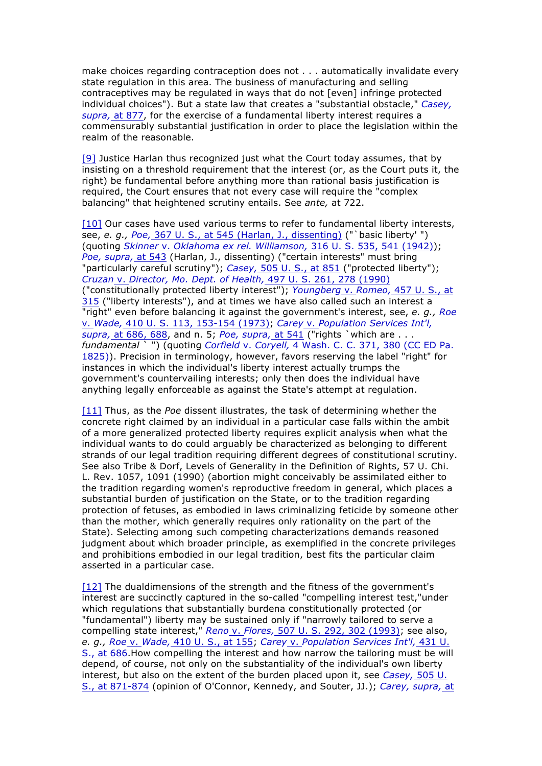make choices regarding contraception does not . . . automatically invalidate every state regulation in this area. The business of manufacturing and selling contraceptives may be regulated in ways that do not [even] infringe protected individual choices"). But a state law that creates a "substantial obstacle," *Casey, supra,* at 877, for the exercise of a fundamental liberty interest requires a commensurably substantial justification in order to place the legislation within the realm of the reasonable.

[9] Justice Harlan thus recognized just what the Court today assumes, that by insisting on a threshold requirement that the interest (or, as the Court puts it, the right) be fundamental before anything more than rational basis justification is required, the Court ensures that not every case will require the "complex balancing" that heightened scrutiny entails. See *ante,* at 722.

[10] Our cases have used various terms to refer to fundamental liberty interests, see, *e. g., Poe,* 367 U. S., at 545 (Harlan, J., dissenting) ("`basic liberty' ") (quoting *Skinner* v. *Oklahoma ex rel. Williamson,* 316 U. S. 535, 541 (1942)); *Poe, supra,* at 543 (Harlan, J., dissenting) ("certain interests" must bring "particularly careful scrutiny"); *Casey,* 505 U. S., at 851 ("protected liberty"); *Cruzan* v. *Director, Mo. Dept. of Health,* 497 U. S. 261, 278 (1990) ("constitutionally protected liberty interest"); *Youngberg* v. *Romeo,* 457 U. S., at 315 ("liberty interests"), and at times we have also called such an interest a "right" even before balancing it against the government's interest, see, *e. g., Roe* v. *Wade,* 410 U. S. 113, 153-154 (1973); *Carey* v. *Population Services Int'l, supra,* at 686, 688, and n. 5; *Poe, supra,* at 541 ("rights `which are . . . *fundamental* ` ") (quoting *Corfield* v. *Coryell,* 4 Wash. C. C. 371, 380 (CC ED Pa. 1825)). Precision in terminology, however, favors reserving the label "right" for instances in which the individual's liberty interest actually trumps the government's countervailing interests; only then does the individual have anything legally enforceable as against the State's attempt at regulation.

[11] Thus, as the *Poe* dissent illustrates, the task of determining whether the concrete right claimed by an individual in a particular case falls within the ambit of a more generalized protected liberty requires explicit analysis when what the individual wants to do could arguably be characterized as belonging to different strands of our legal tradition requiring different degrees of constitutional scrutiny. See also Tribe & Dorf, Levels of Generality in the Definition of Rights, 57 U. Chi. L. Rev. 1057, 1091 (1990) (abortion might conceivably be assimilated either to the tradition regarding women's reproductive freedom in general, which places a substantial burden of justification on the State, or to the tradition regarding protection of fetuses, as embodied in laws criminalizing feticide by someone other than the mother, which generally requires only rationality on the part of the State). Selecting among such competing characterizations demands reasoned judgment about which broader principle, as exemplified in the concrete privileges and prohibitions embodied in our legal tradition, best fits the particular claim asserted in a particular case.

[12] The dualdimensions of the strength and the fitness of the government's interest are succinctly captured in the so-called "compelling interest test,"under which regulations that substantially burdena constitutionally protected (or "fundamental") liberty may be sustained only if "narrowly tailored to serve a compelling state interest," *Reno* v. *Flores,* 507 U. S. 292, 302 (1993); see also, *e. g., Roe* v. *Wade,* 410 U. S., at 155; *Carey* v. *Population Services Int'l,* 431 U. S., at 686.How compelling the interest and how narrow the tailoring must be will depend, of course, not only on the substantiality of the individual's own liberty interest, but also on the extent of the burden placed upon it, see *Casey,* 505 U. S., at 871-874 (opinion of O'Connor, Kennedy, and Souter, JJ.); *Carey, supra,* at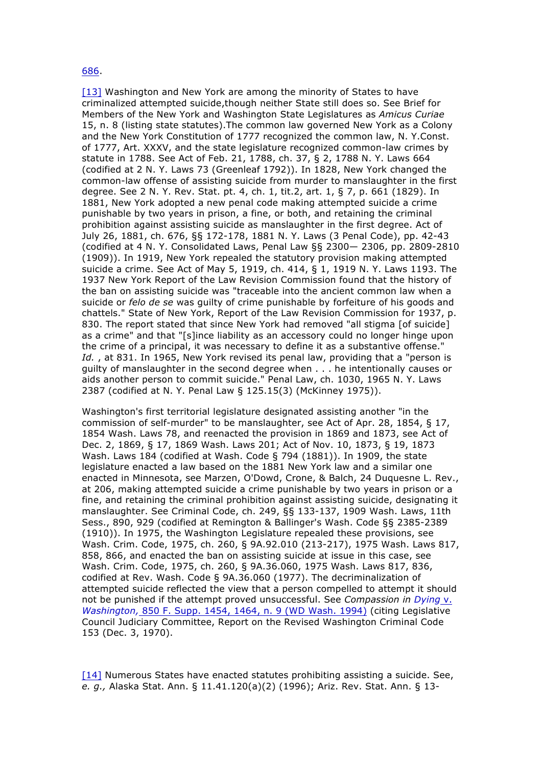## 686.

[13] Washington and New York are among the minority of States to have criminalized attempted suicide,though neither State still does so. See Brief for Members of the New York and Washington State Legislatures as *Amicus Curiae* 15, n. 8 (listing state statutes).The common law governed New York as a Colony and the New York Constitution of 1777 recognized the common law, N. Y.Const. of 1777, Art. XXXV, and the state legislature recognized common-law crimes by statute in 1788. See Act of Feb. 21, 1788, ch. 37, § 2, 1788 N. Y. Laws 664 (codified at 2 N. Y. Laws 73 (Greenleaf 1792)). In 1828, New York changed the common-law offense of assisting suicide from murder to manslaughter in the first degree. See 2 N. Y. Rev. Stat. pt. 4, ch. 1, tit.2, art. 1, § 7, p. 661 (1829). In 1881, New York adopted a new penal code making attempted suicide a crime punishable by two years in prison, a fine, or both, and retaining the criminal prohibition against assisting suicide as manslaughter in the first degree. Act of July 26, 1881, ch. 676, §§ 172-178, 1881 N. Y. Laws (3 Penal Code), pp. 42-43 (codified at 4 N. Y. Consolidated Laws, Penal Law §§ 2300— 2306, pp. 2809-2810 (1909)). In 1919, New York repealed the statutory provision making attempted suicide a crime. See Act of May 5, 1919, ch. 414, § 1, 1919 N. Y. Laws 1193. The 1937 New York Report of the Law Revision Commission found that the history of the ban on assisting suicide was "traceable into the ancient common law when a suicide or *felo de se* was guilty of crime punishable by forfeiture of his goods and chattels." State of New York, Report of the Law Revision Commission for 1937, p. 830. The report stated that since New York had removed "all stigma [of suicide] as a crime" and that "[s]ince liability as an accessory could no longer hinge upon the crime of a principal, it was necessary to define it as a substantive offense." *Id.* , at 831. In 1965, New York revised its penal law, providing that a "person is guilty of manslaughter in the second degree when . . . he intentionally causes or aids another person to commit suicide." Penal Law, ch. 1030, 1965 N. Y. Laws 2387 (codified at N. Y. Penal Law § 125.15(3) (McKinney 1975)).

Washington's first territorial legislature designated assisting another "in the commission of self-murder" to be manslaughter, see Act of Apr. 28, 1854, § 17, 1854 Wash. Laws 78, and reenacted the provision in 1869 and 1873, see Act of Dec. 2, 1869, § 17, 1869 Wash. Laws 201; Act of Nov. 10, 1873, § 19, 1873 Wash. Laws 184 (codified at Wash. Code § 794 (1881)). In 1909, the state legislature enacted a law based on the 1881 New York law and a similar one enacted in Minnesota, see Marzen, O'Dowd, Crone, & Balch, 24 Duquesne L. Rev., at 206, making attempted suicide a crime punishable by two years in prison or a fine, and retaining the criminal prohibition against assisting suicide, designating it manslaughter. See Criminal Code, ch. 249, §§ 133-137, 1909 Wash. Laws, 11th Sess., 890, 929 (codified at Remington & Ballinger's Wash. Code §§ 2385-2389 (1910)). In 1975, the Washington Legislature repealed these provisions, see Wash. Crim. Code, 1975, ch. 260, § 9A.92.010 (213-217), 1975 Wash. Laws 817, 858, 866, and enacted the ban on assisting suicide at issue in this case, see Wash. Crim. Code, 1975, ch. 260, § 9A.36.060, 1975 Wash. Laws 817, 836, codified at Rev. Wash. Code § 9A.36.060 (1977). The decriminalization of attempted suicide reflected the view that a person compelled to attempt it should not be punished if the attempt proved unsuccessful. See *Compassion in Dying* v. *Washington,* 850 F. Supp. 1454, 1464, n. 9 (WD Wash. 1994) (citing Legislative Council Judiciary Committee, Report on the Revised Washington Criminal Code 153 (Dec. 3, 1970).

[14] Numerous States have enacted statutes prohibiting assisting a suicide. See, *e. g.,* Alaska Stat. Ann. § 11.41.120(a)(2) (1996); Ariz. Rev. Stat. Ann. § 13-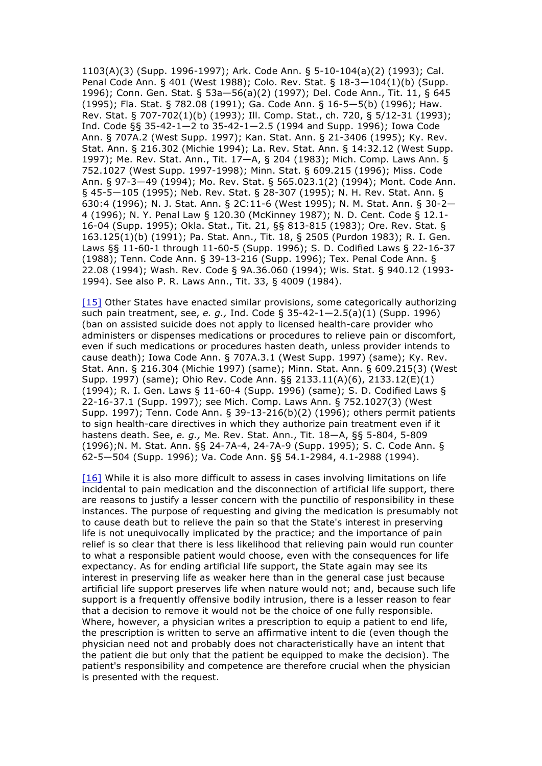1103(A)(3) (Supp. 1996-1997); Ark. Code Ann. § 5-10-104(a)(2) (1993); Cal. Penal Code Ann. § 401 (West 1988); Colo. Rev. Stat. § 18-3—104(1)(b) (Supp. 1996); Conn. Gen. Stat. § 53a—56(a)(2) (1997); Del. Code Ann., Tit. 11, § 645 (1995); Fla. Stat. § 782.08 (1991); Ga. Code Ann. § 16-5—5(b) (1996); Haw. Rev. Stat. § 707-702(1)(b) (1993); Ill. Comp. Stat., ch. 720, § 5/12-31 (1993); Ind. Code §§ 35-42-1—2 to 35-42-1—2.5 (1994 and Supp. 1996); Iowa Code Ann. § 707A.2 (West Supp. 1997); Kan. Stat. Ann. § 21-3406 (1995); Ky. Rev. Stat. Ann. § 216.302 (Michie 1994); La. Rev. Stat. Ann. § 14:32.12 (West Supp. 1997); Me. Rev. Stat. Ann., Tit. 17—A, § 204 (1983); Mich. Comp. Laws Ann. § 752.1027 (West Supp. 1997-1998); Minn. Stat. § 609.215 (1996); Miss. Code Ann. § 97-3—49 (1994); Mo. Rev. Stat. § 565.023.1(2) (1994); Mont. Code Ann. § 45-5—105 (1995); Neb. Rev. Stat. § 28-307 (1995); N. H. Rev. Stat. Ann. § 630:4 (1996); N. J. Stat. Ann. § 2C:11-6 (West 1995); N. M. Stat. Ann. § 30-2— 4 (1996); N. Y. Penal Law § 120.30 (McKinney 1987); N. D. Cent. Code § 12.1- 16-04 (Supp. 1995); Okla. Stat., Tit. 21, §§ 813-815 (1983); Ore. Rev. Stat. § 163.125(1)(b) (1991); Pa. Stat. Ann., Tit. 18, § 2505 (Purdon 1983); R. I. Gen. Laws §§ 11-60-1 through 11-60-5 (Supp. 1996); S. D. Codified Laws § 22-16-37 (1988); Tenn. Code Ann. § 39-13-216 (Supp. 1996); Tex. Penal Code Ann. § 22.08 (1994); Wash. Rev. Code § 9A.36.060 (1994); Wis. Stat. § 940.12 (1993- 1994). See also P. R. Laws Ann., Tit. 33, § 4009 (1984).

[15] Other States have enacted similar provisions, some categorically authorizing such pain treatment, see, *e. g.,* Ind. Code § 35-42-1—2.5(a)(1) (Supp. 1996) (ban on assisted suicide does not apply to licensed health-care provider who administers or dispenses medications or procedures to relieve pain or discomfort, even if such medications or procedures hasten death, unless provider intends to cause death); Iowa Code Ann. § 707A.3.1 (West Supp. 1997) (same); Ky. Rev. Stat. Ann. § 216.304 (Michie 1997) (same); Minn. Stat. Ann. § 609.215(3) (West Supp. 1997) (same); Ohio Rev. Code Ann. §§ 2133.11(A)(6), 2133.12(E)(1) (1994); R. I. Gen. Laws § 11-60-4 (Supp. 1996) (same); S. D. Codified Laws § 22-16-37.1 (Supp. 1997); see Mich. Comp. Laws Ann. § 752.1027(3) (West Supp. 1997); Tenn. Code Ann. § 39-13-216(b)(2) (1996); others permit patients to sign health-care directives in which they authorize pain treatment even if it hastens death. See, *e. g.,* Me. Rev. Stat. Ann., Tit. 18—A, §§ 5-804, 5-809 (1996);N. M. Stat. Ann. §§ 24-7A-4, 24-7A-9 (Supp. 1995); S. C. Code Ann. § 62-5—504 (Supp. 1996); Va. Code Ann. §§ 54.1-2984, 4.1-2988 (1994).

[16] While it is also more difficult to assess in cases involving limitations on life incidental to pain medication and the disconnection of artificial life support, there are reasons to justify a lesser concern with the punctilio of responsibility in these instances. The purpose of requesting and giving the medication is presumably not to cause death but to relieve the pain so that the State's interest in preserving life is not unequivocally implicated by the practice; and the importance of pain relief is so clear that there is less likelihood that relieving pain would run counter to what a responsible patient would choose, even with the consequences for life expectancy. As for ending artificial life support, the State again may see its interest in preserving life as weaker here than in the general case just because artificial life support preserves life when nature would not; and, because such life support is a frequently offensive bodily intrusion, there is a lesser reason to fear that a decision to remove it would not be the choice of one fully responsible. Where, however, a physician writes a prescription to equip a patient to end life, the prescription is written to serve an affirmative intent to die (even though the physician need not and probably does not characteristically have an intent that the patient die but only that the patient be equipped to make the decision). The patient's responsibility and competence are therefore crucial when the physician is presented with the request.